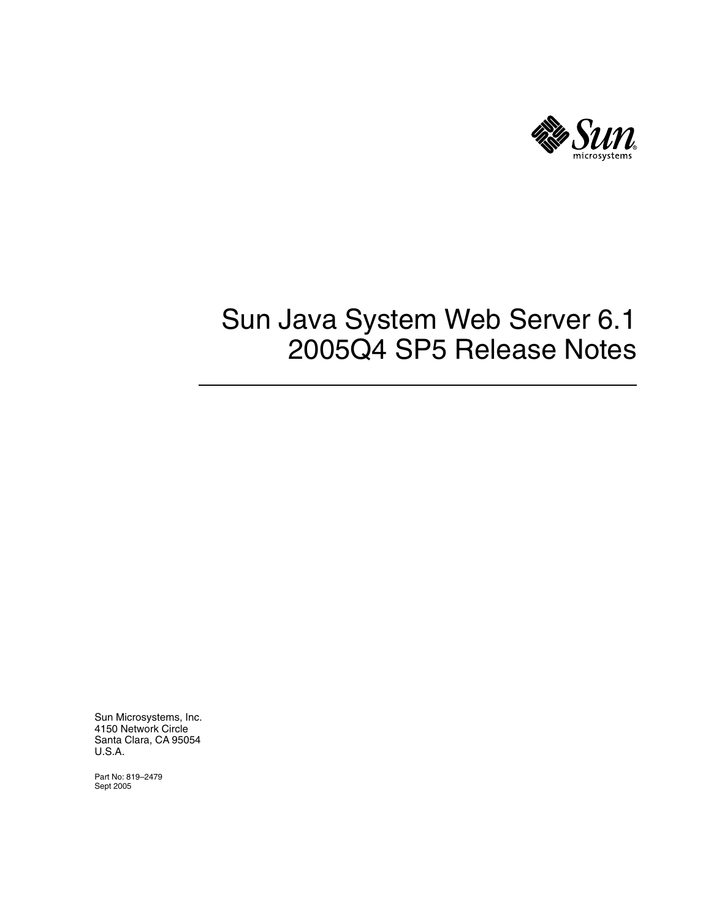

Sun Microsystems, Inc. 4150 Network Circle Santa Clara, CA 95054 U.S.A.

Part No: 819–2479 Sept 2005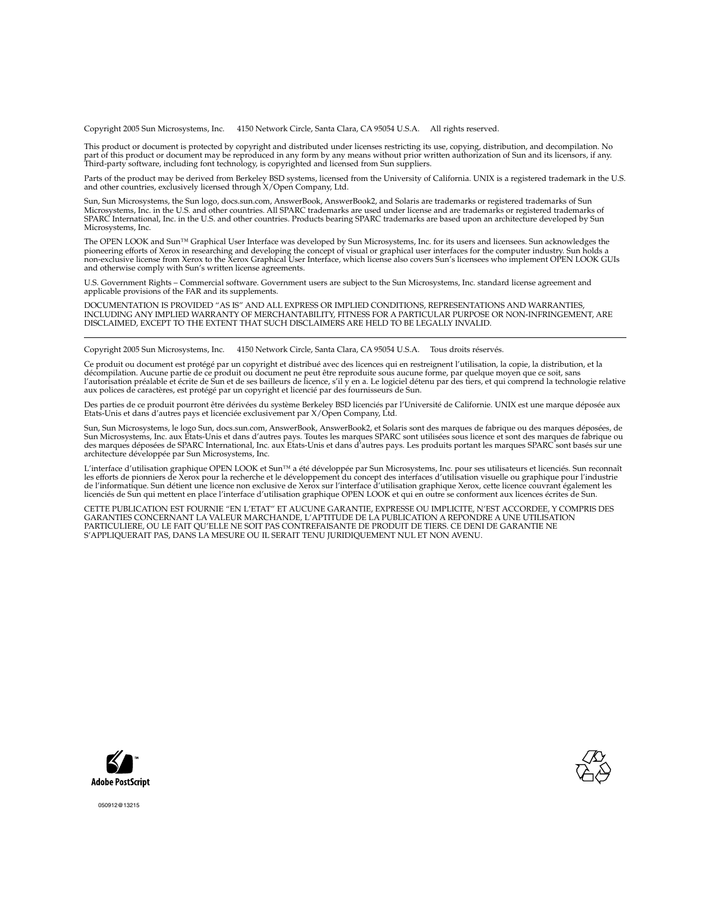Copyright 2005 Sun Microsystems, Inc. 4150 Network Circle, Santa Clara, CA 95054 U.S.A. All rights reserved.

This product or document is protected by copyright and distributed under licenses restricting its use, copying, distribution, and decompilation. No part of this product or document may be reproduced in any form by any means without prior written authorization of Sun and its licensors, if any.<br>Third-party software, including font technology, is copyrighted and licensed

Parts of the product may be derived from Berkeley BSD systems, licensed from the University of California. UNIX is a registered trademark in the U.S. and other countries, exclusively licensed through X/Open Company, Ltd.

Sun, Sun Microsystems, the Sun logo, docs.sun.com, AnswerBook, AnswerBook2, and Solaris are trademarks or registered trademarks of Sun<br>Microsystems, Inc. in the U.S. and other countries. All SPARC trademarks are used under Microsystems, Inc.

The OPEN LOOK and Sun™ Graphical User Interface was developed by Sun Microsystems, Inc. for its users and licensees. Sun acknowledges the pioneering efforts of Xerox in researching and developing the concept of visual or graphical user interfaces for the computer industry. Sun holds a<br>non-exclusive license from Xerox to the Xerox Graphical User Interface, wh and otherwise comply with Sun's written license agreements.

U.S. Government Rights – Commercial software. Government users are subject to the Sun Microsystems, Inc. standard license agreement and applicable provisions of the FAR and its supplements.

DOCUMENTATION IS PROVIDED "AS IS" AND ALL EXPRESS OR IMPLIED CONDITIONS, REPRESENTATIONS AND WARRANTIES,<br>INCLUDING ANY IMPLIED WARRANTY OF MERCHANTABILITY, FITNESS FOR A PARTICULAR PURPOSE OR NON-INFRINGEMENT, ARE<br>DISCLAIM

Copyright 2005 Sun Microsystems, Inc. 4150 Network Circle, Santa Clara, CA 95054 U.S.A. Tous droits réservés.

Ce produit ou document est protégé par un copyright et distribué avec des licences qui en restreignent l'utilisation, la copie, la distribution, et la décompilation. Aucune partie de ce produit ou document ne peut être reproduite sous aucune forme, par quelque moyen que ce soit, sans<br>l'autorisation préalable et écrite de Sun et de ses bailleurs de licence, s'il y en a. L

Des parties de ce produit pourront être dérivées du système Berkeley BSD licenciés par l'Université de Californie. UNIX est une marque déposée aux Etats-Unis et dans d'autres pays et licenciée exclusivement par X/Open Company, Ltd.

Sun, Sun Microsystems, le logo Sun, docs.sun.com, AnswerBook, AnswerBook2, et Solaris sont des marques de fabrique ou des marques déposées, de<br>Sun Microsystems, Inc. aux Etats-Unis et dans d'autres pays. Toutes les marques architecture développée par Sun Microsystems, Inc.

L'interface d'utilisation graphique OPEN LOOK et Sun™a été développée par Sun Microsystems, Inc. pour ses utilisateurs et licenciés. Sun reconnaît<br>les efforts de pionniers de Xerox pour la recherche et le développement du de l'informatique. Sun détient une licence non exclusive de Xerox sur l'interface d'utilisation graphique Xerox, cette licence couvrant également les<br>licenciés de Sun qui mettent en place l'interface d'utilisation graphiqu

CETTE PUBLICATION EST FOURNIE "EN L'ETAT" ET AUCUNE GARANTIE, EXPRESSE OU IMPLICITE, N'EST ACCORDEE, Y COMPRIS DES GARANTIES CONCERNANT LA VALEUR MARCHANDE, L'APTITUDE DE LA PUBLICATION A REPONDRE A UNE UTILISATION<br>PARTICULIERE, OU LE FAIT QU'ELLE NE SOIT PAS CONTREFAISANTE DE PRODUIT DE TIERS. CE DENI DE GARANTIE NE<br>S'APPLIQUERAIT PAS





050912@13215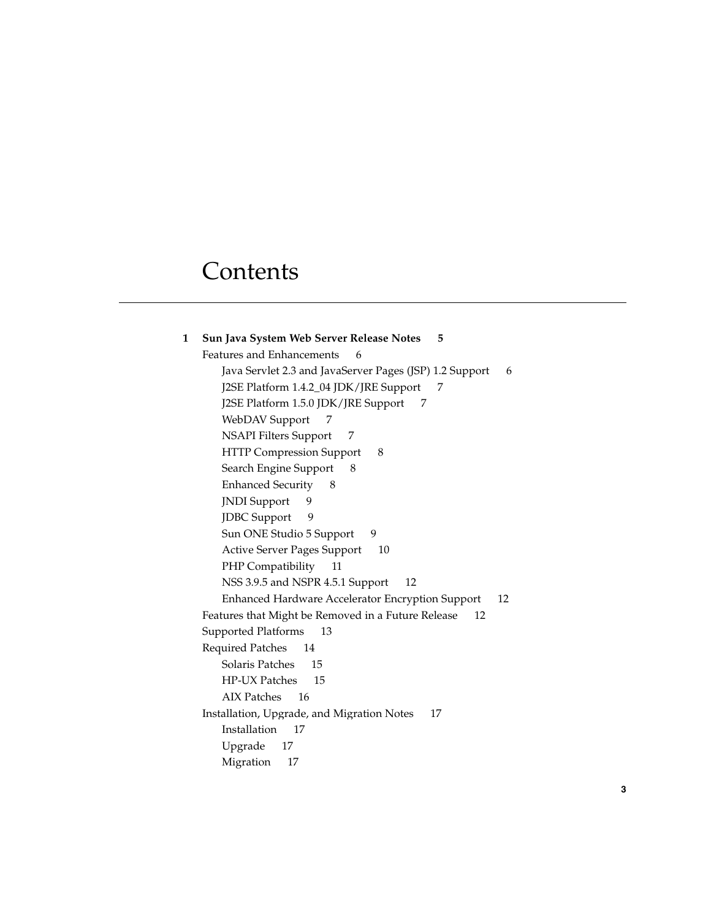# **Contents**

| 1 | Sun Java System Web Server Release Notes 5                   |
|---|--------------------------------------------------------------|
|   | Features and Enhancements<br>6                               |
|   | Java Servlet 2.3 and JavaServer Pages (JSP) 1.2 Support<br>6 |
|   | J2SE Platform 1.4.2_04 JDK/JRE Support<br>7                  |
|   | J2SE Platform 1.5.0 JDK/JRE Support<br>7                     |
|   | WebDAV Support<br>7                                          |
|   | <b>NSAPI Filters Support</b><br>7                            |
|   | <b>HTTP Compression Support</b><br>8                         |
|   | Search Engine Support<br>8                                   |
|   | <b>Enhanced Security</b><br>- 8                              |
|   | <b>JNDI</b> Support<br>9                                     |
|   | <b>JDBC</b> Support<br>9                                     |
|   | Sun ONE Studio 5 Support<br>9                                |
|   | <b>Active Server Pages Support</b><br>10                     |
|   | PHP Compatibility<br>11                                      |
|   | NSS 3.9.5 and NSPR 4.5.1 Support<br>12                       |
|   | Enhanced Hardware Accelerator Encryption Support<br>12       |
|   | Features that Might be Removed in a Future Release<br>12     |
|   | Supported Platforms<br>13                                    |
|   | <b>Required Patches</b><br>14                                |
|   | Solaris Patches<br>15                                        |
|   | HP-UX Patches<br>15                                          |
|   | AIX Patches 16                                               |
|   | Installation, Upgrade, and Migration Notes<br>17             |
|   | Installation<br>17                                           |
|   | Upgrade<br>17                                                |
|   | Migration<br>17                                              |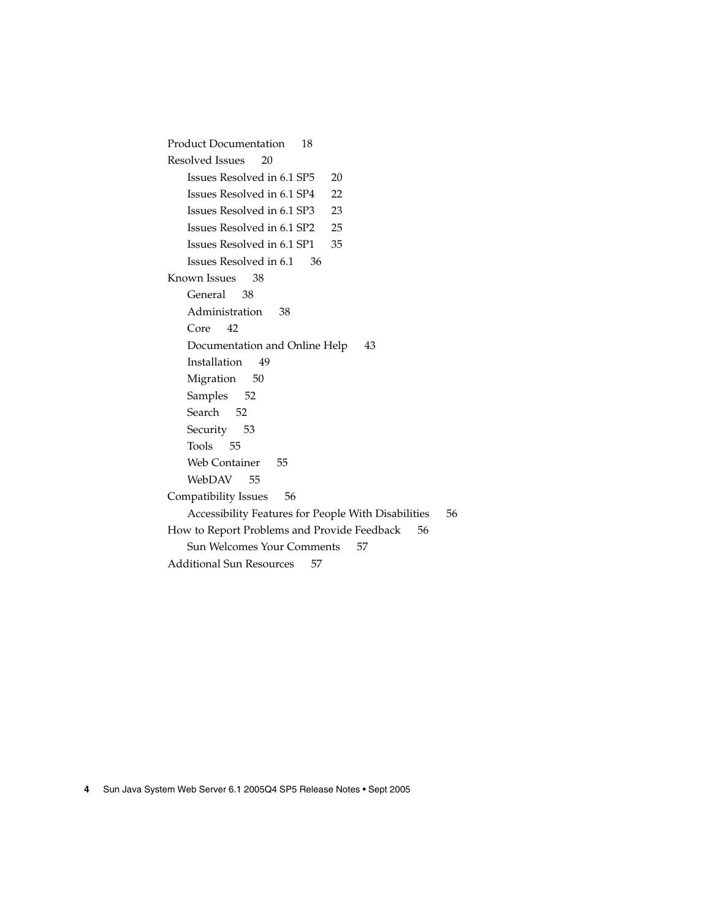[Product Documentation 18](#page-17-0) [Resolved Issues 20](#page-19-0) [Issues Resolved in 6.1 SP5 20](#page-19-0) [Issues Resolved in 6.1 SP4 22](#page-21-0) [Issues Resolved in 6.1 SP3 23](#page-22-0) [Issues Resolved in 6.1 SP2 25](#page-24-0) [Issues Resolved in 6.1 SP1 35](#page-34-0) [Issues Resolved in 6.1 36](#page-35-0) [Known Issues 38](#page-37-0) [General 38](#page-37-0) [Administration 38](#page-37-0) [Core 42](#page-41-0) [Documentation and Online Help 43](#page-42-0) [Installation 49](#page-48-0) [Migration 50](#page-49-0) [Samples 52](#page-51-0) [Search 52](#page-51-0) [Security 53](#page-52-0) [Tools 55](#page-54-0) [Web Container 55](#page-54-0) [WebDAV 55](#page-54-0) [Compatibility Issues 56](#page-55-0) [Accessibility Features for People With Disabilities 56](#page-55-0) [How to Report Problems and Provide Feedback 56](#page-55-0) [Sun Welcomes Your Comments 57](#page-56-0) [Additional Sun Resources 57](#page-56-0)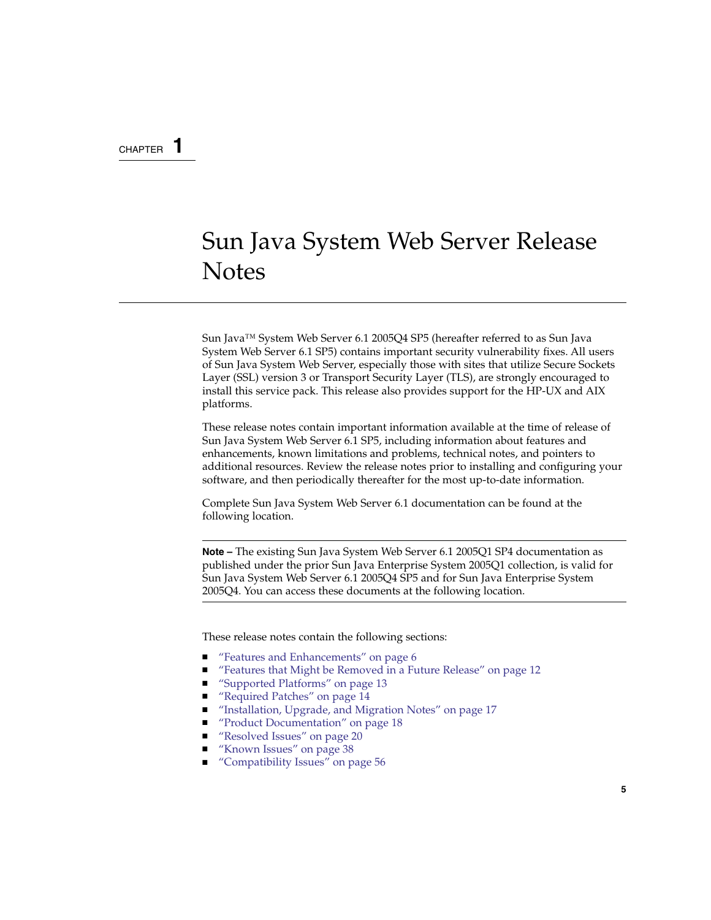### <span id="page-4-0"></span>CHAPTER **1**

# Sun Java System Web Server Release **Notes**

Sun Java™ System Web Server 6.1 2005Q4 SP5 (hereafter referred to as Sun Java System Web Server 6.1 SP5) contains important security vulnerability fixes. All users of Sun Java System Web Server, especially those with sites that utilize Secure Sockets Layer (SSL) version 3 or Transport Security Layer (TLS), are strongly encouraged to install this service pack. This release also provides support for the HP-UX and AIX platforms.

These release notes contain important information available at the time of release of Sun Java System Web Server 6.1 SP5, including information about features and enhancements, known limitations and problems, technical notes, and pointers to additional resources. Review the release notes prior to installing and configuring your software, and then periodically thereafter for the most up-to-date information.

Complete Sun Java System Web Server 6.1 documentation can be found at the following location.

**Note –** The existing Sun Java System Web Server 6.1 2005Q1 SP4 documentation as published under the prior Sun Java Enterprise System 2005Q1 collection, is valid for Sun Java System Web Server 6.1 2005Q4 SP5 and for Sun Java Enterprise System 2005Q4. You can access these documents at the following location.

These release notes contain the following sections:

- ["Features and Enhancements" on page 6](#page-5-0)
- ["Features that Might be Removed in a Future Release" on page 12](#page-11-0)
- ["Supported Platforms" on page 13](#page-12-0)
- ["Required Patches" on page 14](#page-13-0)
- ["Installation, Upgrade, and Migration Notes" on page 17](#page-16-0)
- ["Product Documentation" on page 18](#page-17-0)
- ["Resolved Issues" on page 20](#page-19-0)
- ["Known Issues" on page 38](#page-37-0)
- ["Compatibility Issues" on page 56](#page-55-0)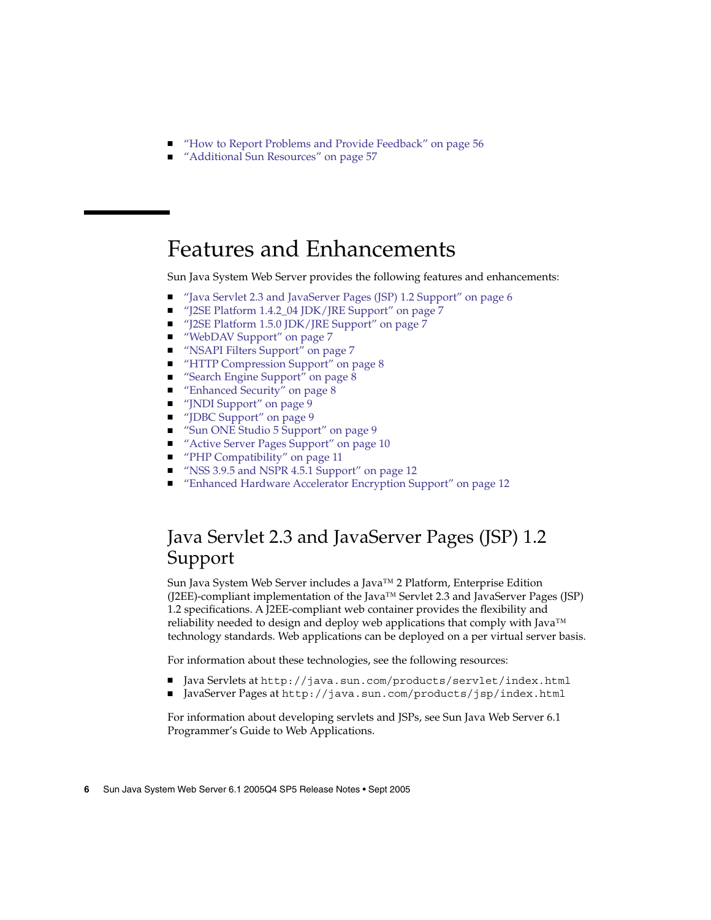- <span id="page-5-0"></span>■ *["How to Report Problems and Provide Feedback"](#page-55-0)* on page 56
- *["Additional Sun Resources"](#page-56-0)* on page 57

## Features and Enhancements

Sun Java System Web Server provides the following features and enhancements:

- "Java Servlet 2.3 and JavaServer Pages (JSP) 1.2 Support" on page 6
- ["J2SE Platform 1.4.2\\_04 JDK/JRE Support"](#page-6-0) on page 7
- ["J2SE Platform 1.5.0 JDK/JRE Support"](#page-6-0) on page 7
- ["WebDAV Support"](#page-6-0) on page 7
- ["NSAPI Filters Support"](#page-6-0) on page 7
- *["HTTP Compression Support"](#page-7-0)* on page 8
- ["Search Engine Support"](#page-7-0) on page 8
- ["Enhanced Security"](#page-7-0) on page 8
- ["JNDI Support"](#page-8-0) on page 9
- ["JDBC Support"](#page-8-0) on page 9
- ["Sun ONE Studio 5 Support"](#page-8-0) on page 9
- *["Active Server Pages Support"](#page-9-0)* on page 10
- ["PHP Compatibility"](#page-10-0) on page 11
- ["NSS 3.9.5 and NSPR 4.5.1 Support"](#page-11-0) on page 12
- ["Enhanced Hardware Accelerator Encryption Support"](#page-11-0) on page 12

## Java Servlet 2.3 and JavaServer Pages (JSP) 1.2 Support

Sun Java System Web Server includes a Java™ 2 Platform, Enterprise Edition (J2EE)-compliant implementation of the Java™ Servlet 2.3 and JavaServer Pages (JSP) 1.2 specifications. A J2EE-compliant web container provides the flexibility and reliability needed to design and deploy web applications that comply with Java™ technology standards. Web applications can be deployed on a per virtual server basis.

For information about these technologies, see the following resources:

- Java Servlets at <http://java.sun.com/products/servlet/index.html>
- JavaServer Pages at <http://java.sun.com/products/jsp/index.html>

For information about developing servlets and JSPs, see Sun Java Web Server 6.1 Programmer's Guide to Web Applications.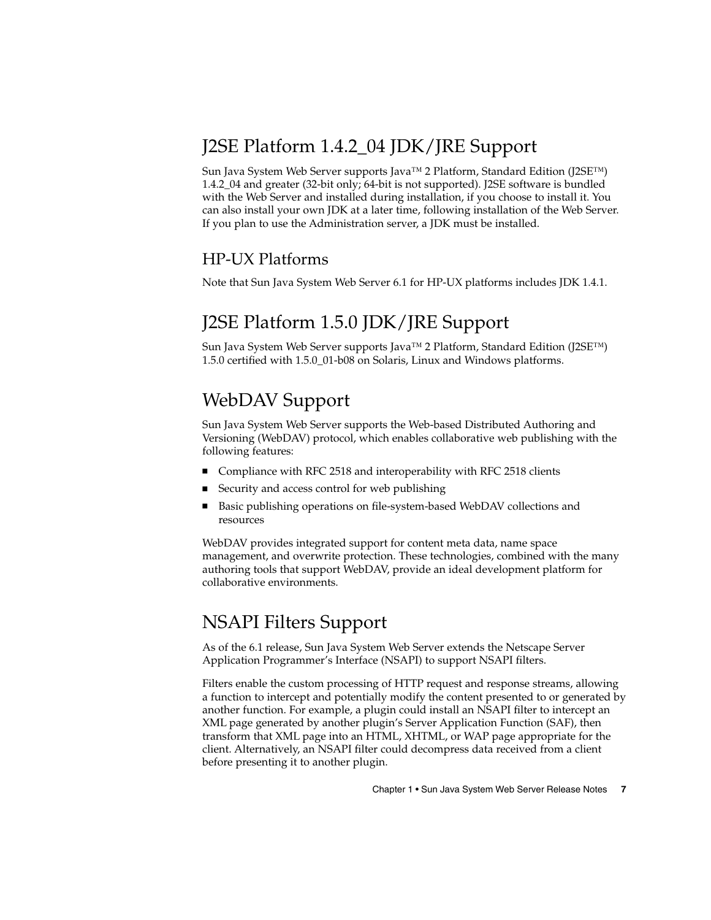## <span id="page-6-0"></span>J2SE Platform 1.4.2\_04 JDK/JRE Support

Sun Java System Web Server supports Java™ 2 Platform, Standard Edition (J2SE™) 1.4.2\_04 and greater (32-bit only; 64-bit is not supported). J2SE software is bundled with the Web Server and installed during installation, if you choose to install it. You can also install your own JDK at a later time, following installation of the Web Server. If you plan to use the Administration server, a JDK must be installed.

### HP-UX Platforms

Note that Sun Java System Web Server 6.1 for HP-UX platforms includes JDK 1.4.1.

## J2SE Platform 1.5.0 JDK/JRE Support

Sun Java System Web Server supports Java™ 2 Platform, Standard Edition (J2SE™) 1.5.0 certified with 1.5.0\_01-b08 on Solaris, Linux and Windows platforms.

## WebDAV Support

Sun Java System Web Server supports the Web-based Distributed Authoring and Versioning (WebDAV) protocol, which enables collaborative web publishing with the following features:

- Compliance with RFC 2518 and interoperability with RFC 2518 clients
- Security and access control for web publishing
- Basic publishing operations on file-system-based WebDAV collections and resources

WebDAV provides integrated support for content meta data, name space management, and overwrite protection. These technologies, combined with the many authoring tools that support WebDAV, provide an ideal development platform for collaborative environments.

## NSAPI Filters Support

As of the 6.1 release, Sun Java System Web Server extends the Netscape Server Application Programmer's Interface (NSAPI) to support NSAPI filters.

Filters enable the custom processing of HTTP request and response streams, allowing a function to intercept and potentially modify the content presented to or generated by another function. For example, a plugin could install an NSAPI filter to intercept an XML page generated by another plugin's Server Application Function (SAF), then transform that XML page into an HTML, XHTML, or WAP page appropriate for the client. Alternatively, an NSAPI filter could decompress data received from a client before presenting it to another plugin.

Chapter 1 • Sun Java System Web Server Release Notes **7**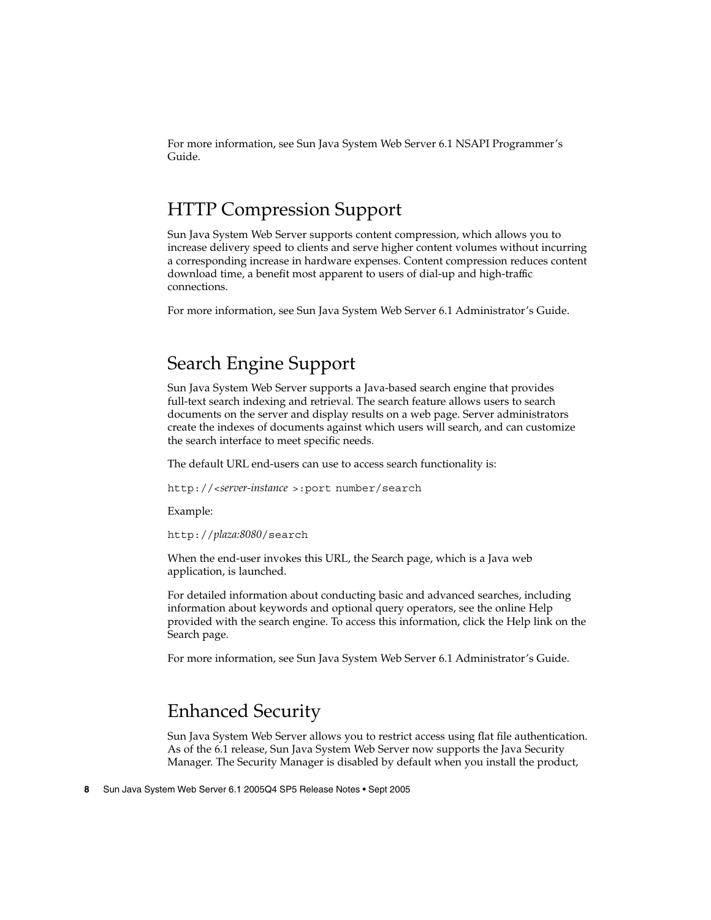<span id="page-7-0"></span>For more information, see Sun Java System Web Server 6.1 NSAPI Programmer's Guide.

### HTTP Compression Support

Sun Java System Web Server supports content compression, which allows you to increase delivery speed to clients and serve higher content volumes without incurring a corresponding increase in hardware expenses. Content compression reduces content download time, a benefit most apparent to users of dial-up and high-traffic connections.

For more information, see Sun Java System Web Server 6.1 Administrator's Guide.

## Search Engine Support

Sun Java System Web Server supports a Java-based search engine that provides full-text search indexing and retrieval. The search feature allows users to search documents on the server and display results on a web page. Server administrators create the indexes of documents against which users will search, and can customize the search interface to meet specific needs.

The default URL end-users can use to access search functionality is:

http://<*server-instance* >:port number/search

Example:

http://*plaza:8080*/search

When the end-user invokes this URL, the Search page, which is a Java web application, is launched.

For detailed information about conducting basic and advanced searches, including information about keywords and optional query operators, see the online Help provided with the search engine. To access this information, click the Help link on the Search page.

For more information, see Sun Java System Web Server 6.1 Administrator's Guide.

### Enhanced Security

Sun Java System Web Server allows you to restrict access using flat file authentication. As of the 6.1 release, Sun Java System Web Server now supports the Java Security Manager. The Security Manager is disabled by default when you install the product,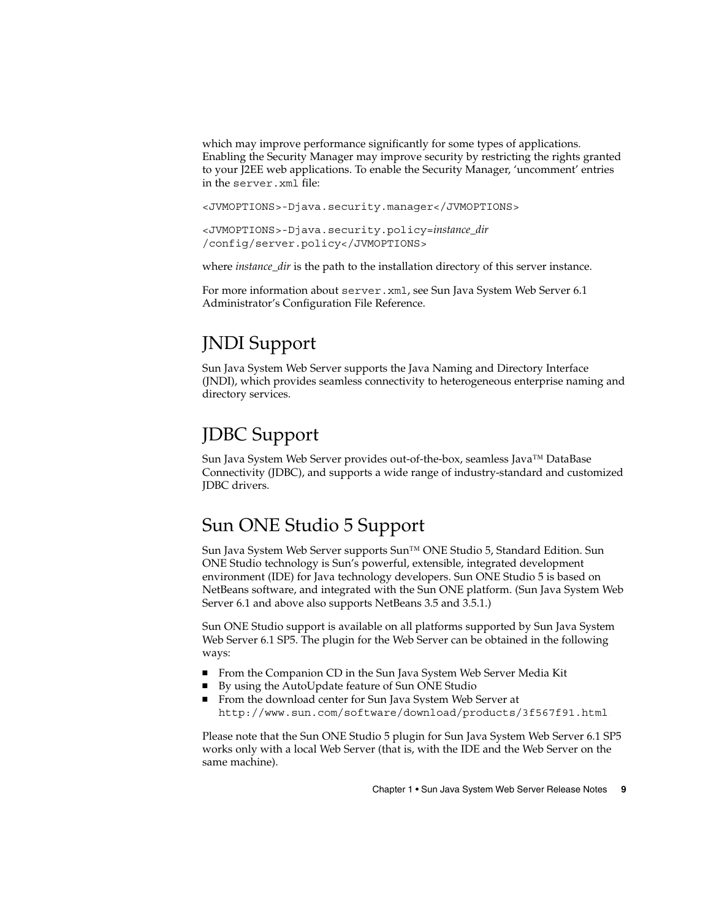<span id="page-8-0"></span>which may improve performance significantly for some types of applications. Enabling the Security Manager may improve security by restricting the rights granted to your J2EE web applications. To enable the Security Manager, 'uncomment' entries in the server.xml file:

<JVMOPTIONS>-Djava.security.manager</JVMOPTIONS>

<JVMOPTIONS>-Djava.security.policy=*instance\_dir* /config/server.policy</JVMOPTIONS>

where *instance\_dir* is the path to the installation directory of this server instance.

For more information about server.xml, see Sun Java System Web Server 6.1 Administrator's Configuration File Reference.

## JNDI Support

Sun Java System Web Server supports the Java Naming and Directory Interface (JNDI), which provides seamless connectivity to heterogeneous enterprise naming and directory services.

### JDBC Support

Sun Java System Web Server provides out-of-the-box, seamless Java™ DataBase Connectivity (JDBC), and supports a wide range of industry-standard and customized JDBC drivers.

### Sun ONE Studio 5 Support

Sun Java System Web Server supports Sun™ ONE Studio 5, Standard Edition. Sun ONE Studio technology is Sun's powerful, extensible, integrated development environment (IDE) for Java technology developers. Sun ONE Studio 5 is based on NetBeans software, and integrated with the Sun ONE platform. (Sun Java System Web Server 6.1 and above also supports NetBeans 3.5 and 3.5.1.)

Sun ONE Studio support is available on all platforms supported by Sun Java System Web Server 6.1 SP5. The plugin for the Web Server can be obtained in the following ways:

- From the Companion CD in the Sun Java System Web Server Media Kit
- By using the AutoUpdate feature of Sun ONE Studio
- From the download center for Sun Java System Web Server at <http://www.sun.com/software/download/products/3f567f91.html>.

Please note that the Sun ONE Studio 5 plugin for Sun Java System Web Server 6.1 SP5 works only with a local Web Server (that is, with the IDE and the Web Server on the same machine).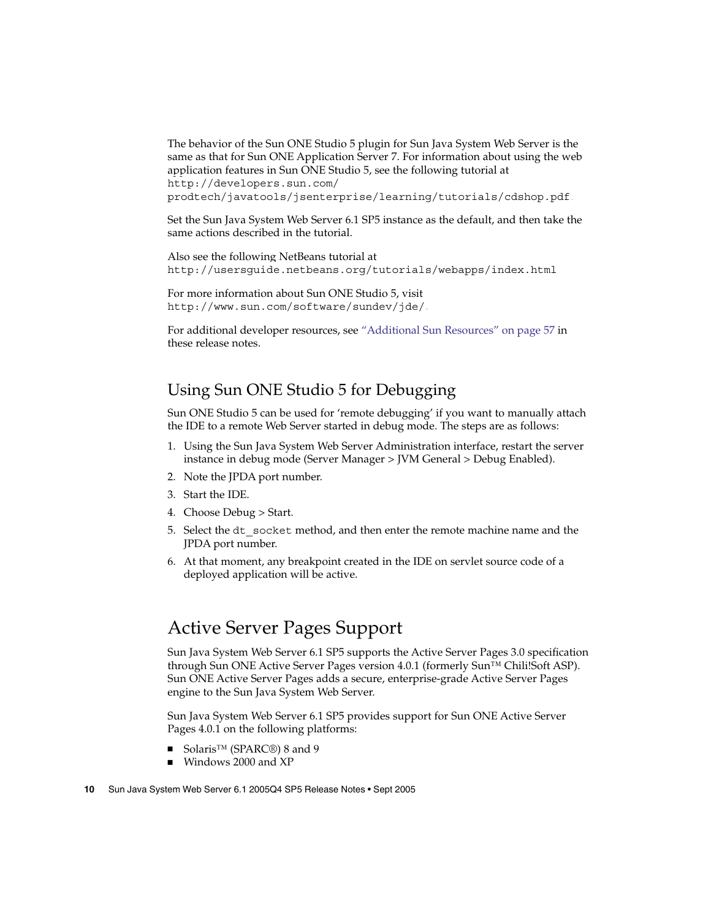<span id="page-9-0"></span>The behavior of the Sun ONE Studio 5 plugin for Sun Java System Web Server is the same as that for Sun ONE Application Server 7. For information about using the web application features in Sun ONE Studio 5, see the following tutorial at [http://developers.sun.com/](http://developers.sun.com/prodtech/javatools/jsenterprise/learning/tutorials/cdshop.pdf)

[prodtech/javatools/jsenterprise/learning/tutorials/cdshop.pdf](http://developers.sun.com/prodtech/javatools/jsenterprise/learning/tutorials/cdshop.pdf).

Set the Sun Java System Web Server 6.1 SP5 instance as the default, and then take the same actions described in the tutorial.

Also see the following NetBeans tutorial at <http://usersguide.netbeans.org/tutorials/webapps/index.html>.

For more information about Sun ONE Studio 5, visit <http://www.sun.com/software/sundev/jde/>.

For additional developer resources, see ["Additional Sun Resources"](#page-56-0) on page 57 in these release notes.

### Using Sun ONE Studio 5 for Debugging

Sun ONE Studio 5 can be used for 'remote debugging' if you want to manually attach the IDE to a remote Web Server started in debug mode. The steps are as follows:

- 1. Using the Sun Java System Web Server Administration interface, restart the server instance in debug mode (Server Manager > JVM General > Debug Enabled).
- 2. Note the JPDA port number.
- 3. Start the IDE.
- 4. Choose Debug > Start.
- 5. Select the dt\_socket method, and then enter the remote machine name and the JPDA port number.
- 6. At that moment, any breakpoint created in the IDE on servlet source code of a deployed application will be active.

## Active Server Pages Support

Sun Java System Web Server 6.1 SP5 supports the Active Server Pages 3.0 specification through Sun ONE Active Server Pages version 4.0.1 (formerly Sun™ Chili!Soft ASP). Sun ONE Active Server Pages adds a secure, enterprise-grade Active Server Pages engine to the Sun Java System Web Server.

Sun Java System Web Server 6.1 SP5 provides support for Sun ONE Active Server Pages 4.0.1 on the following platforms:

- Solaris<sup>™</sup> (SPARC®) 8 and 9
- Windows 2000 and XP
- **10** Sun Java System Web Server 6.1 2005Q4 SP5 Release Notes Sept 2005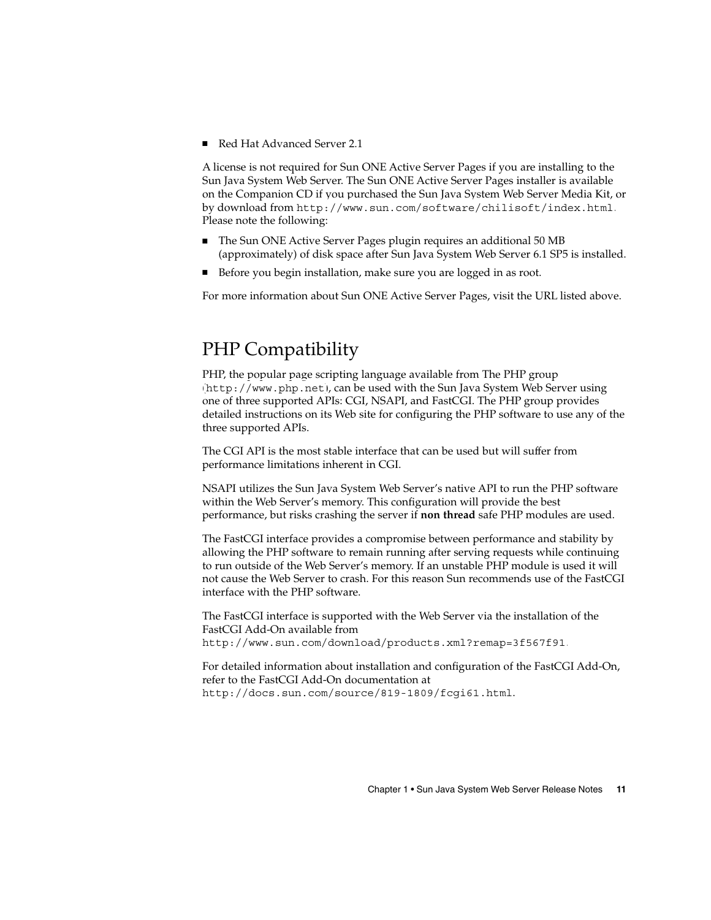<span id="page-10-0"></span>■ Red Hat Advanced Server 2.1

A license is not required for Sun ONE Active Server Pages if you are installing to the Sun Java System Web Server. The Sun ONE Active Server Pages installer is available on the Companion CD if you purchased the Sun Java System Web Server Media Kit, or by download from <http://www.sun.com/software/chilisoft/index.html>. Please note the following:

- The Sun ONE Active Server Pages plugin requires an additional 50 MB (approximately) of disk space after Sun Java System Web Server 6.1 SP5 is installed.
- Before you begin installation, make sure you are logged in as root.

For more information about Sun ONE Active Server Pages, visit the URL listed above.

## PHP Compatibility

PHP, the popular page scripting language available from The PHP group (<http://www.php.net>), can be used with the Sun Java System Web Server using one of three supported APIs: CGI, NSAPI, and FastCGI. The PHP group provides detailed instructions on its Web site for configuring the PHP software to use any of the three supported APIs.

The CGI API is the most stable interface that can be used but will suffer from performance limitations inherent in CGI.

NSAPI utilizes the Sun Java System Web Server's native API to run the PHP software within the Web Server's memory. This configuration will provide the best performance, but risks crashing the server if **non thread** safe PHP modules are used.

The FastCGI interface provides a compromise between performance and stability by allowing the PHP software to remain running after serving requests while continuing to run outside of the Web Server's memory. If an unstable PHP module is used it will not cause the Web Server to crash. For this reason Sun recommends use of the FastCGI interface with the PHP software.

The FastCGI interface is supported with the Web Server via the installation of the FastCGI Add-On available from <http://www.sun.com/download/products.xml?remap=3f567f91>.

For detailed information about installation and configuration of the FastCGI Add-On, refer to the FastCGI Add-On documentation at http://docs.sun.com/source/819-1809/fcgi61.html.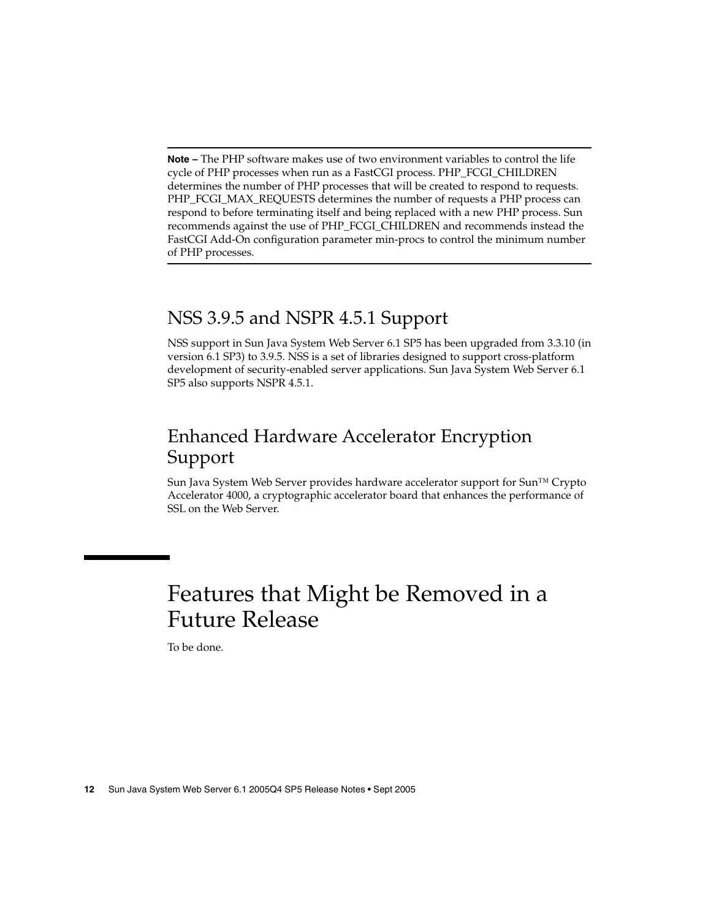<span id="page-11-0"></span>**Note –** The PHP software makes use of two environment variables to control the life cycle of PHP processes when run as a FastCGI process. PHP\_FCGI\_CHILDREN determines the number of PHP processes that will be created to respond to requests. PHP\_FCGI\_MAX\_REQUESTS determines the number of requests a PHP process can respond to before terminating itself and being replaced with a new PHP process. Sun recommends against the use of PHP\_FCGI\_CHILDREN and recommends instead the FastCGI Add-On configuration parameter min-procs to control the minimum number of PHP processes.

## NSS 3.9.5 and NSPR 4.5.1 Support

NSS support in Sun Java System Web Server 6.1 SP5 has been upgraded from 3.3.10 (in version 6.1 SP3) to 3.9.5. NSS is a set of libraries designed to support cross-platform development of security-enabled server applications. Sun Java System Web Server 6.1 SP5 also supports NSPR 4.5.1.

## Enhanced Hardware Accelerator Encryption Support

Sun Java System Web Server provides hardware accelerator support for Sun™ Crypto Accelerator 4000, a cryptographic accelerator board that enhances the performance of SSL on the Web Server.

# Features that Might be Removed in a Future Release

To be done.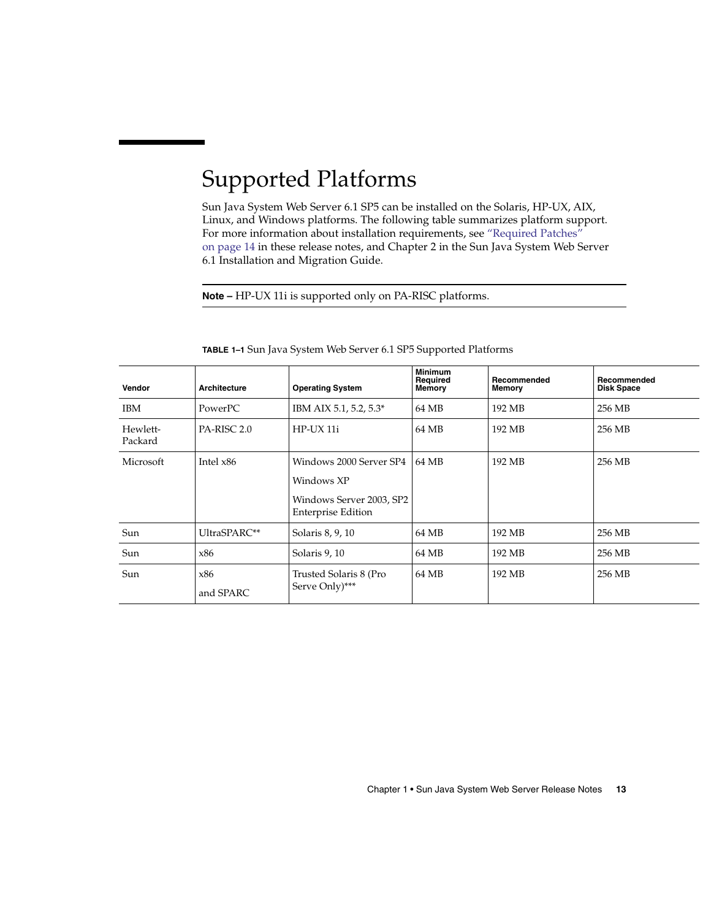# <span id="page-12-0"></span>Supported Platforms

Sun Java System Web Server 6.1 SP5 can be installed on the Solaris, HP-UX, AIX, Linux, and Windows platforms. The following table summarizes platform support. For more information about installation requirements, see ["Required Patches"](#page-13-0) [on page 14](#page-13-0) in these release notes, and Chapter 2 in the Sun Java System Web Server 6.1 Installation and Migration Guide.

**Note –** HP-UX 11i is supported only on PA-RISC platforms.

| Vendor              | <b>Architecture</b> | <b>Operating System</b>                                                                        | <b>Minimum</b><br>Required<br>Memory | Recommended<br>Memory | Recommended<br><b>Disk Space</b> |
|---------------------|---------------------|------------------------------------------------------------------------------------------------|--------------------------------------|-----------------------|----------------------------------|
| <b>IBM</b>          | PowerPC             | IBM AIX 5.1, 5.2, 5.3*                                                                         | 64 MB                                | 192 MB                | 256 MB                           |
| Hewlett-<br>Packard | PA-RISC 2.0         | HP-UX 11i                                                                                      | 64 MB                                | 192 MB                | 256 MB                           |
| Microsoft           | Intel $x86$         | Windows 2000 Server SP4<br>Windows XP<br>Windows Server 2003, SP2<br><b>Enterprise Edition</b> | 64 MB                                | 192 MB                | 256 MB                           |
| Sun                 | UltraSPARC**        | Solaris 8, 9, 10                                                                               | 64 MB                                | 192 MB                | 256 MB                           |
| Sun                 | x86                 | Solaris 9, 10                                                                                  | 64 MB                                | 192 MB                | 256 MB                           |
| Sun                 | x86<br>and SPARC    | Trusted Solaris 8 (Pro<br>Serve Only)***                                                       | 64 MB                                | 192 MB                | 256 MB                           |

**TABLE 1–1** Sun Java System Web Server 6.1 SP5 Supported Platforms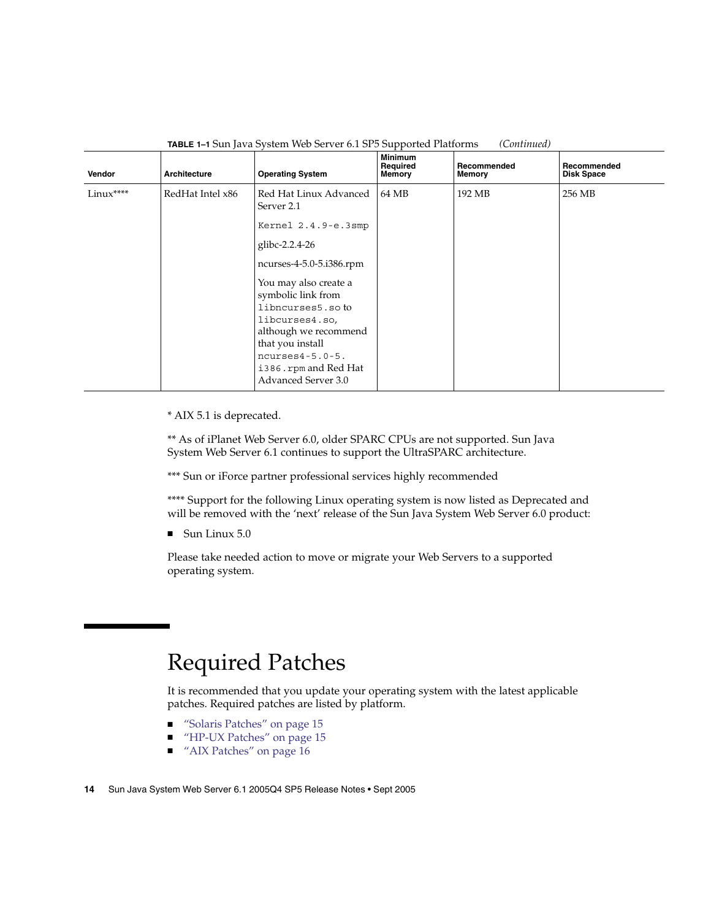<span id="page-13-0"></span>

| Vendor    | Architecture     | <b>Operating System</b>                                                                                                                                                                                                                                                                                          | <b>Minimum</b><br>Required<br>Memory | Recommended<br>Memory | Recommended<br><b>Disk Space</b> |
|-----------|------------------|------------------------------------------------------------------------------------------------------------------------------------------------------------------------------------------------------------------------------------------------------------------------------------------------------------------|--------------------------------------|-----------------------|----------------------------------|
| Linux**** | RedHat Intel x86 | Red Hat Linux Advanced<br>Server 2.1<br>Kernel 2.4.9-e.3smp<br>glibc-2.2.4-26<br>ncurses-4-5.0-5.i386.rpm<br>You may also create a<br>symbolic link from<br>libncurses5.so to<br>libcurses4.so,<br>although we recommend<br>that you install<br>$ncurses4-5.0-5.$<br>i386.rpm and Red Hat<br>Advanced Server 3.0 | 64 MB                                | 192 MB                | 256 MB                           |

**TABLE 1–1** Sun Java System Web Server 6.1 SP5 Supported Platforms *(Continued)*

\* AIX 5.1 is deprecated.

\*\* As of iPlanet Web Server 6.0, older SPARC CPUs are not supported. Sun Java System Web Server 6.1 continues to support the UltraSPARC architecture.

\*\*\* Sun or iForce partner professional services highly recommended

\*\*\*\* Support for the following Linux operating system is now listed as Deprecated and will be removed with the 'next' release of the Sun Java System Web Server 6.0 product:

■ Sun Linux 5.0

Please take needed action to move or migrate your Web Servers to a supported operating system.

## Required Patches

It is recommended that you update your operating system with the latest applicable patches. Required patches are listed by platform.

- ["Solaris Patches"](#page-14-0) on page 15
- ["HP-UX Patches"](#page-14-0) on page 15
- *["AIX Patches"](#page-15-0)* on page 16
- **14** Sun Java System Web Server 6.1 2005Q4 SP5 Release Notes Sept 2005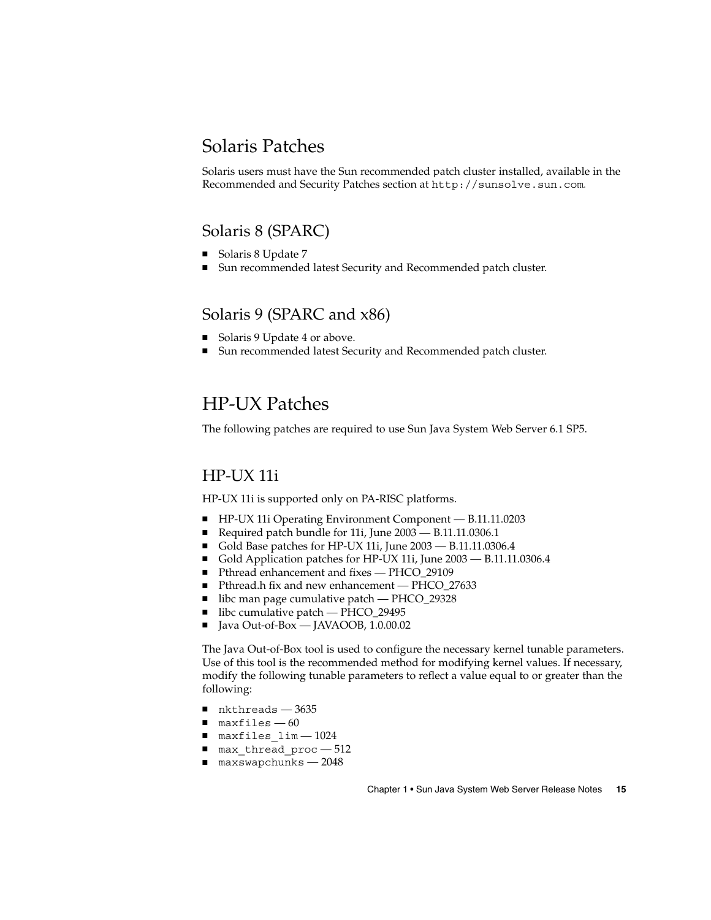### <span id="page-14-0"></span>Solaris Patches

Solaris users must have the Sun recommended patch cluster installed, available in the Recommended and Security Patches section at <http://sunsolve.sun.com>.

### Solaris 8 (SPARC)

- Solaris 8 Update 7
- Sun recommended latest Security and Recommended patch cluster.

### Solaris 9 (SPARC and x86)

- Solaris 9 Update 4 or above.
- Sun recommended latest Security and Recommended patch cluster.

## HP-UX Patches

The following patches are required to use Sun Java System Web Server 6.1 SP5.

### HP-UX 11i

HP-UX 11i is supported only on PA-RISC platforms.

- HP-UX 11i Operating Environment Component B.11.11.0203
- Required patch bundle for 11i, June 2003 B.11.11.0306.1
- Gold Base patches for HP-UX 11i, June 2003 B.11.11.0306.4
- Gold Application patches for HP-UX 11i, June 2003 B.11.11.0306.4
- Pthread enhancement and fixes PHCO\_29109
- Pthread.h fix and new enhancement PHCO\_27633
- libc man page cumulative patch PHCO\_29328
- libc cumulative patch PHCO\_29495
- Java Out-of-Box JAVAOOB, 1.0.00.02

The Java Out-of-Box tool is used to configure the necessary kernel tunable parameters. Use of this tool is the recommended method for modifying kernel values. If necessary, modify the following tunable parameters to reflect a value equal to or greater than the following:

- $\blacksquare$  nkthreads  $-3635$
- $maxfiles 60$
- maxfiles lim 1024
- max thread proc 512
- maxswapchunks 2048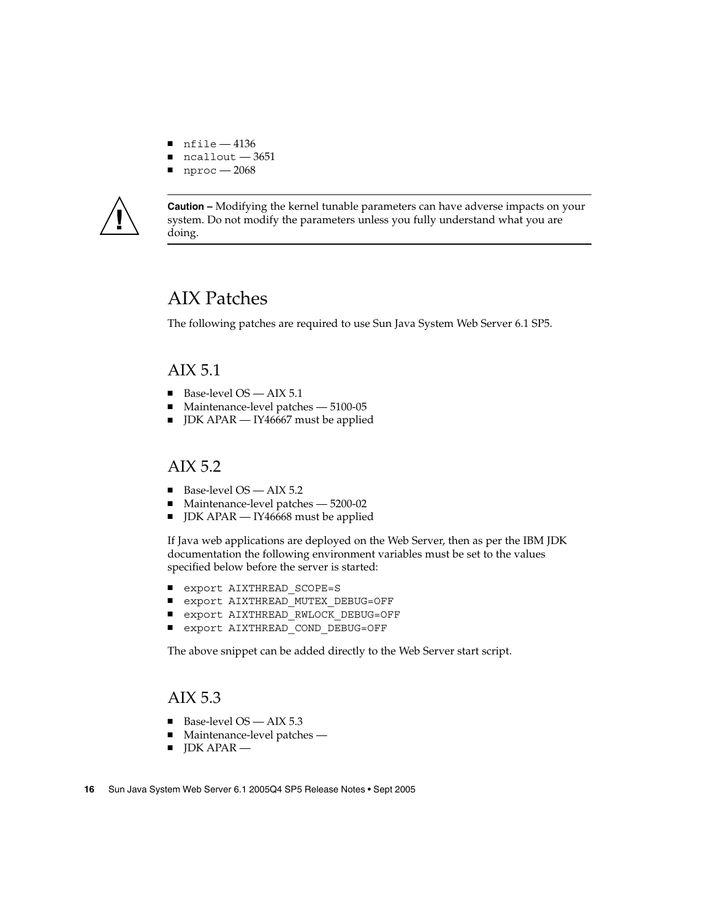- <span id="page-15-0"></span> $\n$  nfile  $-4136$
- $ncallout 3651$
- nproc 2068



**Caution –** Modifying the kernel tunable parameters can have adverse impacts on your system. Do not modify the parameters unless you fully understand what you are doing.

### AIX Patches

The following patches are required to use Sun Java System Web Server 6.1 SP5.

### AIX 5.1

- Base-level OS AIX 5.1
- Maintenance-level patches 5100-05
- JDK APAR IY46667 must be applied

#### AIX 5.2

- Base-level OS AIX 5.2
- Maintenance-level patches 5200-02
- JDK APAR IY46668 must be applied

If Java web applications are deployed on the Web Server, then as per the IBM JDK documentation the following environment variables must be set to the values specified below before the server is started:

- export AIXTHREAD SCOPE=S
- export AIXTHREAD MUTEX DEBUG=OFF
- export AIXTHREAD RWLOCK DEBUG=OFF
- export AIXTHREAD COND DEBUG=OFF

The above snippet can be added directly to the Web Server start script.

### AIX 5.3

- Base-level OS AIX 5.3
- Maintenance-level patches -
- JDK APAR —
- **16** Sun Java System Web Server 6.1 2005Q4 SP5 Release Notes Sept 2005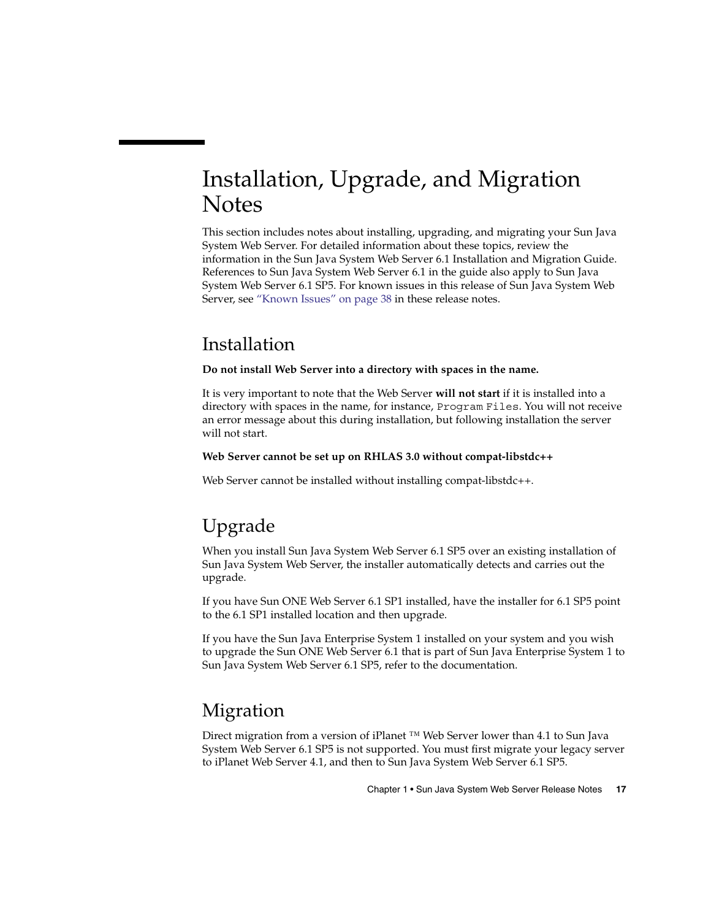# <span id="page-16-0"></span>Installation, Upgrade, and Migration **Notes**

This section includes notes about installing, upgrading, and migrating your Sun Java System Web Server. For detailed information about these topics, review the information in the Sun Java System Web Server 6.1 Installation and Migration Guide. References to Sun Java System Web Server 6.1 in the guide also apply to Sun Java System Web Server 6.1 SP5. For known issues in this release of Sun Java System Web Server, see ["Known Issues"](#page-37-0) on page 38 in these release notes.

## Installation

#### **Do not install Web Server into a directory with spaces in the name.**

It is very important to note that the Web Server **will not start** if it is installed into a directory with spaces in the name, for instance, Program Files. You will not receive an error message about this during installation, but following installation the server will not start.

#### **Web Server cannot be set up on RHLAS 3.0 without compat-libstdc++**

Web Server cannot be installed without installing compat-libstdc++.

## Upgrade

When you install Sun Java System Web Server 6.1 SP5 over an existing installation of Sun Java System Web Server, the installer automatically detects and carries out the upgrade.

If you have Sun ONE Web Server 6.1 SP1 installed, have the installer for 6.1 SP5 point to the 6.1 SP1 installed location and then upgrade.

If you have the Sun Java Enterprise System 1 installed on your system and you wish to upgrade the Sun ONE Web Server 6.1 that is part of Sun Java Enterprise System 1 to Sun Java System Web Server 6.1 SP5, refer to the documentation.

## Migration

Direct migration from a version of iPlanet ™ Web Server lower than 4.1 to Sun Java System Web Server 6.1 SP5 is not supported. You must first migrate your legacy server to iPlanet Web Server 4.1, and then to Sun Java System Web Server 6.1 SP5.

Chapter 1 • Sun Java System Web Server Release Notes **17**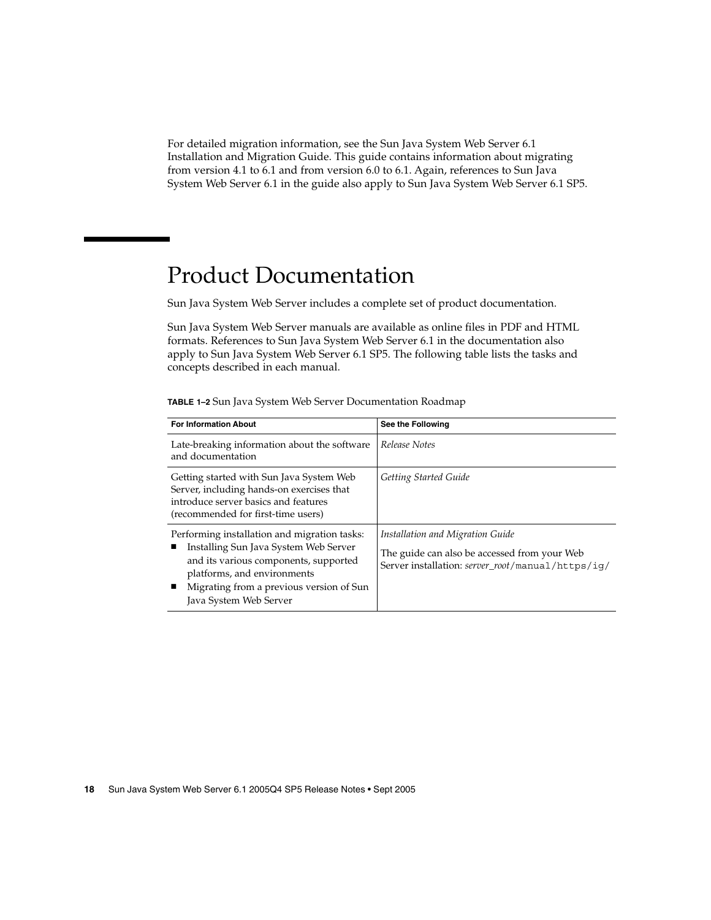<span id="page-17-0"></span>For detailed migration information, see the Sun Java System Web Server 6.1 Installation and Migration Guide. This guide contains information about migrating from version 4.1 to 6.1 and from version 6.0 to 6.1. Again, references to Sun Java System Web Server 6.1 in the guide also apply to Sun Java System Web Server 6.1 SP5.

## Product Documentation

Sun Java System Web Server includes a complete set of product documentation.

Sun Java System Web Server manuals are available as online files in PDF and HTML formats. References to Sun Java System Web Server 6.1 in the documentation also apply to Sun Java System Web Server 6.1 SP5. The following table lists the tasks and concepts described in each manual.

| <b>For Information About</b>                                                                                                                                                                                                        | See the Following                                                                                                                     |
|-------------------------------------------------------------------------------------------------------------------------------------------------------------------------------------------------------------------------------------|---------------------------------------------------------------------------------------------------------------------------------------|
| Late-breaking information about the software<br>and documentation                                                                                                                                                                   | Release Notes                                                                                                                         |
| Getting started with Sun Java System Web<br>Server, including hands-on exercises that<br>introduce server basics and features<br>(recommended for first-time users)                                                                 | Getting Started Guide                                                                                                                 |
| Performing installation and migration tasks:<br>Installing Sun Java System Web Server<br>and its various components, supported<br>platforms, and environments<br>Migrating from a previous version of Sun<br>Java System Web Server | Installation and Migration Guide<br>The guide can also be accessed from your Web<br>Server installation: server_root/manual/https/iq/ |

**TABLE 1–2** Sun Java System Web Server Documentation Roadmap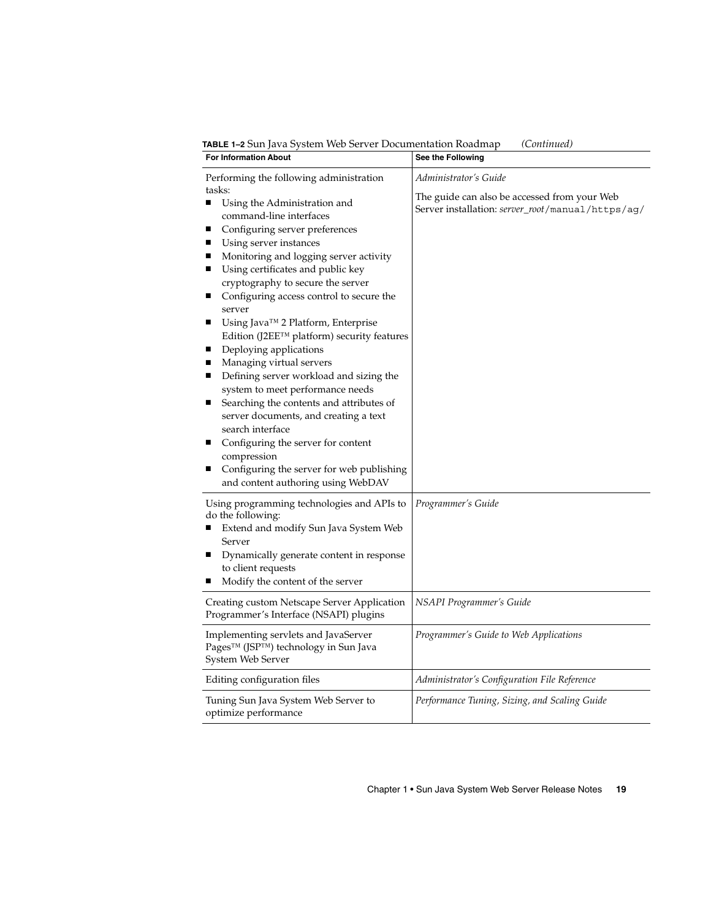**TABLE 1–2** Sun Java System Web Server Documentation Roadmap *(Continued)*

| <b>For Information About</b>                                                                                                                                                                                                                                                                                                                                                                                                                                                                                                                                                                                                                                                                                                                                                                                                                  | See the Following                                                                                                          |  |
|-----------------------------------------------------------------------------------------------------------------------------------------------------------------------------------------------------------------------------------------------------------------------------------------------------------------------------------------------------------------------------------------------------------------------------------------------------------------------------------------------------------------------------------------------------------------------------------------------------------------------------------------------------------------------------------------------------------------------------------------------------------------------------------------------------------------------------------------------|----------------------------------------------------------------------------------------------------------------------------|--|
| Performing the following administration<br>tasks:<br>Using the Administration and<br>п<br>command-line interfaces<br>Configuring server preferences<br>ш<br>Using server instances<br>п<br>Monitoring and logging server activity<br>п<br>Using certificates and public key<br>п<br>cryptography to secure the server<br>Configuring access control to secure the<br>ш<br>server<br>Using Java™ 2 Platform, Enterprise<br>п<br>Edition (J2EE™ platform) security features<br>Deploying applications<br>п<br>Managing virtual servers<br>п<br>Defining server workload and sizing the<br>system to meet performance needs<br>Searching the contents and attributes of<br>п<br>server documents, and creating a text<br>search interface<br>Configuring the server for content<br>ш<br>compression<br>Configuring the server for web publishing | Administrator's Guide<br>The guide can also be accessed from your Web<br>Server installation: server_root/manual/https/ag/ |  |
| and content authoring using WebDAV<br>Using programming technologies and APIs to<br>do the following:<br>Extend and modify Sun Java System Web<br>Server<br>Dynamically generate content in response<br>п<br>to client requests<br>Modify the content of the server                                                                                                                                                                                                                                                                                                                                                                                                                                                                                                                                                                           | Programmer's Guide                                                                                                         |  |
| Creating custom Netscape Server Application<br>Programmer's Interface (NSAPI) plugins                                                                                                                                                                                                                                                                                                                                                                                                                                                                                                                                                                                                                                                                                                                                                         | <b>NSAPI</b> Programmer's Guide                                                                                            |  |
| Implementing servlets and JavaServer<br>Pages™ (JSP™) technology in Sun Java<br>System Web Server                                                                                                                                                                                                                                                                                                                                                                                                                                                                                                                                                                                                                                                                                                                                             | Programmer's Guide to Web Applications                                                                                     |  |
| Editing configuration files                                                                                                                                                                                                                                                                                                                                                                                                                                                                                                                                                                                                                                                                                                                                                                                                                   | Administrator's Configuration File Reference                                                                               |  |
| Tuning Sun Java System Web Server to<br>optimize performance                                                                                                                                                                                                                                                                                                                                                                                                                                                                                                                                                                                                                                                                                                                                                                                  | Performance Tuning, Sizing, and Scaling Guide                                                                              |  |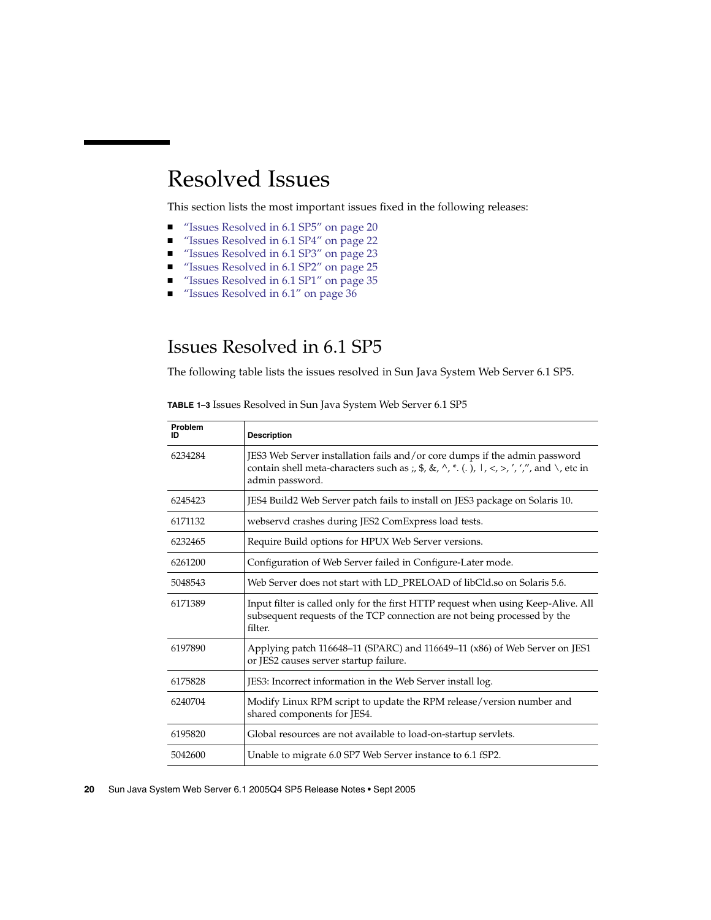# <span id="page-19-0"></span>Resolved Issues

This section lists the most important issues fixed in the following releases:

- "Issues Resolved in 6.1 SP5" on page 20
- ["Issues Resolved in 6.1 SP4"](#page-21-0) on page 22
- ["Issues Resolved in 6.1 SP3"](#page-22-0) on page 23
- ["Issues Resolved in 6.1 SP2"](#page-24-0) on page 25
- ["Issues Resolved in 6.1 SP1"](#page-34-0) on page 35
- ["Issues Resolved in 6.1"](#page-35-0) on page 36

## Issues Resolved in 6.1 SP5

The following table lists the issues resolved in Sun Java System Web Server 6.1 SP5.

| Problem<br>ID | <b>Description</b>                                                                                                                                                                                                                                                                                                               |
|---------------|----------------------------------------------------------------------------------------------------------------------------------------------------------------------------------------------------------------------------------------------------------------------------------------------------------------------------------|
| 6234284       | JES3 Web Server installation fails and/or core dumps if the admin password<br>contain shell meta-characters such as ;, $\frac{1}{2}$ , $\frac{1}{2}$ , $\frac{1}{2}$ , $\frac{1}{2}$ , $\frac{1}{2}$ , $\frac{1}{2}$ , $\frac{1}{2}$ , $\frac{1}{2}$ , $\frac{1}{2}$ , $\frac{1}{2}$ , $\frac{1}{2}$ , etc in<br>admin password. |
| 6245423       | JES4 Build2 Web Server patch fails to install on JES3 package on Solaris 10.                                                                                                                                                                                                                                                     |
| 6171132       | webservd crashes during JES2 ComExpress load tests.                                                                                                                                                                                                                                                                              |
| 6232465       | Require Build options for HPUX Web Server versions.                                                                                                                                                                                                                                                                              |
| 6261200       | Configuration of Web Server failed in Configure-Later mode.                                                                                                                                                                                                                                                                      |
| 5048543       | Web Server does not start with LD PRELOAD of libCld.so on Solaris 5.6.                                                                                                                                                                                                                                                           |
| 6171389       | Input filter is called only for the first HTTP request when using Keep-Alive. All<br>subsequent requests of the TCP connection are not being processed by the<br>filter.                                                                                                                                                         |
| 6197890       | Applying patch 116648–11 (SPARC) and 116649–11 (x86) of Web Server on JES1<br>or JES2 causes server startup failure.                                                                                                                                                                                                             |
| 6175828       | JES3: Incorrect information in the Web Server install log.                                                                                                                                                                                                                                                                       |
| 6240704       | Modify Linux RPM script to update the RPM release/version number and<br>shared components for JES4.                                                                                                                                                                                                                              |
| 6195820       | Global resources are not available to load-on-startup servlets.                                                                                                                                                                                                                                                                  |
| 5042600       | Unable to migrate 6.0 SP7 Web Server instance to 6.1 fSP2.                                                                                                                                                                                                                                                                       |

**TABLE 1–3** Issues Resolved in Sun Java System Web Server 6.1 SP5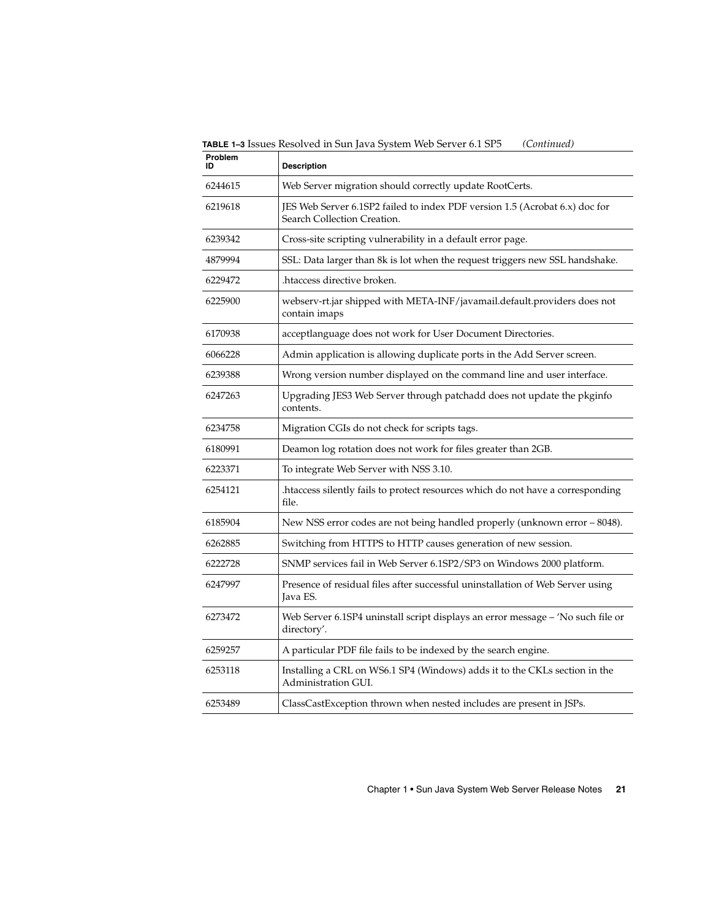**TABLE 1–3** Issues Resolved in Sun Java System Web Server 6.1 SP5 *(Continued)*

| Problem<br>ID | <b>Description</b>                                                                                         |
|---------------|------------------------------------------------------------------------------------------------------------|
| 6244615       | Web Server migration should correctly update RootCerts.                                                    |
| 6219618       | JES Web Server 6.1SP2 failed to index PDF version 1.5 (Acrobat 6.x) doc for<br>Search Collection Creation. |
| 6239342       | Cross-site scripting vulnerability in a default error page.                                                |
| 4879994       | SSL: Data larger than 8k is lot when the request triggers new SSL handshake.                               |
| 6229472       | htaccess directive broken.                                                                                 |
| 6225900       | webserv-rt.jar shipped with META-INF/javamail.default.providers does not<br>contain imaps                  |
| 6170938       | acceptlanguage does not work for User Document Directories.                                                |
| 6066228       | Admin application is allowing duplicate ports in the Add Server screen.                                    |
| 6239388       | Wrong version number displayed on the command line and user interface.                                     |
| 6247263       | Upgrading JES3 Web Server through patchadd does not update the pkginfo<br>contents.                        |
| 6234758       | Migration CGIs do not check for scripts tags.                                                              |
| 6180991       | Deamon log rotation does not work for files greater than 2GB.                                              |
| 6223371       | To integrate Web Server with NSS 3.10.                                                                     |
| 6254121       | htaccess silently fails to protect resources which do not have a corresponding.<br>file.                   |
| 6185904       | New NSS error codes are not being handled properly (unknown error - 8048).                                 |
| 6262885       | Switching from HTTPS to HTTP causes generation of new session.                                             |
| 6222728       | SNMP services fail in Web Server 6.1SP2/SP3 on Windows 2000 platform.                                      |
| 6247997       | Presence of residual files after successful uninstallation of Web Server using<br>Java ES.                 |
| 6273472       | Web Server 6.1SP4 uninstall script displays an error message - 'No such file or<br>directory'.             |
| 6259257       | A particular PDF file fails to be indexed by the search engine.                                            |
| 6253118       | Installing a CRL on WS6.1 SP4 (Windows) adds it to the CKLs section in the<br>Administration GUI.          |
| 6253489       | ClassCastException thrown when nested includes are present in JSPs.                                        |
|               |                                                                                                            |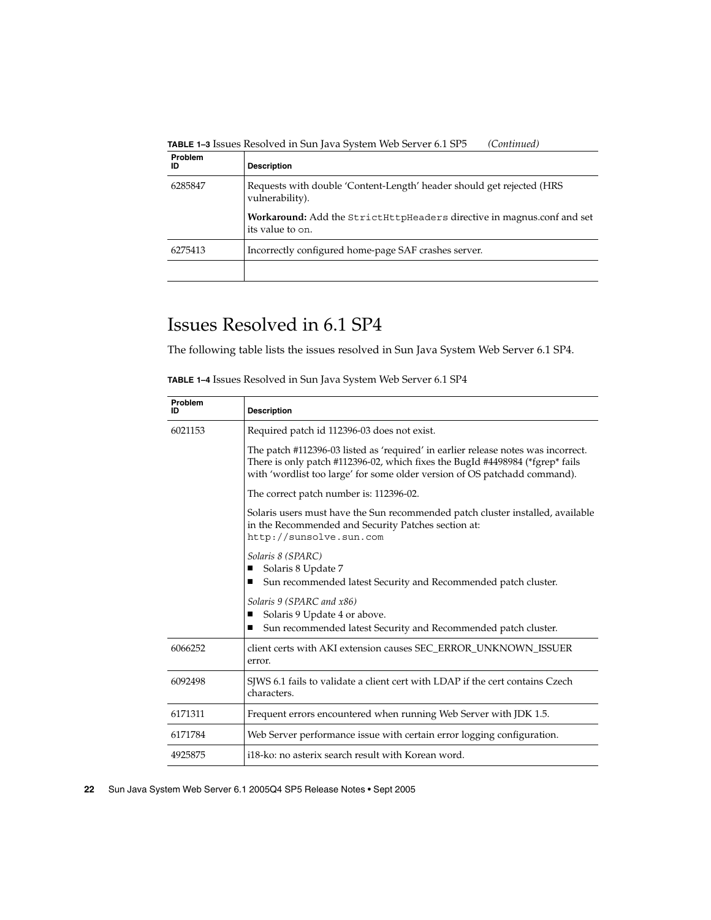<span id="page-21-0"></span>**TABLE 1–3** Issues Resolved in Sun Java System Web Server 6.1 SP5 *(Continued)*

| Problem<br>ID | <b>Description</b>                                                                         |
|---------------|--------------------------------------------------------------------------------------------|
| 6285847       | Requests with double 'Content-Length' header should get rejected (HRS<br>vulnerability).   |
|               | Workaround: Add the StrictHttpHeaders directive in magnus.conf and set<br>its value to on. |
| 6275413       | Incorrectly configured home-page SAF crashes server.                                       |
|               |                                                                                            |

## Issues Resolved in 6.1 SP4

The following table lists the issues resolved in Sun Java System Web Server 6.1 SP4.

| Problem<br>ID | <b>Description</b>                                                                                                                                                                                                                              |
|---------------|-------------------------------------------------------------------------------------------------------------------------------------------------------------------------------------------------------------------------------------------------|
| 6021153       | Required patch id 112396-03 does not exist.                                                                                                                                                                                                     |
|               | The patch #112396-03 listed as 'required' in earlier release notes was incorrect.<br>There is only patch #112396-02, which fixes the BugId #4498984 (*fgrep* fails<br>with 'wordlist too large' for some older version of OS patchadd command). |
|               | The correct patch number is: 112396-02.                                                                                                                                                                                                         |
|               | Solaris users must have the Sun recommended patch cluster installed, available<br>in the Recommended and Security Patches section at:<br>http://sunsolve.sun.com                                                                                |
|               | Solaris 8 (SPARC)<br>Solaris 8 Update 7<br>■<br>Sun recommended latest Security and Recommended patch cluster.<br>■                                                                                                                             |
|               | Solaris 9 (SPARC and x86)<br>Solaris 9 Update 4 or above.<br>п<br>Sun recommended latest Security and Recommended patch cluster.<br>■                                                                                                           |
| 6066252       | client certs with AKI extension causes SEC_ERROR_UNKNOWN_ISSUER<br>error.                                                                                                                                                                       |
| 6092498       | SJWS 6.1 fails to validate a client cert with LDAP if the cert contains Czech<br>characters.                                                                                                                                                    |
| 6171311       | Frequent errors encountered when running Web Server with JDK 1.5.                                                                                                                                                                               |
| 6171784       | Web Server performance issue with certain error logging configuration.                                                                                                                                                                          |
| 4925875       | i18-ko: no asterix search result with Korean word.                                                                                                                                                                                              |

**TABLE 1–4** Issues Resolved in Sun Java System Web Server 6.1 SP4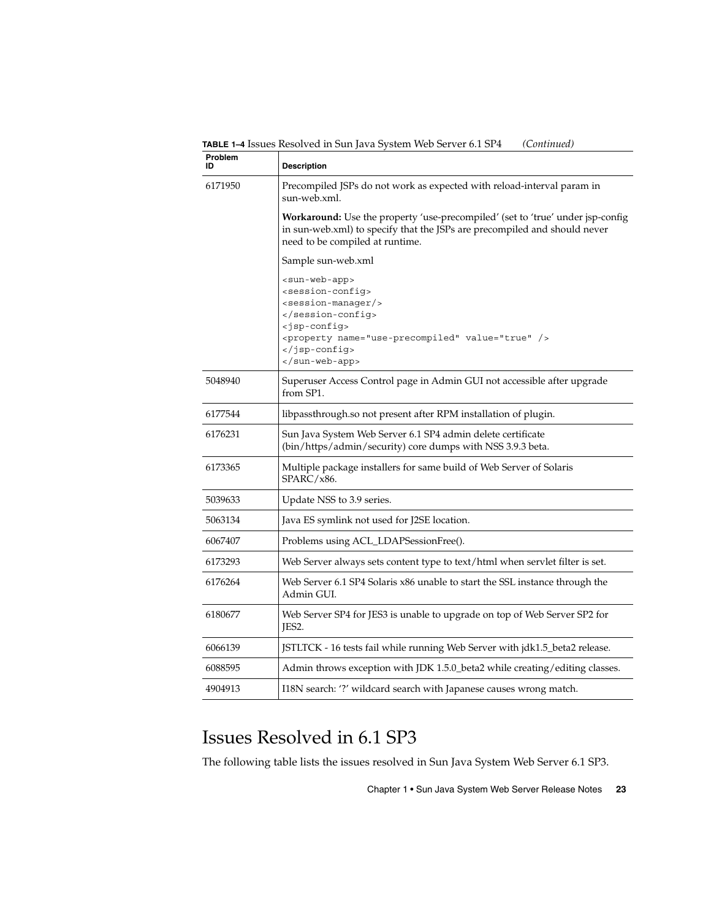<span id="page-22-0"></span>**TABLE 1–4** Issues Resolved in Sun Java System Web Server 6.1 SP4 *(Continued)*

| Problem<br>ID | <b>Description</b>                                                                                                                                                                                                   |
|---------------|----------------------------------------------------------------------------------------------------------------------------------------------------------------------------------------------------------------------|
| 6171950       | Precompiled JSPs do not work as expected with reload-interval param in<br>sun-web.xml.                                                                                                                               |
|               | Workaround: Use the property 'use-precompiled' (set to 'true' under jsp-config<br>in sun-web.xml) to specify that the JSPs are precompiled and should never<br>need to be compiled at runtime.                       |
|               | Sample sun-web.xml                                                                                                                                                                                                   |
|               | <sun-web-app><br/><session-confiq><br/><session-manager></session-manager><br/><br/><jsp-config><br/><property name="use-precompiled" value="true"></property><br/></jsp-config><br/></session-confiq></sun-web-app> |
| 5048940       | Superuser Access Control page in Admin GUI not accessible after upgrade<br>from SP1.                                                                                                                                 |
| 6177544       | libpassthrough.so not present after RPM installation of plugin.                                                                                                                                                      |
| 6176231       | Sun Java System Web Server 6.1 SP4 admin delete certificate<br>(bin/https/admin/security) core dumps with NSS 3.9.3 beta.                                                                                            |
| 6173365       | Multiple package installers for same build of Web Server of Solaris<br>SPARC/x86.                                                                                                                                    |
| 5039633       | Update NSS to 3.9 series.                                                                                                                                                                                            |
| 5063134       | Java ES symlink not used for J2SE location.                                                                                                                                                                          |
| 6067407       | Problems using ACL_LDAPSessionFree().                                                                                                                                                                                |
| 6173293       | Web Server always sets content type to text/html when servlet filter is set.                                                                                                                                         |
| 6176264       | Web Server 6.1 SP4 Solaris x86 unable to start the SSL instance through the<br>Admin GUI.                                                                                                                            |
| 6180677       | Web Server SP4 for JES3 is unable to upgrade on top of Web Server SP2 for<br>JES2.                                                                                                                                   |
| 6066139       | JSTLTCK - 16 tests fail while running Web Server with jdk1.5_beta2 release.                                                                                                                                          |
| 6088595       | Admin throws exception with JDK 1.5.0_beta2 while creating/editing classes.                                                                                                                                          |
| 4904913       | I18N search: '?' wildcard search with Japanese causes wrong match.                                                                                                                                                   |

## Issues Resolved in 6.1 SP3

The following table lists the issues resolved in Sun Java System Web Server 6.1 SP3.

Chapter 1 • Sun Java System Web Server Release Notes **23**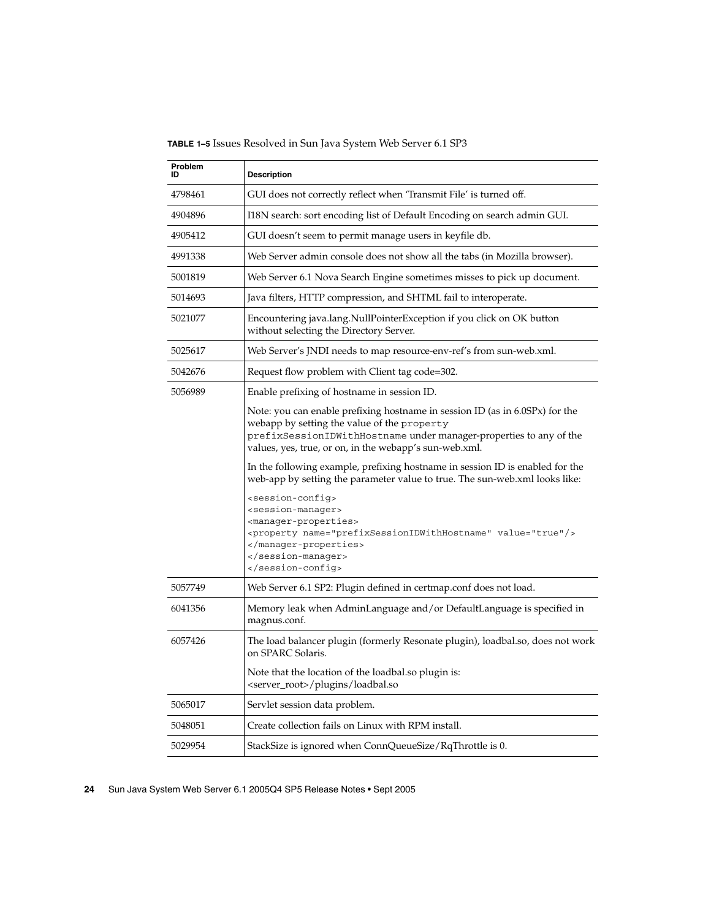**TABLE 1–5** Issues Resolved in Sun Java System Web Server 6.1 SP3

| Problem<br>ID | <b>Description</b>                                                                                                                                                                                                                                          |
|---------------|-------------------------------------------------------------------------------------------------------------------------------------------------------------------------------------------------------------------------------------------------------------|
| 4798461       | GUI does not correctly reflect when 'Transmit File' is turned off.                                                                                                                                                                                          |
| 4904896       | I18N search: sort encoding list of Default Encoding on search admin GUI.                                                                                                                                                                                    |
| 4905412       | GUI doesn't seem to permit manage users in keyfile db.                                                                                                                                                                                                      |
| 4991338       | Web Server admin console does not show all the tabs (in Mozilla browser).                                                                                                                                                                                   |
| 5001819       | Web Server 6.1 Nova Search Engine sometimes misses to pick up document.                                                                                                                                                                                     |
| 5014693       | Java filters, HTTP compression, and SHTML fail to interoperate.                                                                                                                                                                                             |
| 5021077       | Encountering java.lang.NullPointerException if you click on OK button<br>without selecting the Directory Server.                                                                                                                                            |
| 5025617       | Web Server's JNDI needs to map resource-env-ref's from sun-web.xml.                                                                                                                                                                                         |
| 5042676       | Request flow problem with Client tag code=302.                                                                                                                                                                                                              |
| 5056989       | Enable prefixing of hostname in session ID.                                                                                                                                                                                                                 |
|               | Note: you can enable prefixing hostname in session ID (as in 6.0SPx) for the<br>webapp by setting the value of the property<br>prefixSessionIDWithHostname under manager-properties to any of the<br>values, yes, true, or on, in the webapp's sun-web.xml. |
|               | In the following example, prefixing hostname in session ID is enabled for the<br>web-app by setting the parameter value to true. The sun-web.xml looks like:                                                                                                |
|               | <session-config><br/><session-manager><br/><manager-properties><br/><property name="prefixSessionIDWithHostname" value="true"></property><br/></manager-properties><br/></session-manager><br/></session-config>                                            |
| 5057749       | Web Server 6.1 SP2: Plugin defined in certmap.conf does not load.                                                                                                                                                                                           |
| 6041356       | Memory leak when AdminLanguage and/or DefaultLanguage is specified in<br>magnus.conf.                                                                                                                                                                       |
| 6057426       | The load balancer plugin (formerly Resonate plugin), loadbal.so, does not work<br>on SPARC Solaris.                                                                                                                                                         |
|               | Note that the location of the loadbal.so plugin is:<br><server_root>/plugins/loadbal.so</server_root>                                                                                                                                                       |
| 5065017       | Servlet session data problem.                                                                                                                                                                                                                               |
| 5048051       | Create collection fails on Linux with RPM install.                                                                                                                                                                                                          |
| 5029954       | StackSize is ignored when ConnQueueSize/RqThrottle is 0.                                                                                                                                                                                                    |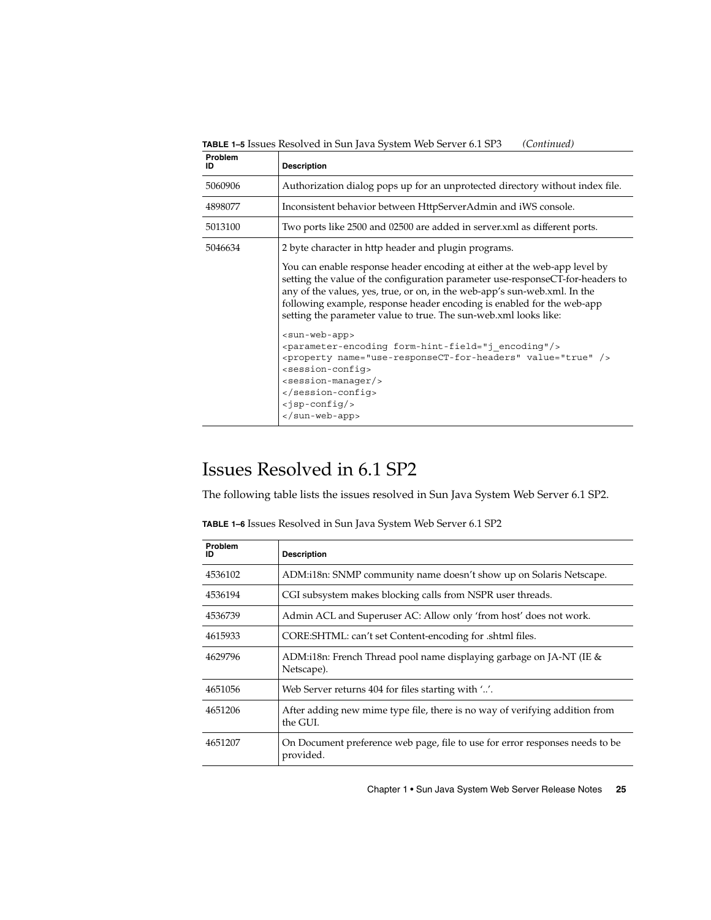**Problem ID Description** 5060906 Authorization dialog pops up for an unprotected directory without index file. 4898077 Inconsistent behavior between HttpServerAdmin and iWS console. 5013100 Two ports like 2500 and 02500 are added in server.xml as different ports. 5046634 2 byte character in http header and plugin programs. You can enable response header encoding at either at the web-app level by setting the value of the configuration parameter use-responseCT-for-headers to any of the values, yes, true, or on, in the web-app's sun-web.xml. In the following example, response header encoding is enabled for the web-app setting the parameter value to true. The sun-web.xml looks like: <sun-web-app> <parameter-encoding form-hint-field="j\_encoding"/> <property name="use-responseCT-for-headers" value="true" /> <session-config> <session-manager/> </session-config> <jsp-config/> </sun-web-app>

<span id="page-24-0"></span>**TABLE 1–5** Issues Resolved in Sun Java System Web Server 6.1 SP3 *(Continued)*

### Issues Resolved in 6.1 SP2

The following table lists the issues resolved in Sun Java System Web Server 6.1 SP2.

| Problem<br>ID | <b>Description</b>                                                                        |
|---------------|-------------------------------------------------------------------------------------------|
| 4536102       | ADM:i18n: SNMP community name doesn't show up on Solaris Netscape.                        |
| 4536194       | CGI subsystem makes blocking calls from NSPR user threads.                                |
| 4536739       | Admin ACL and Superuser AC: Allow only 'from host' does not work.                         |
| 4615933       | CORE: SHTML: can't set Content-encoding for .shtml files.                                 |
| 4629796       | ADM:118n: French Thread pool name displaying garbage on JA-NT (IE $\&$<br>Netscape).      |
| 4651056       | Web Server returns 404 for files starting with ''.                                        |
| 4651206       | After adding new mime type file, there is no way of verifying addition from<br>the GUI.   |
| 4651207       | On Document preference web page, file to use for error responses needs to be<br>provided. |

Chapter 1 • Sun Java System Web Server Release Notes **25**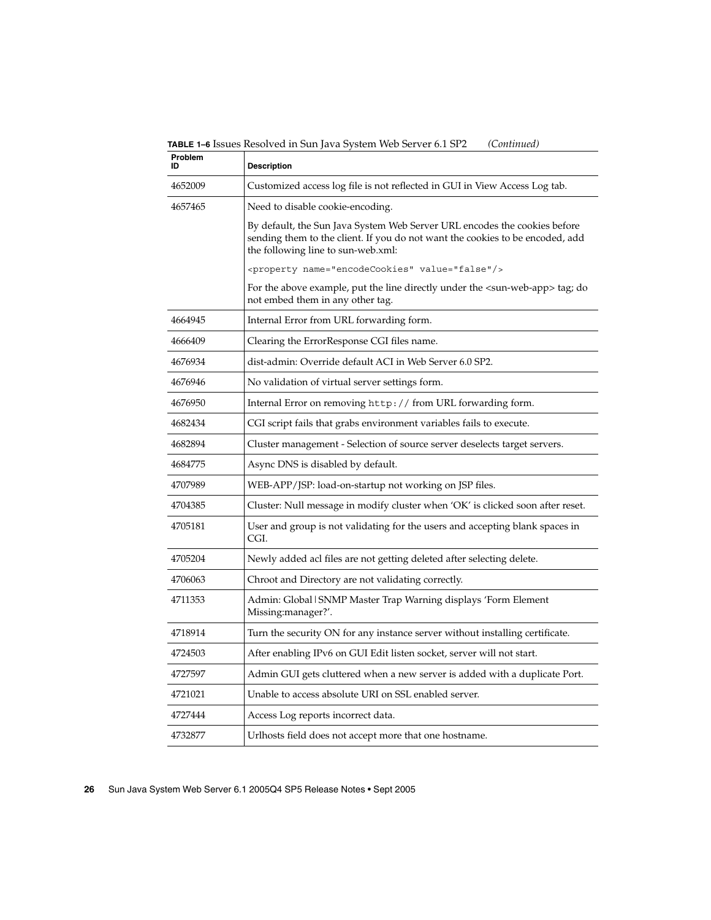**TABLE 1–6** Issues Resolved in Sun Java System Web Server 6.1 SP2 *(Continued)*

| Problem<br>חו | <b>Description</b>                                                                                                                                                                               |
|---------------|--------------------------------------------------------------------------------------------------------------------------------------------------------------------------------------------------|
| 4652009       | Customized access log file is not reflected in GUI in View Access Log tab.                                                                                                                       |
| 4657465       | Need to disable cookie-encoding.                                                                                                                                                                 |
|               | By default, the Sun Java System Web Server URL encodes the cookies before<br>sending them to the client. If you do not want the cookies to be encoded, add<br>the following line to sun-web.xml: |
|               | <property name="encodeCookies" value="false"></property>                                                                                                                                         |
|               | For the above example, put the line directly under the $\langle \text{sun-web-app} \rangle$ tag; do<br>not embed them in any other tag.                                                          |
| 4664945       | Internal Error from URL forwarding form.                                                                                                                                                         |
| 4666409       | Clearing the ErrorResponse CGI files name.                                                                                                                                                       |
| 4676934       | dist-admin: Override default ACI in Web Server 6.0 SP2.                                                                                                                                          |
| 4676946       | No validation of virtual server settings form.                                                                                                                                                   |
| 4676950       | Internal Error on removing http://from URL forwarding form.                                                                                                                                      |
| 4682434       | CGI script fails that grabs environment variables fails to execute.                                                                                                                              |
| 4682894       | Cluster management - Selection of source server deselects target servers.                                                                                                                        |
| 4684775       | Async DNS is disabled by default.                                                                                                                                                                |
| 4707989       | WEB-APP/JSP: load-on-startup not working on JSP files.                                                                                                                                           |
| 4704385       | Cluster: Null message in modify cluster when 'OK' is clicked soon after reset.                                                                                                                   |
| 4705181       | User and group is not validating for the users and accepting blank spaces in<br>CGI.                                                                                                             |
| 4705204       | Newly added acl files are not getting deleted after selecting delete.                                                                                                                            |
| 4706063       | Chroot and Directory are not validating correctly.                                                                                                                                               |
| 4711353       | Admin: Global   SNMP Master Trap Warning displays 'Form Element<br>Missing:manager?'.                                                                                                            |
| 4718914       | Turn the security ON for any instance server without installing certificate.                                                                                                                     |
| 4724503       | After enabling IPv6 on GUI Edit listen socket, server will not start.                                                                                                                            |
| 4727597       | Admin GUI gets cluttered when a new server is added with a duplicate Port.                                                                                                                       |
| 4721021       | Unable to access absolute URI on SSL enabled server.                                                                                                                                             |
| 4727444       | Access Log reports incorrect data.                                                                                                                                                               |
| 4732877       | Urlhosts field does not accept more that one hostname.                                                                                                                                           |
|               |                                                                                                                                                                                                  |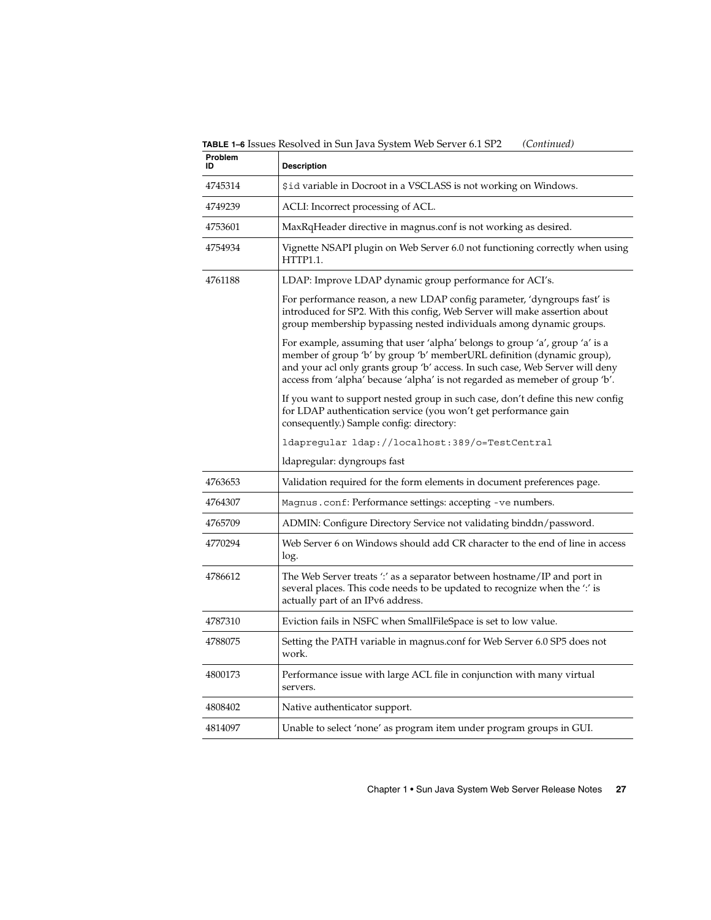**TABLE 1–6** Issues Resolved in Sun Java System Web Server 6.1 SP2 *(Continued)*

| Problem<br>ID | <b>Description</b>                                                                                                                                                                                                                                                                                                      |
|---------------|-------------------------------------------------------------------------------------------------------------------------------------------------------------------------------------------------------------------------------------------------------------------------------------------------------------------------|
| 4745314       | \$id variable in Docroot in a VSCLASS is not working on Windows.                                                                                                                                                                                                                                                        |
| 4749239       | ACLI: Incorrect processing of ACL.                                                                                                                                                                                                                                                                                      |
| 4753601       | MaxRqHeader directive in magnus.conf is not working as desired.                                                                                                                                                                                                                                                         |
| 4754934       | Vignette NSAPI plugin on Web Server 6.0 not functioning correctly when using<br><b>HTTP1.1.</b>                                                                                                                                                                                                                         |
| 4761188       | LDAP: Improve LDAP dynamic group performance for ACI's.                                                                                                                                                                                                                                                                 |
|               | For performance reason, a new LDAP config parameter, 'dyngroups fast' is<br>introduced for SP2. With this config, Web Server will make assertion about<br>group membership bypassing nested individuals among dynamic groups.                                                                                           |
|               | For example, assuming that user 'alpha' belongs to group 'a', group 'a' is a<br>member of group 'b' by group 'b' memberURL definition (dynamic group),<br>and your acl only grants group 'b' access. In such case, Web Server will deny<br>access from 'alpha' because 'alpha' is not regarded as memeber of group 'b'. |
|               | If you want to support nested group in such case, don't define this new config<br>for LDAP authentication service (you won't get performance gain<br>consequently.) Sample config: directory:                                                                                                                           |
|               | ldapregular ldap://localhost:389/o=TestCentral                                                                                                                                                                                                                                                                          |
|               | ldapregular: dyngroups fast                                                                                                                                                                                                                                                                                             |
| 4763653       | Validation required for the form elements in document preferences page.                                                                                                                                                                                                                                                 |
| 4764307       | Magnus.conf: Performance settings: accepting -ve numbers.                                                                                                                                                                                                                                                               |
| 4765709       | ADMIN: Configure Directory Service not validating binddn/password.                                                                                                                                                                                                                                                      |
| 4770294       | Web Server 6 on Windows should add CR character to the end of line in access<br>log.                                                                                                                                                                                                                                    |
| 4786612       | The Web Server treats ':' as a separator between hostname/IP and port in<br>several places. This code needs to be updated to recognize when the ':' is<br>actually part of an IPv6 address.                                                                                                                             |
| 4787310       | Eviction fails in NSFC when SmallFileSpace is set to low value.                                                                                                                                                                                                                                                         |
| 4788075       | Setting the PATH variable in magnus.conf for Web Server 6.0 SP5 does not<br>work.                                                                                                                                                                                                                                       |
| 4800173       | Performance issue with large ACL file in conjunction with many virtual<br>servers.                                                                                                                                                                                                                                      |
| 4808402       | Native authenticator support.                                                                                                                                                                                                                                                                                           |
| 4814097       | Unable to select 'none' as program item under program groups in GUI.                                                                                                                                                                                                                                                    |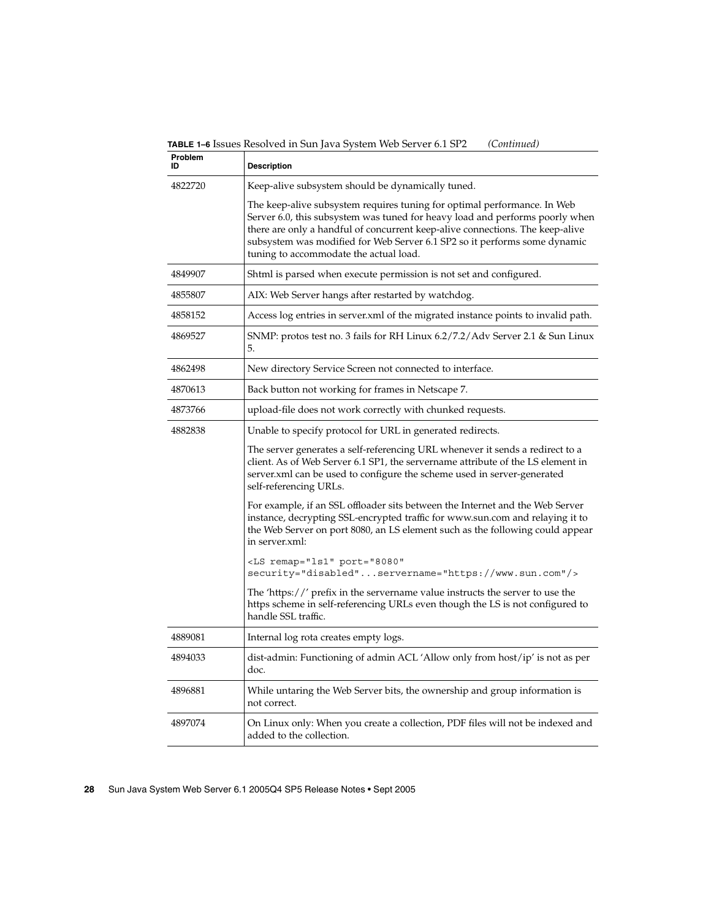**TABLE 1–6** Issues Resolved in Sun Java System Web Server 6.1 SP2 *(Continued)*

| Problem<br>ID | <b>Description</b>                                                                                                                                                                                                                                                                                                                                               |
|---------------|------------------------------------------------------------------------------------------------------------------------------------------------------------------------------------------------------------------------------------------------------------------------------------------------------------------------------------------------------------------|
| 4822720       | Keep-alive subsystem should be dynamically tuned.                                                                                                                                                                                                                                                                                                                |
|               | The keep-alive subsystem requires tuning for optimal performance. In Web<br>Server 6.0, this subsystem was tuned for heavy load and performs poorly when<br>there are only a handful of concurrent keep-alive connections. The keep-alive<br>subsystem was modified for Web Server 6.1 SP2 so it performs some dynamic<br>tuning to accommodate the actual load. |
| 4849907       | Shtml is parsed when execute permission is not set and configured.                                                                                                                                                                                                                                                                                               |
| 4855807       | AIX: Web Server hangs after restarted by watchdog.                                                                                                                                                                                                                                                                                                               |
| 4858152       | Access log entries in server.xml of the migrated instance points to invalid path.                                                                                                                                                                                                                                                                                |
| 4869527       | SNMP: protos test no. 3 fails for RH Linux 6.2/7.2/Adv Server 2.1 & Sun Linux<br>5.                                                                                                                                                                                                                                                                              |
| 4862498       | New directory Service Screen not connected to interface.                                                                                                                                                                                                                                                                                                         |
| 4870613       | Back button not working for frames in Netscape 7.                                                                                                                                                                                                                                                                                                                |
| 4873766       | upload-file does not work correctly with chunked requests.                                                                                                                                                                                                                                                                                                       |
| 4882838       | Unable to specify protocol for URL in generated redirects.                                                                                                                                                                                                                                                                                                       |
|               | The server generates a self-referencing URL whenever it sends a redirect to a<br>client. As of Web Server 6.1 SP1, the servername attribute of the LS element in<br>server.xml can be used to configure the scheme used in server-generated<br>self-referencing URLs.                                                                                            |
|               | For example, if an SSL offloader sits between the Internet and the Web Server<br>instance, decrypting SSL-encrypted traffic for www.sun.com and relaying it to<br>the Web Server on port 8080, an LS element such as the following could appear<br>in server.xml:                                                                                                |
|               | <ls <br="" port="8080" remap="ls1">security="disabled"servername="https://www.sun.com"/&gt;</ls>                                                                                                                                                                                                                                                                 |
|               | The 'https://' prefix in the servername value instructs the server to use the<br>https scheme in self-referencing URLs even though the LS is not configured to<br>handle SSL traffic.                                                                                                                                                                            |
| 4889081       | Internal log rota creates empty logs.                                                                                                                                                                                                                                                                                                                            |
| 4894033       | dist-admin: Functioning of admin ACL 'Allow only from host/ip' is not as per<br>doc.                                                                                                                                                                                                                                                                             |
| 4896881       | While untaring the Web Server bits, the ownership and group information is<br>not correct.                                                                                                                                                                                                                                                                       |
| 4897074       | On Linux only: When you create a collection, PDF files will not be indexed and<br>added to the collection.                                                                                                                                                                                                                                                       |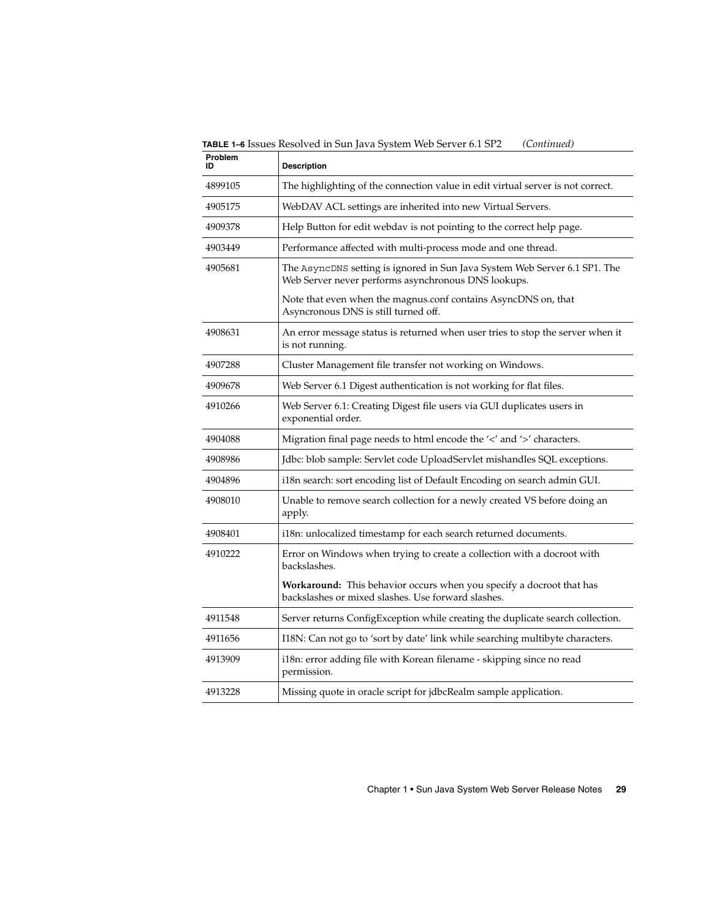**TABLE 1–6** Issues Resolved in Sun Java System Web Server 6.1 SP2 *(Continued)*

| <b>Problem</b><br>ID | <b>Description</b>                                                                                                                |
|----------------------|-----------------------------------------------------------------------------------------------------------------------------------|
| 4899105              | The highlighting of the connection value in edit virtual server is not correct.                                                   |
| 4905175              | WebDAV ACL settings are inherited into new Virtual Servers.                                                                       |
| 4909378              | Help Button for edit webdav is not pointing to the correct help page.                                                             |
| 4903449              | Performance affected with multi-process mode and one thread.                                                                      |
| 4905681              | The AsyncDNS setting is ignored in Sun Java System Web Server 6.1 SP1. The<br>Web Server never performs asynchronous DNS lookups. |
|                      | Note that even when the magnus.conf contains AsyncDNS on, that<br>Asyncronous DNS is still turned off.                            |
| 4908631              | An error message status is returned when user tries to stop the server when it<br>is not running.                                 |
| 4907288              | Cluster Management file transfer not working on Windows.                                                                          |
| 4909678              | Web Server 6.1 Digest authentication is not working for flat files.                                                               |
| 4910266              | Web Server 6.1: Creating Digest file users via GUI duplicates users in<br>exponential order.                                      |
| 4904088              | Migration final page needs to html encode the '<' and '>' characters.                                                             |
| 4908986              | Jdbc: blob sample: Servlet code UploadServlet mishandles SQL exceptions.                                                          |
| 4904896              | i18n search: sort encoding list of Default Encoding on search admin GUI.                                                          |
| 4908010              | Unable to remove search collection for a newly created VS before doing an<br>apply.                                               |
| 4908401              | i18n: unlocalized timestamp for each search returned documents.                                                                   |
| 4910222              | Error on Windows when trying to create a collection with a docroot with<br>backslashes.                                           |
|                      | Workaround: This behavior occurs when you specify a docroot that has<br>backslashes or mixed slashes. Use forward slashes.        |
| 4911548              | Server returns ConfigException while creating the duplicate search collection.                                                    |
| 4911656              | I18N: Can not go to 'sort by date' link while searching multibyte characters.                                                     |
| 4913909              | i18n: error adding file with Korean filename - skipping since no read<br>permission.                                              |
| 4913228              | Missing quote in oracle script for jdbcRealm sample application.                                                                  |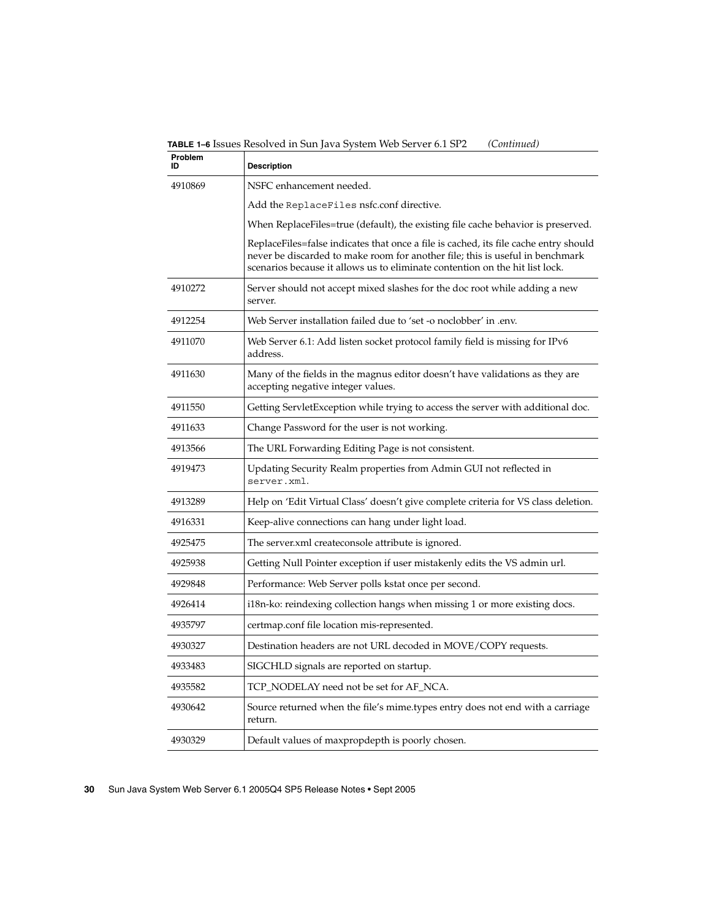**TABLE 1–6** Issues Resolved in Sun Java System Web Server 6.1 SP2 *(Continued)*

| Problem<br>ID | <b>Description</b>                                                                                                                                                                                                                                    |
|---------------|-------------------------------------------------------------------------------------------------------------------------------------------------------------------------------------------------------------------------------------------------------|
| 4910869       | NSFC enhancement needed.                                                                                                                                                                                                                              |
|               | Add the ReplaceFiles nsfc.conf directive.                                                                                                                                                                                                             |
|               | When ReplaceFiles=true (default), the existing file cache behavior is preserved.                                                                                                                                                                      |
|               | ReplaceFiles=false indicates that once a file is cached, its file cache entry should<br>never be discarded to make room for another file; this is useful in benchmark<br>scenarios because it allows us to eliminate contention on the hit list lock. |
| 4910272       | Server should not accept mixed slashes for the doc root while adding a new<br>server.                                                                                                                                                                 |
| 4912254       | Web Server installation failed due to 'set -o noclobber' in .env.                                                                                                                                                                                     |
| 4911070       | Web Server 6.1: Add listen socket protocol family field is missing for IPv6<br>address.                                                                                                                                                               |
| 4911630       | Many of the fields in the magnus editor doesn't have validations as they are<br>accepting negative integer values.                                                                                                                                    |
| 4911550       | Getting ServletException while trying to access the server with additional doc.                                                                                                                                                                       |
| 4911633       | Change Password for the user is not working.                                                                                                                                                                                                          |
| 4913566       | The URL Forwarding Editing Page is not consistent.                                                                                                                                                                                                    |
| 4919473       | Updating Security Realm properties from Admin GUI not reflected in<br>server.xml.                                                                                                                                                                     |
| 4913289       | Help on 'Edit Virtual Class' doesn't give complete criteria for VS class deletion.                                                                                                                                                                    |
| 4916331       | Keep-alive connections can hang under light load.                                                                                                                                                                                                     |
| 4925475       | The server.xml createconsole attribute is ignored.                                                                                                                                                                                                    |
| 4925938       | Getting Null Pointer exception if user mistakenly edits the VS admin url.                                                                                                                                                                             |
| 4929848       | Performance: Web Server polls kstat once per second.                                                                                                                                                                                                  |
| 4926414       | i18n-ko: reindexing collection hangs when missing 1 or more existing docs.                                                                                                                                                                            |
| 4935797       | certmap.conf file location mis-represented.                                                                                                                                                                                                           |
| 4930327       | Destination headers are not URL decoded in MOVE/COPY requests.                                                                                                                                                                                        |
| 4933483       | SIGCHLD signals are reported on startup.                                                                                                                                                                                                              |
| 4935582       | TCP_NODELAY need not be set for AF_NCA.                                                                                                                                                                                                               |
| 4930642       | Source returned when the file's mime.types entry does not end with a carriage<br>return.                                                                                                                                                              |
| 4930329       | Default values of maxpropdepth is poorly chosen.                                                                                                                                                                                                      |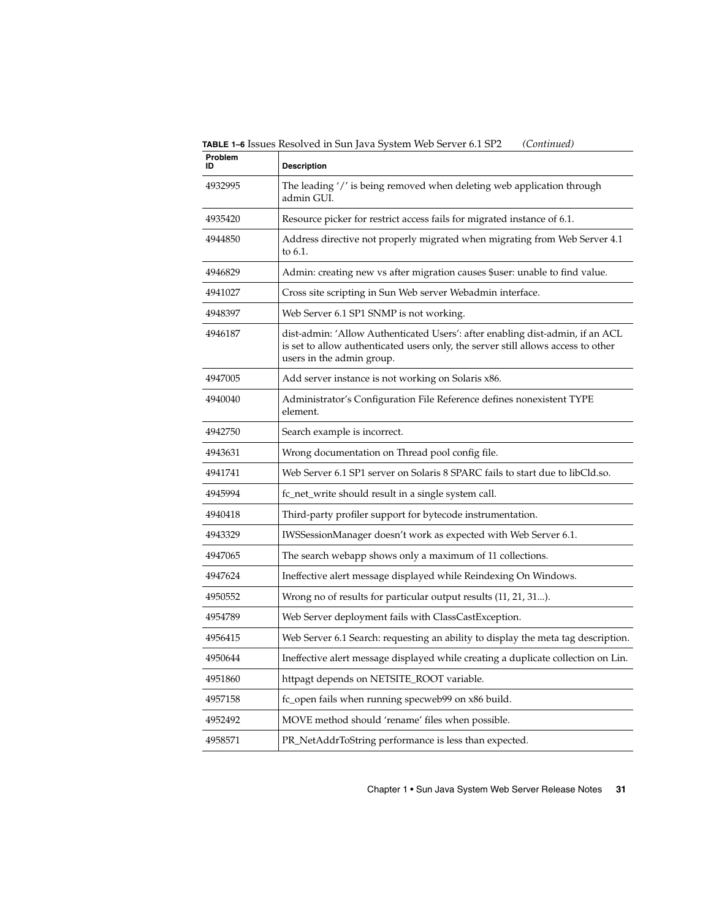**TABLE 1–6** Issues Resolved in Sun Java System Web Server 6.1 SP2 *(Continued)*

| Problem<br>ID | <b>Description</b>                                                                                                                                                                              |
|---------------|-------------------------------------------------------------------------------------------------------------------------------------------------------------------------------------------------|
| 4932995       | The leading '/' is being removed when deleting web application through<br>admin GUI.                                                                                                            |
| 4935420       | Resource picker for restrict access fails for migrated instance of 6.1.                                                                                                                         |
| 4944850       | Address directive not properly migrated when migrating from Web Server 4.1<br>to 6.1.                                                                                                           |
| 4946829       | Admin: creating new vs after migration causes \$user: unable to find value.                                                                                                                     |
| 4941027       | Cross site scripting in Sun Web server Webadmin interface.                                                                                                                                      |
| 4948397       | Web Server 6.1 SP1 SNMP is not working.                                                                                                                                                         |
| 4946187       | dist-admin: 'Allow Authenticated Users': after enabling dist-admin, if an ACL<br>is set to allow authenticated users only, the server still allows access to other<br>users in the admin group. |
| 4947005       | Add server instance is not working on Solaris x86.                                                                                                                                              |
| 4940040       | Administrator's Configuration File Reference defines nonexistent TYPE<br>element.                                                                                                               |
| 4942750       | Search example is incorrect.                                                                                                                                                                    |
| 4943631       | Wrong documentation on Thread pool config file.                                                                                                                                                 |
| 4941741       | Web Server 6.1 SP1 server on Solaris 8 SPARC fails to start due to libCld.so.                                                                                                                   |
| 4945994       | fc_net_write should result in a single system call.                                                                                                                                             |
| 4940418       | Third-party profiler support for bytecode instrumentation.                                                                                                                                      |
| 4943329       | IWSSessionManager doesn't work as expected with Web Server 6.1.                                                                                                                                 |
| 4947065       | The search webapp shows only a maximum of 11 collections.                                                                                                                                       |
| 4947624       | Ineffective alert message displayed while Reindexing On Windows.                                                                                                                                |
| 4950552       | Wrong no of results for particular output results (11, 21, 31).                                                                                                                                 |
| 4954789       | Web Server deployment fails with ClassCastException.                                                                                                                                            |
| 4956415       | Web Server 6.1 Search: requesting an ability to display the meta tag description.                                                                                                               |
| 4950644       | Ineffective alert message displayed while creating a duplicate collection on Lin.                                                                                                               |
| 4951860       | httpagt depends on NETSITE_ROOT variable.                                                                                                                                                       |
| 4957158       | fc_open fails when running specweb99 on x86 build.                                                                                                                                              |
| 4952492       | MOVE method should 'rename' files when possible.                                                                                                                                                |
| 4958571       | PR_NetAddrToString performance is less than expected.                                                                                                                                           |
|               |                                                                                                                                                                                                 |

Chapter 1 • Sun Java System Web Server Release Notes **31**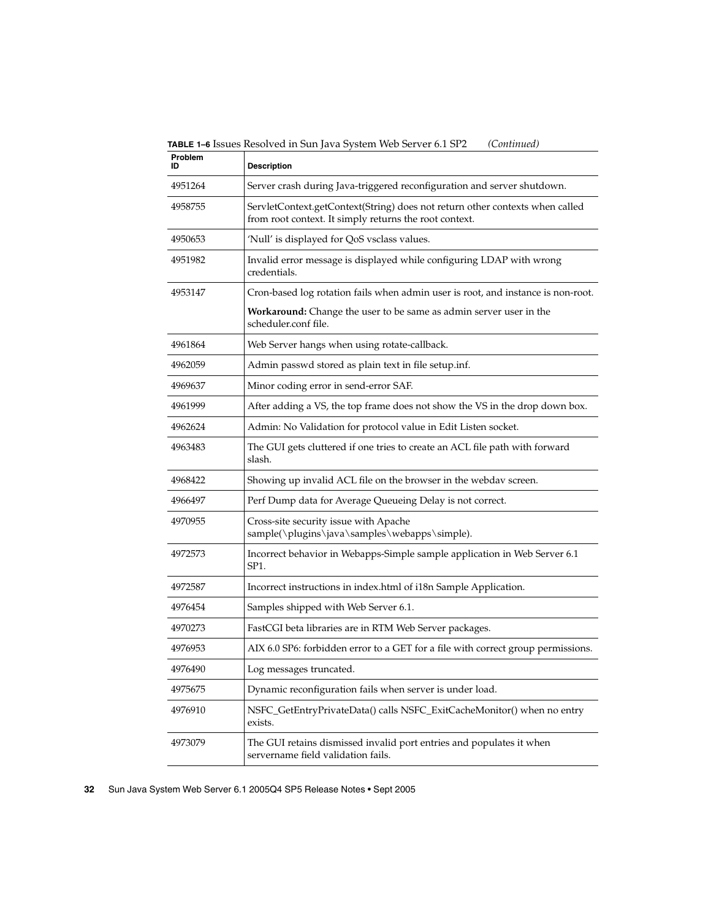**TABLE 1–6** Issues Resolved in Sun Java System Web Server 6.1 SP2 *(Continued)*

| Problem<br>ID | <b>Description</b>                                                                                                                     |
|---------------|----------------------------------------------------------------------------------------------------------------------------------------|
| 4951264       | Server crash during Java-triggered reconfiguration and server shutdown.                                                                |
| 4958755       | ServletContext.getContext(String) does not return other contexts when called<br>from root context. It simply returns the root context. |
| 4950653       | 'Null' is displayed for QoS vsclass values.                                                                                            |
| 4951982       | Invalid error message is displayed while configuring LDAP with wrong<br>credentials.                                                   |
| 4953147       | Cron-based log rotation fails when admin user is root, and instance is non-root.                                                       |
|               | <b>Workaround:</b> Change the user to be same as admin server user in the<br>scheduler.conf file.                                      |
| 4961864       | Web Server hangs when using rotate-callback.                                                                                           |
| 4962059       | Admin passwd stored as plain text in file setup.inf.                                                                                   |
| 4969637       | Minor coding error in send-error SAF.                                                                                                  |
| 4961999       | After adding a VS, the top frame does not show the VS in the drop down box.                                                            |
| 4962624       | Admin: No Validation for protocol value in Edit Listen socket.                                                                         |
| 4963483       | The GUI gets cluttered if one tries to create an ACL file path with forward<br>slash.                                                  |
| 4968422       | Showing up invalid ACL file on the browser in the webdav screen.                                                                       |
| 4966497       | Perf Dump data for Average Queueing Delay is not correct.                                                                              |
| 4970955       | Cross-site security issue with Apache<br>sample(\plugins\java\samples\webapps\simple).                                                 |
| 4972573       | Incorrect behavior in Webapps-Simple sample application in Web Server 6.1<br>SP1.                                                      |
| 4972587       | Incorrect instructions in index.html of i18n Sample Application.                                                                       |
| 4976454       | Samples shipped with Web Server 6.1.                                                                                                   |
| 4970273       | FastCGI beta libraries are in RTM Web Server packages.                                                                                 |
| 4976953       | AIX 6.0 SP6: forbidden error to a GET for a file with correct group permissions.                                                       |
| 4976490       | Log messages truncated.                                                                                                                |
| 4975675       | Dynamic reconfiguration fails when server is under load.                                                                               |
| 4976910       | NSFC_GetEntryPrivateData() calls NSFC_ExitCacheMonitor() when no entry<br>exists.                                                      |
| 4973079       | The GUI retains dismissed invalid port entries and populates it when<br>servername field validation fails.                             |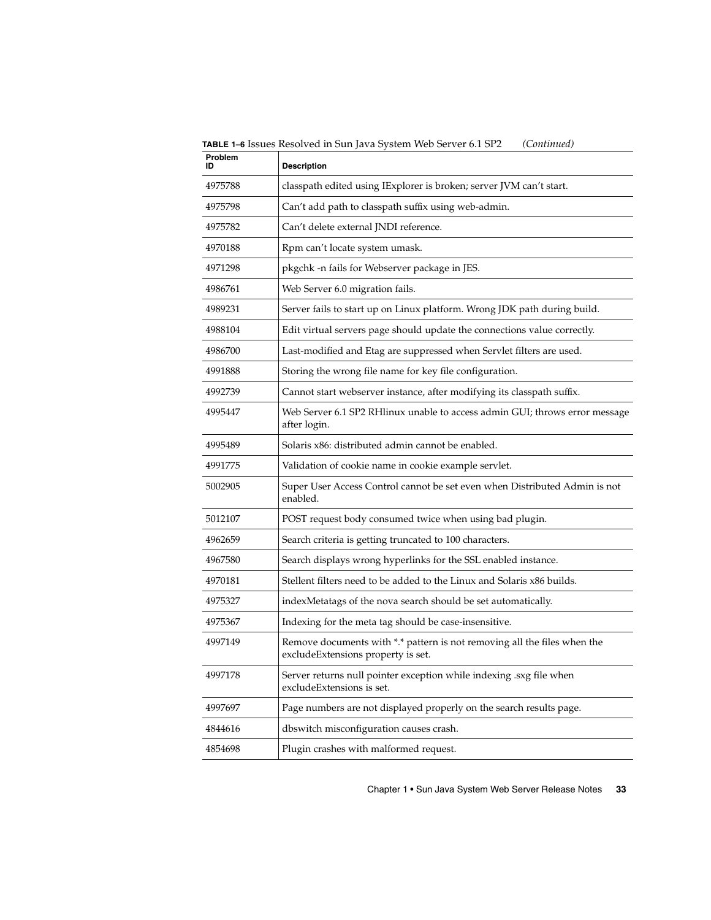**TABLE 1–6** Issues Resolved in Sun Java System Web Server 6.1 SP2 *(Continued)*

| Problem<br>ID | <b>Description</b>                                                                                             |
|---------------|----------------------------------------------------------------------------------------------------------------|
| 4975788       | classpath edited using IExplorer is broken; server JVM can't start.                                            |
| 4975798       | Can't add path to classpath suffix using web-admin.                                                            |
| 4975782       | Can't delete external JNDI reference.                                                                          |
| 4970188       | Rpm can't locate system umask.                                                                                 |
| 4971298       | pkgchk -n fails for Webserver package in JES.                                                                  |
| 4986761       | Web Server 6.0 migration fails.                                                                                |
| 4989231       | Server fails to start up on Linux platform. Wrong JDK path during build.                                       |
| 4988104       | Edit virtual servers page should update the connections value correctly.                                       |
| 4986700       | Last-modified and Etag are suppressed when Servlet filters are used.                                           |
| 4991888       | Storing the wrong file name for key file configuration.                                                        |
| 4992739       | Cannot start webserver instance, after modifying its classpath suffix.                                         |
| 4995447       | Web Server 6.1 SP2 RHlinux unable to access admin GUI; throws error message<br>after login.                    |
| 4995489       | Solaris x86: distributed admin cannot be enabled.                                                              |
| 4991775       | Validation of cookie name in cookie example servlet.                                                           |
| 5002905       | Super User Access Control cannot be set even when Distributed Admin is not<br>enabled.                         |
| 5012107       | POST request body consumed twice when using bad plugin.                                                        |
| 4962659       | Search criteria is getting truncated to 100 characters.                                                        |
| 4967580       | Search displays wrong hyperlinks for the SSL enabled instance.                                                 |
| 4970181       | Stellent filters need to be added to the Linux and Solaris x86 builds.                                         |
| 4975327       | indexMetatags of the nova search should be set automatically.                                                  |
| 4975367       | Indexing for the meta tag should be case-insensitive.                                                          |
| 4997149       | Remove documents with *.* pattern is not removing all the files when the<br>excludeExtensions property is set. |
| 4997178       | Server returns null pointer exception while indexing .sxg file when<br>excludeExtensions is set.               |
| 4997697       | Page numbers are not displayed properly on the search results page.                                            |
| 4844616       | dbswitch misconfiguration causes crash.                                                                        |
| 4854698       | Plugin crashes with malformed request.                                                                         |
|               |                                                                                                                |

Chapter 1 • Sun Java System Web Server Release Notes **33**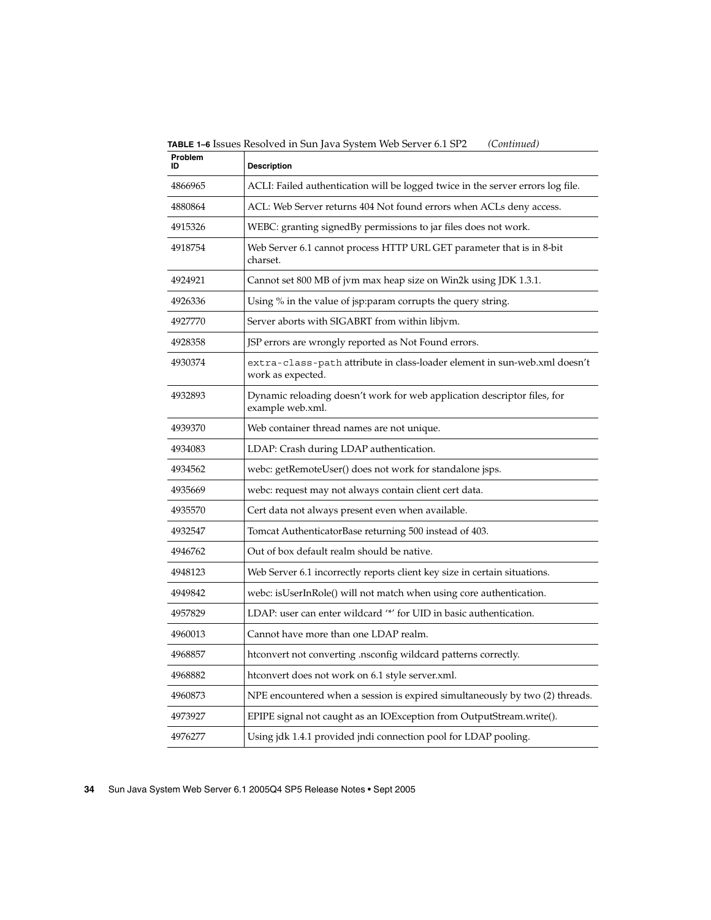**TABLE 1–6** Issues Resolved in Sun Java System Web Server 6.1 SP2 *(Continued)*

| Problem<br>ID | <b>Description</b>                                                                             |
|---------------|------------------------------------------------------------------------------------------------|
| 4866965       | ACLI: Failed authentication will be logged twice in the server errors log file.                |
| 4880864       | ACL: Web Server returns 404 Not found errors when ACLs deny access.                            |
| 4915326       | WEBC: granting signedBy permissions to jar files does not work.                                |
| 4918754       | Web Server 6.1 cannot process HTTP URL GET parameter that is in 8-bit<br>charset.              |
| 4924921       | Cannot set 800 MB of jvm max heap size on Win2k using JDK 1.3.1.                               |
| 4926336       | Using % in the value of jsp:param corrupts the query string.                                   |
| 4927770       | Server aborts with SIGABRT from within libjym.                                                 |
| 4928358       | JSP errors are wrongly reported as Not Found errors.                                           |
| 4930374       | extra-class-path attribute in class-loader element in sun-web.xml doesn't<br>work as expected. |
| 4932893       | Dynamic reloading doesn't work for web application descriptor files, for<br>example web.xml.   |
| 4939370       | Web container thread names are not unique.                                                     |
| 4934083       | LDAP: Crash during LDAP authentication.                                                        |
| 4934562       | webc: getRemoteUser() does not work for standalone jsps.                                       |
| 4935669       | webc: request may not always contain client cert data.                                         |
| 4935570       | Cert data not always present even when available.                                              |
| 4932547       | Tomcat AuthenticatorBase returning 500 instead of 403.                                         |
| 4946762       | Out of box default realm should be native.                                                     |
| 4948123       | Web Server 6.1 incorrectly reports client key size in certain situations.                      |
| 4949842       | webc: isUserInRole() will not match when using core authentication.                            |
| 4957829       | LDAP: user can enter wildcard "*' for UID in basic authentication.                             |
| 4960013       | Cannot have more than one LDAP realm.                                                          |
| 4968857       | htconvert not converting .nsconfig wildcard patterns correctly.                                |
| 4968882       | htconvert does not work on 6.1 style server.xml.                                               |
| 4960873       | NPE encountered when a session is expired simultaneously by two (2) threads.                   |
| 4973927       | EPIPE signal not caught as an IOException from OutputStream.write().                           |
| 4976277       | Using jdk 1.4.1 provided jndi connection pool for LDAP pooling.                                |
|               |                                                                                                |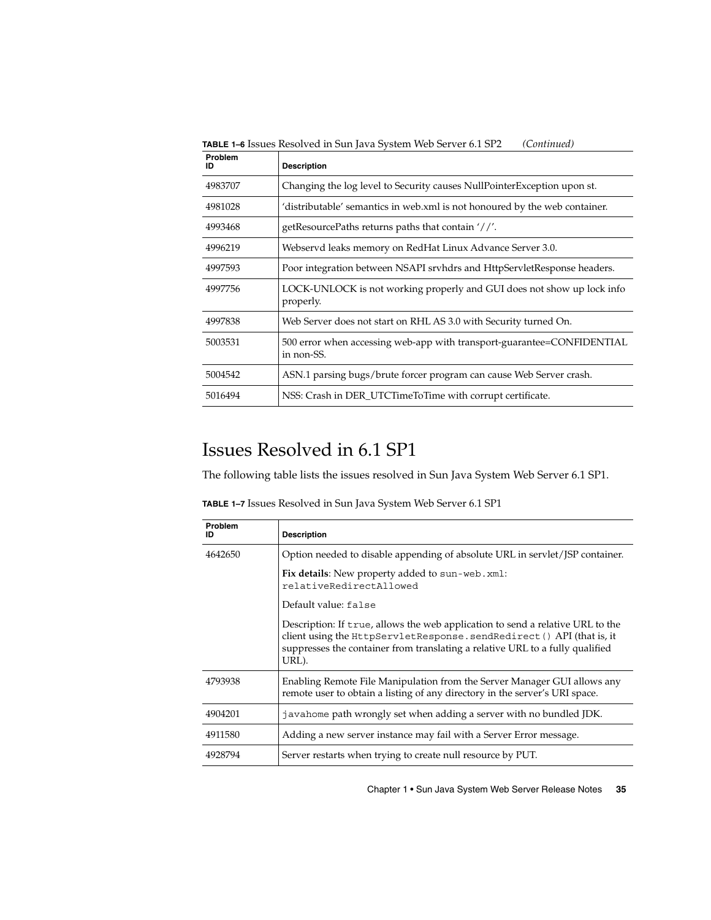<span id="page-34-0"></span>**TABLE 1–6** Issues Resolved in Sun Java System Web Server 6.1 SP2 *(Continued)*

| 4983707<br>Changing the log level to Security causes NullPointerException upon st.              |  |
|-------------------------------------------------------------------------------------------------|--|
|                                                                                                 |  |
| 'distributable' semantics in web.xml is not honoured by the web container.<br>4981028           |  |
| getResourcePaths returns paths that contain '//'.<br>4993468                                    |  |
| Webservd leaks memory on RedHat Linux Advance Server 3.0.<br>4996219                            |  |
| Poor integration between NSAPI srvhdrs and HttpServletResponse headers.<br>4997593              |  |
| LOCK-UNLOCK is not working properly and GUI does not show up lock info<br>4997756<br>properly.  |  |
| Web Server does not start on RHL AS 3.0 with Security turned On.<br>4997838                     |  |
| 5003531<br>500 error when accessing web-app with transport-guarantee=CONFIDENTIAL<br>in non-SS. |  |
| ASN.1 parsing bugs/brute forcer program can cause Web Server crash.<br>5004542                  |  |
| NSS: Crash in DER_UTCTimeToTime with corrupt certificate.<br>5016494                            |  |

### Issues Resolved in 6.1 SP1

The following table lists the issues resolved in Sun Java System Web Server 6.1 SP1.

**TABLE 1–7** Issues Resolved in Sun Java System Web Server 6.1 SP1

| <b>Problem</b><br>ID | <b>Description</b>                                                                                                                                                                                                                                |
|----------------------|---------------------------------------------------------------------------------------------------------------------------------------------------------------------------------------------------------------------------------------------------|
| 4642650              | Option needed to disable appending of absolute URL in servlet/JSP container.                                                                                                                                                                      |
|                      | Fix details: New property added to sun-web. xml:<br>relativeRedirectAllowed                                                                                                                                                                       |
|                      | Default value: false                                                                                                                                                                                                                              |
|                      | Description: If true, allows the web application to send a relative URL to the<br>client using the HttpServletResponse.sendRedirect () API (that is, it<br>suppresses the container from translating a relative URL to a fully qualified<br>URL). |
| 4793938              | Enabling Remote File Manipulation from the Server Manager GUI allows any<br>remote user to obtain a listing of any directory in the server's URI space.                                                                                           |
| 4904201              | javahome path wrongly set when adding a server with no bundled JDK.                                                                                                                                                                               |
| 4911580              | Adding a new server instance may fail with a Server Error message.                                                                                                                                                                                |
| 4928794              | Server restarts when trying to create null resource by PUT.                                                                                                                                                                                       |

Chapter 1 • Sun Java System Web Server Release Notes **35**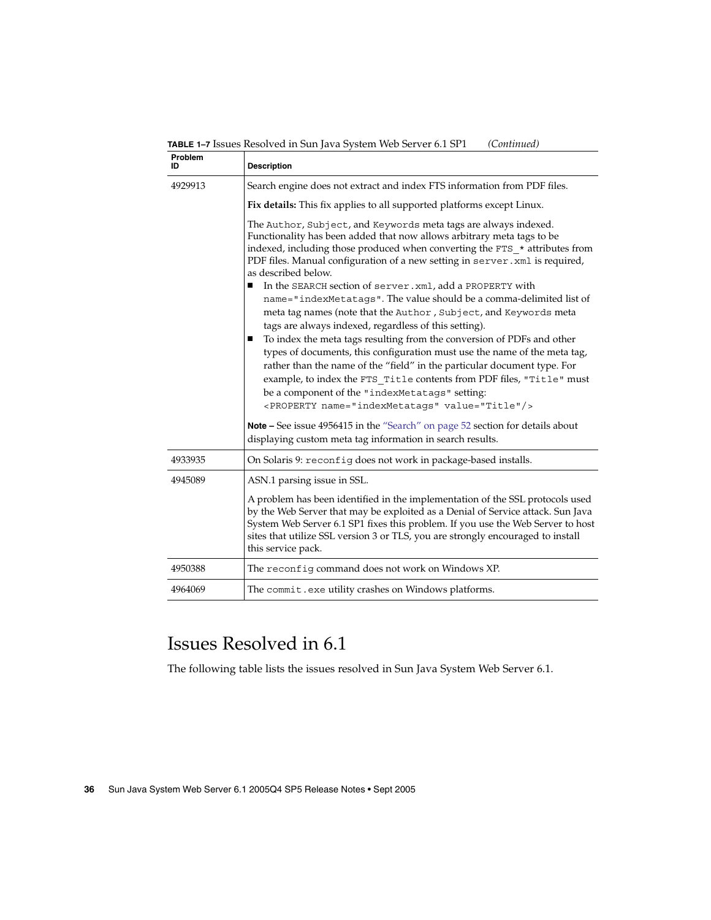<span id="page-35-0"></span>**TABLE 1–7** Issues Resolved in Sun Java System Web Server 6.1 SP1 *(Continued)*

| Problem<br>ID | <b>Description</b>                                                                                                                                                                                                                                                                                                                                                                                                                                                                                                                                                                                                                                                                                                                                                                                                                                                                                                                                                                                                                   |
|---------------|--------------------------------------------------------------------------------------------------------------------------------------------------------------------------------------------------------------------------------------------------------------------------------------------------------------------------------------------------------------------------------------------------------------------------------------------------------------------------------------------------------------------------------------------------------------------------------------------------------------------------------------------------------------------------------------------------------------------------------------------------------------------------------------------------------------------------------------------------------------------------------------------------------------------------------------------------------------------------------------------------------------------------------------|
| 4929913       | Search engine does not extract and index FTS information from PDF files.                                                                                                                                                                                                                                                                                                                                                                                                                                                                                                                                                                                                                                                                                                                                                                                                                                                                                                                                                             |
|               | Fix details: This fix applies to all supported platforms except Linux.                                                                                                                                                                                                                                                                                                                                                                                                                                                                                                                                                                                                                                                                                                                                                                                                                                                                                                                                                               |
|               | The Author, Subject, and Keywords meta tags are always indexed.<br>Functionality has been added that now allows arbitrary meta tags to be<br>indexed, including those produced when converting the FTS_* attributes from<br>PDF files. Manual configuration of a new setting in server. xml is required,<br>as described below.<br>In the SEARCH section of server. xml, add a PROPERTY with<br>п<br>name="indexMetatags". The value should be a comma-delimited list of<br>meta tag names (note that the Author, Subject, and Keywords meta<br>tags are always indexed, regardless of this setting).<br>To index the meta tags resulting from the conversion of PDFs and other<br>п<br>types of documents, this configuration must use the name of the meta tag,<br>rather than the name of the "field" in the particular document type. For<br>example, to index the FTS_Title contents from PDF files, "Title" must<br>be a component of the "indexMetatags" setting:<br><property name="indexMetatags" value="Title"></property> |
|               | Note - See issue 4956415 in the "Search" on page 52 section for details about<br>displaying custom meta tag information in search results.                                                                                                                                                                                                                                                                                                                                                                                                                                                                                                                                                                                                                                                                                                                                                                                                                                                                                           |
| 4933935       | On Solaris 9: reconfig does not work in package-based installs.                                                                                                                                                                                                                                                                                                                                                                                                                                                                                                                                                                                                                                                                                                                                                                                                                                                                                                                                                                      |
| 4945089       | ASN.1 parsing issue in SSL.                                                                                                                                                                                                                                                                                                                                                                                                                                                                                                                                                                                                                                                                                                                                                                                                                                                                                                                                                                                                          |
|               | A problem has been identified in the implementation of the SSL protocols used<br>by the Web Server that may be exploited as a Denial of Service attack. Sun Java<br>System Web Server 6.1 SP1 fixes this problem. If you use the Web Server to host<br>sites that utilize SSL version 3 or TLS, you are strongly encouraged to install<br>this service pack.                                                                                                                                                                                                                                                                                                                                                                                                                                                                                                                                                                                                                                                                         |
| 4950388       | The reconfig command does not work on Windows XP.                                                                                                                                                                                                                                                                                                                                                                                                                                                                                                                                                                                                                                                                                                                                                                                                                                                                                                                                                                                    |
| 4964069       | The commit.exe utility crashes on Windows platforms.                                                                                                                                                                                                                                                                                                                                                                                                                                                                                                                                                                                                                                                                                                                                                                                                                                                                                                                                                                                 |

## Issues Resolved in 6.1

The following table lists the issues resolved in Sun Java System Web Server 6.1.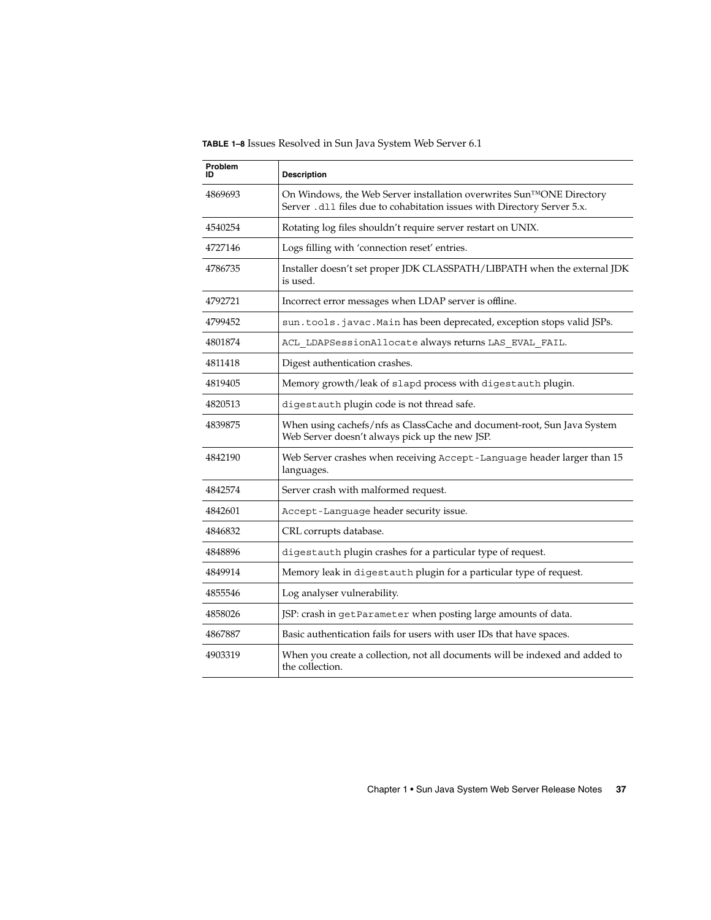**TABLE 1–8** Issues Resolved in Sun Java System Web Server 6.1

| Problem<br>חו | <b>Description</b>                                                                                                                               |
|---------------|--------------------------------------------------------------------------------------------------------------------------------------------------|
| 4869693       | On Windows, the Web Server installation overwrites Sun™ONE Directory<br>Server . d11 files due to cohabitation issues with Directory Server 5.x. |
| 4540254       | Rotating log files shouldn't require server restart on UNIX.                                                                                     |
| 4727146       | Logs filling with 'connection reset' entries.                                                                                                    |
| 4786735       | Installer doesn't set proper JDK CLASSPATH/LIBPATH when the external JDK<br>is used.                                                             |
| 4792721       | Incorrect error messages when LDAP server is offline.                                                                                            |
| 4799452       | sun.tools.javac.Main has been deprecated, exception stops valid JSPs.                                                                            |
| 4801874       | ACL_LDAPSessionAllocate always returns LAS_EVAL_FAIL.                                                                                            |
| 4811418       | Digest authentication crashes.                                                                                                                   |
| 4819405       | Memory growth/leak of slapd process with digestauth plugin.                                                                                      |
| 4820513       | digestauth plugin code is not thread safe.                                                                                                       |
| 4839875       | When using cachefs/nfs as ClassCache and document-root, Sun Java System<br>Web Server doesn't always pick up the new JSP.                        |
| 4842190       | Web Server crashes when receiving Accept-Language header larger than 15<br>languages.                                                            |
| 4842574       | Server crash with malformed request.                                                                                                             |
| 4842601       | Accept-Language header security issue.                                                                                                           |
| 4846832       | CRL corrupts database.                                                                                                                           |
| 4848896       | digestauth plugin crashes for a particular type of request.                                                                                      |
| 4849914       | Memory leak in digestauth plugin for a particular type of request.                                                                               |
| 4855546       | Log analyser vulnerability.                                                                                                                      |
| 4858026       | JSP: crash in getParameter when posting large amounts of data.                                                                                   |
| 4867887       | Basic authentication fails for users with user IDs that have spaces.                                                                             |
| 4903319       | When you create a collection, not all documents will be indexed and added to<br>the collection.                                                  |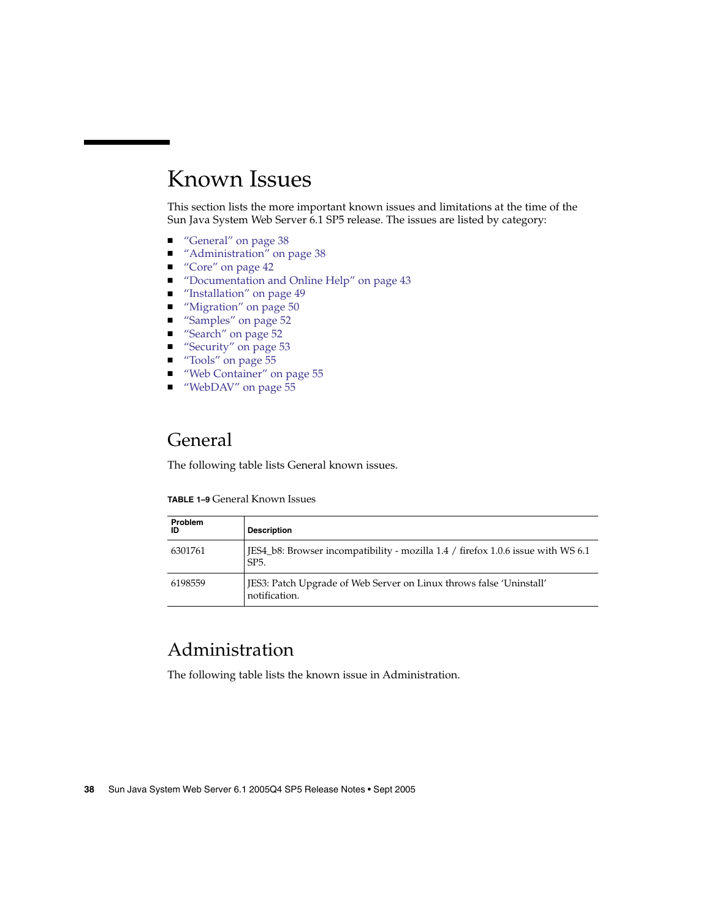# <span id="page-37-0"></span>Known Issues

This section lists the more important known issues and limitations at the time of the Sun Java System Web Server 6.1 SP5 release. The issues are listed by category:

- "General" on page 38
- *"Administration"* on page 38
- "Core" [on page 42](#page-41-0)
- ["Documentation and Online Help"](#page-42-0) on page 43
- ["Installation"](#page-48-0) on page 49
- *"*Migration" on page 50
- "Samples" [on page 52](#page-51-0)
- "Search" [on page 52](#page-51-0)
- "Security" [on page 53](#page-52-0)
- "Tools" [on page 55](#page-54-0)
- ["Web Container"](#page-54-0) on page 55
- *["WebDAV"](#page-54-0)* on page 55

### General

The following table lists General known issues.

| <b>TABLE 1-9 General Known Issues</b> |
|---------------------------------------|
|---------------------------------------|

| Problem<br>ID | <b>Description</b>                                                                                    |
|---------------|-------------------------------------------------------------------------------------------------------|
| 6301761       | JES4_b8: Browser incompatibility - mozilla 1.4 / firefox 1.0.6 issue with WS 6.1<br>SP <sub>5</sub> . |
| 6198559       | JES3: Patch Upgrade of Web Server on Linux throws false 'Uninstall'<br>notification.                  |

### Administration

The following table lists the known issue in Administration.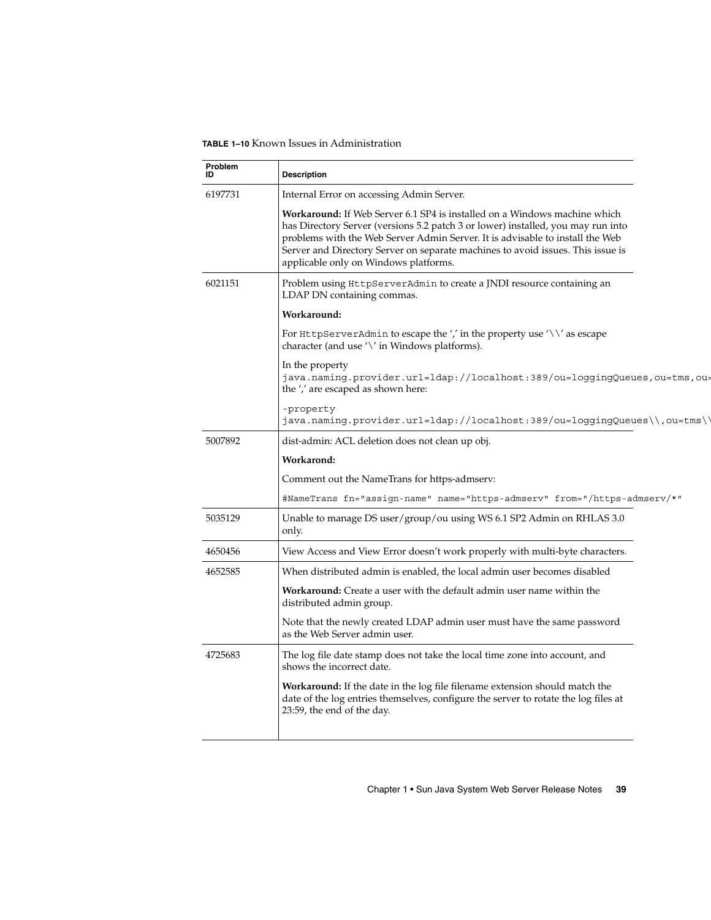#### **TABLE 1–10** Known Issues in Administration

| Problem<br>ID | <b>Description</b>                                                                                                                                                                                                                                                                                                                                                                |  |
|---------------|-----------------------------------------------------------------------------------------------------------------------------------------------------------------------------------------------------------------------------------------------------------------------------------------------------------------------------------------------------------------------------------|--|
| 6197731       | Internal Error on accessing Admin Server.                                                                                                                                                                                                                                                                                                                                         |  |
|               | <b>Workaround:</b> If Web Server 6.1 SP4 is installed on a Windows machine which<br>has Directory Server (versions 5.2 patch 3 or lower) installed, you may run into<br>problems with the Web Server Admin Server. It is advisable to install the Web<br>Server and Directory Server on separate machines to avoid issues. This issue is<br>applicable only on Windows platforms. |  |
| 6021151       | Problem using HttpServerAdmin to create a JNDI resource containing an<br>LDAP DN containing commas.                                                                                                                                                                                                                                                                               |  |
|               | Workaround:                                                                                                                                                                                                                                                                                                                                                                       |  |
|               | For HttpServerAdmin to escape the '' in the property use $\sqrt{\ }$ as escape<br>character (and use $\sqrt{ }$ in Windows platforms).                                                                                                                                                                                                                                            |  |
|               | In the property<br>java.naming.provider.url=ldap://localhost:389/ou=loggingQueues,ou=tms,ou=<br>the ',' are escaped as shown here:                                                                                                                                                                                                                                                |  |
|               | -property<br>java.naming.provider.url=ldap://localhost:389/ou=loggingQueues\\,ou=tms\\                                                                                                                                                                                                                                                                                            |  |
| 5007892       | dist-admin: ACL deletion does not clean up obj.                                                                                                                                                                                                                                                                                                                                   |  |
|               | Workarond:                                                                                                                                                                                                                                                                                                                                                                        |  |
|               | Comment out the NameTrans for https-admserv:                                                                                                                                                                                                                                                                                                                                      |  |
|               | #NameTrans fn="assign-name" name="https-admserv" from="/https-admserv/*"                                                                                                                                                                                                                                                                                                          |  |
| 5035129       | Unable to manage DS user/group/ou using WS 6.1 SP2 Admin on RHLAS 3.0<br>only.                                                                                                                                                                                                                                                                                                    |  |
| 4650456       | View Access and View Error doesn't work properly with multi-byte characters.                                                                                                                                                                                                                                                                                                      |  |
| 4652585       | When distributed admin is enabled, the local admin user becomes disabled                                                                                                                                                                                                                                                                                                          |  |
|               | Workaround: Create a user with the default admin user name within the<br>distributed admin group.                                                                                                                                                                                                                                                                                 |  |
|               | Note that the newly created LDAP admin user must have the same password<br>as the Web Server admin user.                                                                                                                                                                                                                                                                          |  |
| 4725683       | The log file date stamp does not take the local time zone into account, and<br>shows the incorrect date.                                                                                                                                                                                                                                                                          |  |
|               | <b>Workaround:</b> If the date in the log file filename extension should match the<br>date of the log entries themselves, configure the server to rotate the log files at<br>23:59, the end of the day.                                                                                                                                                                           |  |
|               |                                                                                                                                                                                                                                                                                                                                                                                   |  |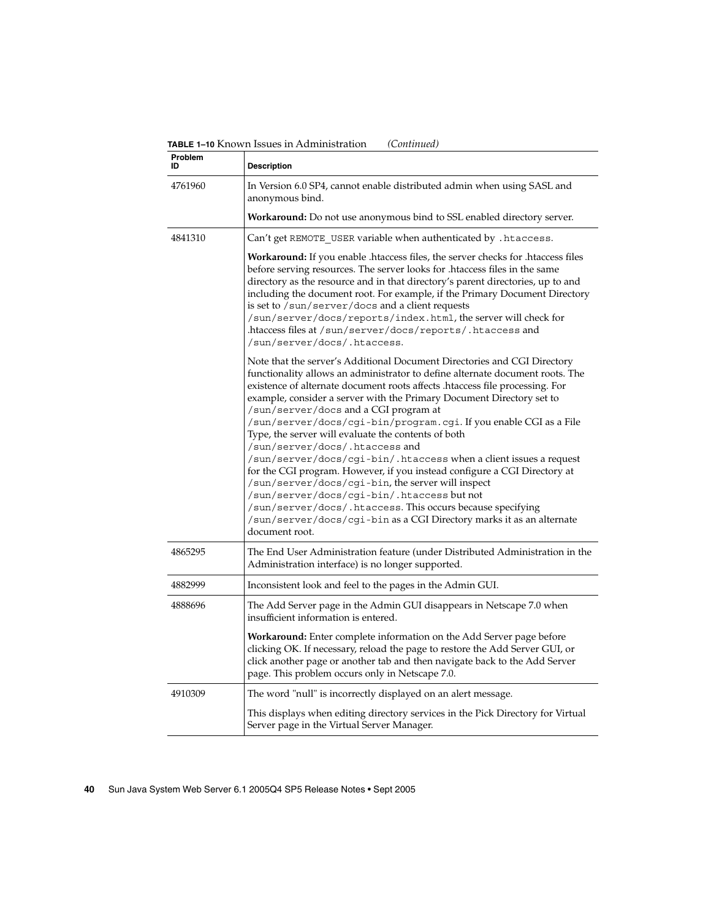| Problem<br>ID | <b>Description</b>                                                                                                                                                                                                                                                                                                                                                                                                                                                                                                                                                                                                                                                                                                                                                                                                                                                                                                                   |
|---------------|--------------------------------------------------------------------------------------------------------------------------------------------------------------------------------------------------------------------------------------------------------------------------------------------------------------------------------------------------------------------------------------------------------------------------------------------------------------------------------------------------------------------------------------------------------------------------------------------------------------------------------------------------------------------------------------------------------------------------------------------------------------------------------------------------------------------------------------------------------------------------------------------------------------------------------------|
| 4761960       | In Version 6.0 SP4, cannot enable distributed admin when using SASL and<br>anonymous bind.                                                                                                                                                                                                                                                                                                                                                                                                                                                                                                                                                                                                                                                                                                                                                                                                                                           |
|               | Workaround: Do not use anonymous bind to SSL enabled directory server.                                                                                                                                                                                                                                                                                                                                                                                                                                                                                                                                                                                                                                                                                                                                                                                                                                                               |
| 4841310       | Can't get REMOTE_USER variable when authenticated by .htaccess.                                                                                                                                                                                                                                                                                                                                                                                                                                                                                                                                                                                                                                                                                                                                                                                                                                                                      |
|               | Workaround: If you enable .htaccess files, the server checks for .htaccess files<br>before serving resources. The server looks for .htaccess files in the same<br>directory as the resource and in that directory's parent directories, up to and<br>including the document root. For example, if the Primary Document Directory<br>is set to /sun/server/docs and a client requests<br>/sun/server/docs/reports/index.html, the server will check for<br>.htaccess files at /sun/server/docs/reports/.htaccess and<br>/sun/server/docs/.htaccess.                                                                                                                                                                                                                                                                                                                                                                                   |
|               | Note that the server's Additional Document Directories and CGI Directory<br>functionality allows an administrator to define alternate document roots. The<br>existence of alternate document roots affects .htaccess file processing. For<br>example, consider a server with the Primary Document Directory set to<br>/sun/server/docs and a CGI program at<br>/sun/server/docs/cgi-bin/program.cgi. If you enable CGI as a File<br>Type, the server will evaluate the contents of both<br>/sun/server/docs/.htaccess.and<br>/sun/server/docs/cgi-bin/.htaccess when a client issues a request<br>for the CGI program. However, if you instead configure a CGI Directory at<br>/sun/server/docs/cgi-bin, the server will inspect<br>/sun/server/docs/cgi-bin/.htaccess butnot<br>/sun/server/docs/.htaccess.This occurs because specifying<br>/sun/server/docs/cgi-bin as a CGI Directory marks it as an alternate<br>document root. |
| 4865295       | The End User Administration feature (under Distributed Administration in the<br>Administration interface) is no longer supported.                                                                                                                                                                                                                                                                                                                                                                                                                                                                                                                                                                                                                                                                                                                                                                                                    |
| 4882999       | Inconsistent look and feel to the pages in the Admin GUI.                                                                                                                                                                                                                                                                                                                                                                                                                                                                                                                                                                                                                                                                                                                                                                                                                                                                            |
| 4888696       | The Add Server page in the Admin GUI disappears in Netscape 7.0 when<br>insufficient information is entered.                                                                                                                                                                                                                                                                                                                                                                                                                                                                                                                                                                                                                                                                                                                                                                                                                         |
|               | <b>Workaround:</b> Enter complete information on the Add Server page before<br>clicking OK. If necessary, reload the page to restore the Add Server GUI, or<br>click another page or another tab and then navigate back to the Add Server<br>page. This problem occurs only in Netscape 7.0.                                                                                                                                                                                                                                                                                                                                                                                                                                                                                                                                                                                                                                         |
| 4910309       | The word "null" is incorrectly displayed on an alert message.                                                                                                                                                                                                                                                                                                                                                                                                                                                                                                                                                                                                                                                                                                                                                                                                                                                                        |
|               | This displays when editing directory services in the Pick Directory for Virtual<br>Server page in the Virtual Server Manager.                                                                                                                                                                                                                                                                                                                                                                                                                                                                                                                                                                                                                                                                                                                                                                                                        |

**TABLE 1–10** Known Issues in Administration *(Continued)*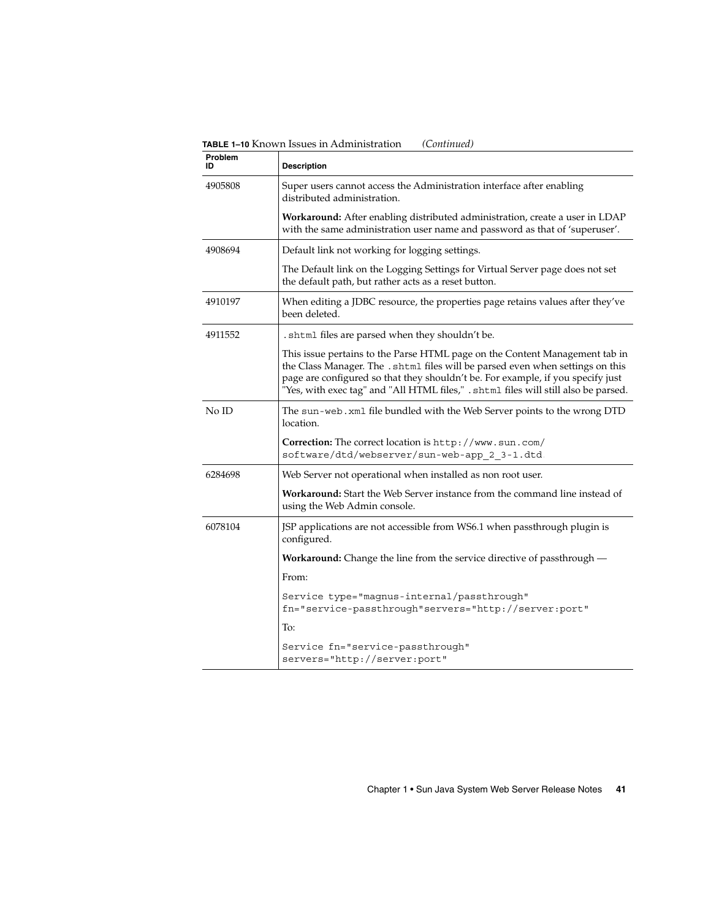**TABLE 1–10** Known Issues in Administration *(Continued)*

| Problem<br>ID | <b>Description</b>                                                                                                                                                                                                                                                                                                                      |
|---------------|-----------------------------------------------------------------------------------------------------------------------------------------------------------------------------------------------------------------------------------------------------------------------------------------------------------------------------------------|
| 4905808       | Super users cannot access the Administration interface after enabling<br>distributed administration.                                                                                                                                                                                                                                    |
|               | <b>Workaround:</b> After enabling distributed administration, create a user in LDAP<br>with the same administration user name and password as that of 'superuser'.                                                                                                                                                                      |
| 4908694       | Default link not working for logging settings.                                                                                                                                                                                                                                                                                          |
|               | The Default link on the Logging Settings for Virtual Server page does not set<br>the default path, but rather acts as a reset button.                                                                                                                                                                                                   |
| 4910197       | When editing a JDBC resource, the properties page retains values after they've<br>been deleted.                                                                                                                                                                                                                                         |
| 4911552       | . shtml files are parsed when they shouldn't be.                                                                                                                                                                                                                                                                                        |
|               | This issue pertains to the Parse HTML page on the Content Management tab in<br>the Class Manager. The . shtml files will be parsed even when settings on this<br>page are configured so that they shouldn't be. For example, if you specify just<br>"Yes, with exec tag" and "All HTML files," . shtml files will still also be parsed. |
| No ID         | The sun-web. xml file bundled with the Web Server points to the wrong DTD<br>location.                                                                                                                                                                                                                                                  |
|               | Correction: The correct location is http://www.sun.com/<br>software/dtd/webserver/sun-web-app_2_3-1.dtd.                                                                                                                                                                                                                                |
| 6284698       | Web Server not operational when installed as non root user.                                                                                                                                                                                                                                                                             |
|               | Workaround: Start the Web Server instance from the command line instead of<br>using the Web Admin console.                                                                                                                                                                                                                              |
| 6078104       | JSP applications are not accessible from WS6.1 when passthrough plugin is<br>configured.                                                                                                                                                                                                                                                |
|               | <b>Workaround:</b> Change the line from the service directive of passthrough —                                                                                                                                                                                                                                                          |
|               | From:                                                                                                                                                                                                                                                                                                                                   |
|               | Service type="magnus-internal/passthrough"<br>fn="service-passthrough"servers="http://server:port"                                                                                                                                                                                                                                      |
|               | To:                                                                                                                                                                                                                                                                                                                                     |
|               | Service fn="service-passthrough"<br>servers="http://server:port"                                                                                                                                                                                                                                                                        |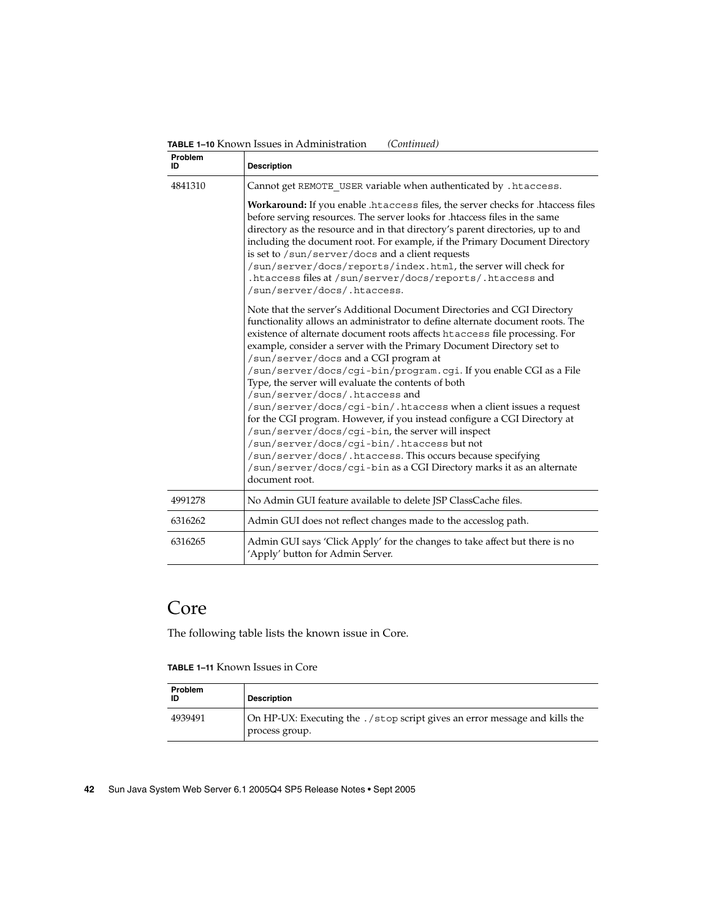| Problem<br>ID | <b>Description</b>                                                                                                                                                                                                                                                                                                                                                                                                                                                                                                                                 |
|---------------|----------------------------------------------------------------------------------------------------------------------------------------------------------------------------------------------------------------------------------------------------------------------------------------------------------------------------------------------------------------------------------------------------------------------------------------------------------------------------------------------------------------------------------------------------|
| 4841310       | Cannot get REMOTE USER variable when authenticated by . htaccess.                                                                                                                                                                                                                                                                                                                                                                                                                                                                                  |
|               | Workaround: If you enable .htaccess files, the server checks for .htaccess files<br>before serving resources. The server looks for .htaccess files in the same<br>directory as the resource and in that directory's parent directories, up to and<br>including the document root. For example, if the Primary Document Directory<br>is set to /sun/server/docs and a client requests<br>/sun/server/docs/reports/index.html, the server will check for<br>.htaccess files at /sun/server/docs/reports/.htaccess and<br>/sun/server/docs/.htaccess. |
|               | Note that the server's Additional Document Directories and CGI Directory<br>functionality allows an administrator to define alternate document roots. The<br>existence of alternate document roots affects htaccess file processing. For<br>example, consider a server with the Primary Document Directory set to<br>/sun/server/docs and a CGI program at<br>/sun/server/docs/cgi-bin/program.cgi. If you enable CGI as a File<br>Type, the server will evaluate the contents of both<br>/sun/server/docs/.htaccess and                           |
|               | /sun/server/docs/cgi-bin/.htaccess when a client issues a request<br>for the CGI program. However, if you instead configure a CGI Directory at<br>/sun/server/docs/cgi-bin, the server will inspect<br>/sun/server/docs/cgi-bin/.htaccess but not<br>/sun/server/docs/.htaccess. This occurs because specifying                                                                                                                                                                                                                                    |
|               | /sun/server/docs/cgi-bin as a CGI Directory marks it as an alternate<br>document root.                                                                                                                                                                                                                                                                                                                                                                                                                                                             |
| 4991278       | No Admin GUI feature available to delete JSP ClassCache files.                                                                                                                                                                                                                                                                                                                                                                                                                                                                                     |
| 6316262       | Admin GUI does not reflect changes made to the accesslog path.                                                                                                                                                                                                                                                                                                                                                                                                                                                                                     |
| 6316265       | Admin GUI says 'Click Apply' for the changes to take affect but there is no<br>'Apply' button for Admin Server.                                                                                                                                                                                                                                                                                                                                                                                                                                    |

<span id="page-41-0"></span>**TABLE 1–10** Known Issues in Administration *(Continued)*

## Core

The following table lists the known issue in Core.

**TABLE 1–11** Known Issues in Core

| <b>Problem</b><br>ID | <b>Description</b>                                                                             |
|----------------------|------------------------------------------------------------------------------------------------|
| 4939491              | On HP-UX: Executing the . / stop script gives an error message and kills the<br>process group. |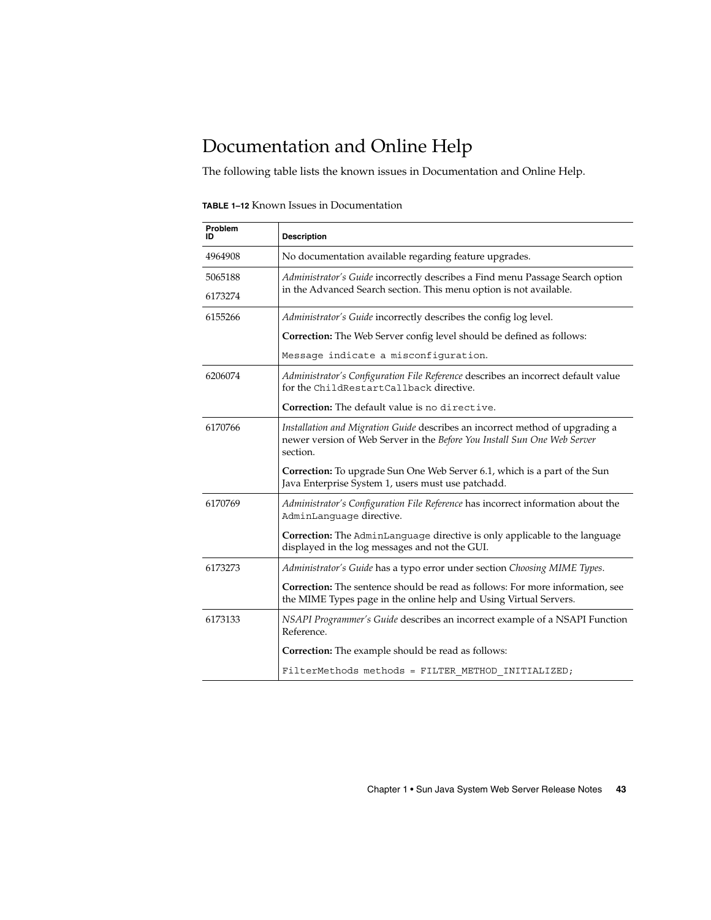# <span id="page-42-0"></span>Documentation and Online Help

The following table lists the known issues in Documentation and Online Help.

| Problem<br>ID | <b>Description</b>                                                                                                                                                           |
|---------------|------------------------------------------------------------------------------------------------------------------------------------------------------------------------------|
| 4964908       | No documentation available regarding feature upgrades.                                                                                                                       |
| 5065188       | Administrator's Guide incorrectly describes a Find menu Passage Search option                                                                                                |
| 6173274       | in the Advanced Search section. This menu option is not available.                                                                                                           |
| 6155266       | Administrator's Guide incorrectly describes the config log level.                                                                                                            |
|               | Correction: The Web Server config level should be defined as follows:                                                                                                        |
|               | Message indicate a misconfiguration.                                                                                                                                         |
| 6206074       | Administrator's Configuration File Reference describes an incorrect default value<br>for the ChildRestartCallback directive.                                                 |
|               | Correction: The default value is no directive.                                                                                                                               |
| 6170766       | <i>Installation and Migration Guide</i> describes an incorrect method of upgrading a<br>newer version of Web Server in the Before You Install Sun One Web Server<br>section. |
|               | <b>Correction:</b> To upgrade Sun One Web Server 6.1, which is a part of the Sun<br>Java Enterprise System 1, users must use patchadd.                                       |
| 6170769       | Administrator's Configuration File Reference has incorrect information about the<br>AdminLanquaqe directive.                                                                 |
|               | <b>Correction:</b> The AdminLanguage directive is only applicable to the language<br>displayed in the log messages and not the GUI.                                          |
| 6173273       | Administrator's Guide has a typo error under section Choosing MIME Types.                                                                                                    |
|               | Correction: The sentence should be read as follows: For more information, see<br>the MIME Types page in the online help and Using Virtual Servers.                           |
| 6173133       | NSAPI Programmer's Guide describes an incorrect example of a NSAPI Function<br>Reference.                                                                                    |
|               | Correction: The example should be read as follows:                                                                                                                           |
|               | FilterMethods methods = FILTER METHOD INITIALIZED;                                                                                                                           |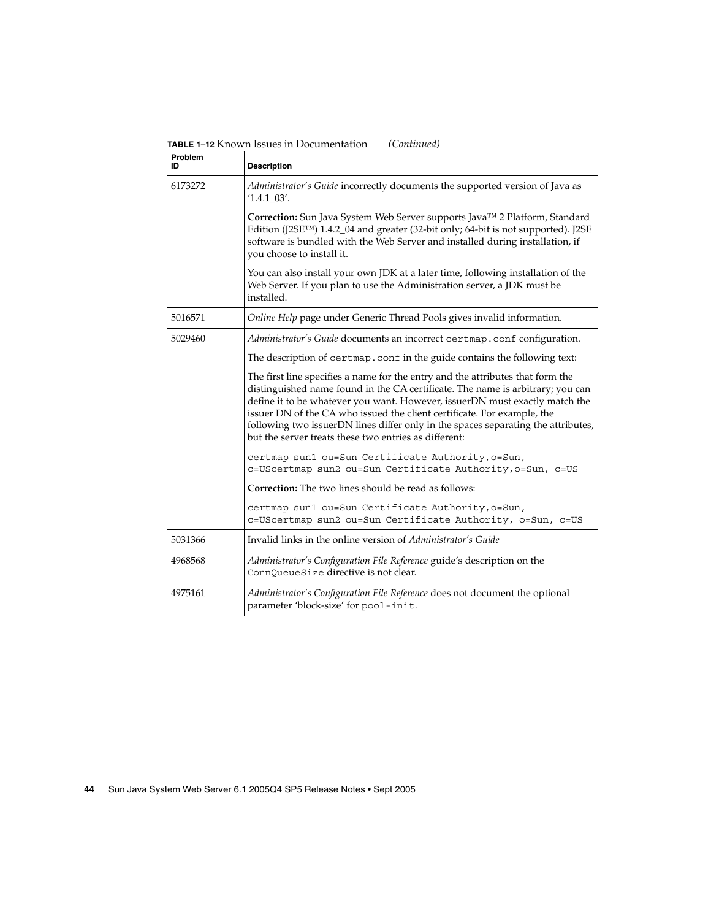| Problem<br>ID | <b>Description</b>                                                                                                                                                                                                                                                                                                                                                                                                                                                       |
|---------------|--------------------------------------------------------------------------------------------------------------------------------------------------------------------------------------------------------------------------------------------------------------------------------------------------------------------------------------------------------------------------------------------------------------------------------------------------------------------------|
| 6173272       | Administrator's Guide incorrectly documents the supported version of Java as<br>$'1.4.1$ 03'.                                                                                                                                                                                                                                                                                                                                                                            |
|               | Correction: Sun Java System Web Server supports Java™ 2 Platform, Standard<br>Edition (J2SETM) 1.4.2_04 and greater (32-bit only; 64-bit is not supported). J2SE<br>software is bundled with the Web Server and installed during installation, if<br>you choose to install it.                                                                                                                                                                                           |
|               | You can also install your own JDK at a later time, following installation of the<br>Web Server. If you plan to use the Administration server, a JDK must be<br>installed.                                                                                                                                                                                                                                                                                                |
| 5016571       | Online Help page under Generic Thread Pools gives invalid information.                                                                                                                                                                                                                                                                                                                                                                                                   |
| 5029460       | Administrator's Guide documents an incorrect certmap.conf configuration.                                                                                                                                                                                                                                                                                                                                                                                                 |
|               | The description of certmap.conf in the guide contains the following text:                                                                                                                                                                                                                                                                                                                                                                                                |
|               | The first line specifies a name for the entry and the attributes that form the<br>distinguished name found in the CA certificate. The name is arbitrary; you can<br>define it to be whatever you want. However, issuerDN must exactly match the<br>issuer DN of the CA who issued the client certificate. For example, the<br>following two issuerDN lines differ only in the spaces separating the attributes,<br>but the server treats these two entries as different: |
|               | certmap sun1 ou=Sun Certificate Authority, o=Sun,<br>c=UScertmap sun2 ou=Sun Certificate Authority, o=Sun, c=US                                                                                                                                                                                                                                                                                                                                                          |
|               | <b>Correction:</b> The two lines should be read as follows:                                                                                                                                                                                                                                                                                                                                                                                                              |
|               | certmap sun1 ou=Sun Certificate Authority, o=Sun,<br>c=UScertmap sun2 ou=Sun Certificate Authority, o=Sun, c=US                                                                                                                                                                                                                                                                                                                                                          |
| 5031366       | Invalid links in the online version of <i>Administrator's Guide</i>                                                                                                                                                                                                                                                                                                                                                                                                      |
| 4968568       | Administrator's Configuration File Reference guide's description on the<br>ConnQueueSize directive is not clear.                                                                                                                                                                                                                                                                                                                                                         |
| 4975161       | Administrator's Configuration File Reference does not document the optional<br>parameter 'block-size' for pool-init.                                                                                                                                                                                                                                                                                                                                                     |

**TABLE 1–12** Known Issues in Documentation *(Continued)*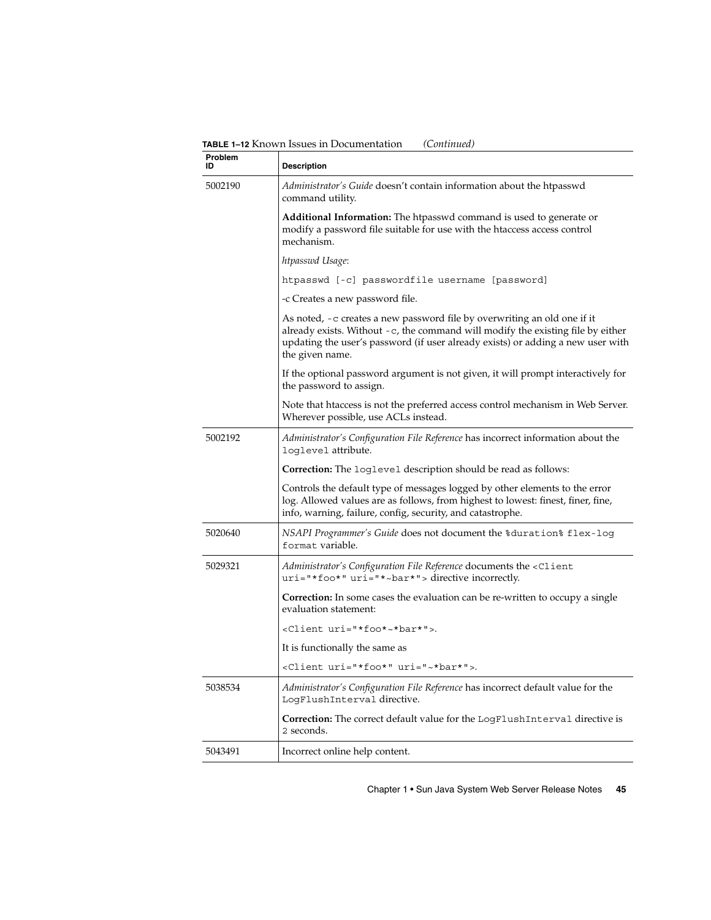**TABLE 1–12** Known Issues in Documentation *(Continued)*

| Problem<br>ID | <b>Description</b>                                                                                                                                                                                                                                                   |
|---------------|----------------------------------------------------------------------------------------------------------------------------------------------------------------------------------------------------------------------------------------------------------------------|
| 5002190       | <i>Administrator's Guide</i> doesn't contain information about the htpasswd<br>command utility.                                                                                                                                                                      |
|               | <b>Additional Information:</b> The htpasswd command is used to generate or<br>modify a password file suitable for use with the handles access control<br>mechanism.                                                                                                  |
|               | htpasswd Usage:                                                                                                                                                                                                                                                      |
|               | htpasswd [-c] passwordfile username [password]                                                                                                                                                                                                                       |
|               | -c Creates a new password file.                                                                                                                                                                                                                                      |
|               | As noted, -c creates a new password file by overwriting an old one if it<br>already exists. Without $-c$ , the command will modify the existing file by either<br>updating the user's password (if user already exists) or adding a new user with<br>the given name. |
|               | If the optional password argument is not given, it will prompt interactively for<br>the password to assign.                                                                                                                                                          |
|               | Note that htaccess is not the preferred access control mechanism in Web Server.<br>Wherever possible, use ACLs instead.                                                                                                                                              |
| 5002192       | <i>Administrator's Configuration File Reference</i> has incorrect information about the<br>loglevel attribute.                                                                                                                                                       |
|               | <b>Correction:</b> The loglevel description should be read as follows:                                                                                                                                                                                               |
|               | Controls the default type of messages logged by other elements to the error<br>log. Allowed values are as follows, from highest to lowest: finest, finer, fine,<br>info, warning, failure, config, security, and catastrophe.                                        |
| 5020640       | NSAPI Programmer's Guide does not document the *duration* flex-log<br>format variable.                                                                                                                                                                               |
| 5029321       | Administrator's Configuration File Reference documents the <c1ient<br>uri="*foo*" uri="*~bar*"&gt; directive incorrectly.</c1ient<br>                                                                                                                                |
|               | <b>Correction:</b> In some cases the evaluation can be re-written to occupy a single<br>evaluation statement:                                                                                                                                                        |
|               | <client uri="*foo*~*bar*">.</client>                                                                                                                                                                                                                                 |
|               | It is functionally the same as                                                                                                                                                                                                                                       |
|               | <client uri="~*bar*">.</client>                                                                                                                                                                                                                                      |
| 5038534       | <i>Administrator's Configuration File Reference</i> has incorrect default value for the<br>LogFlushInterval directive.                                                                                                                                               |
|               | <b>Correction:</b> The correct default value for the LogFlushInterval directive is<br>2 seconds.                                                                                                                                                                     |
| 5043491       | Incorrect online help content.                                                                                                                                                                                                                                       |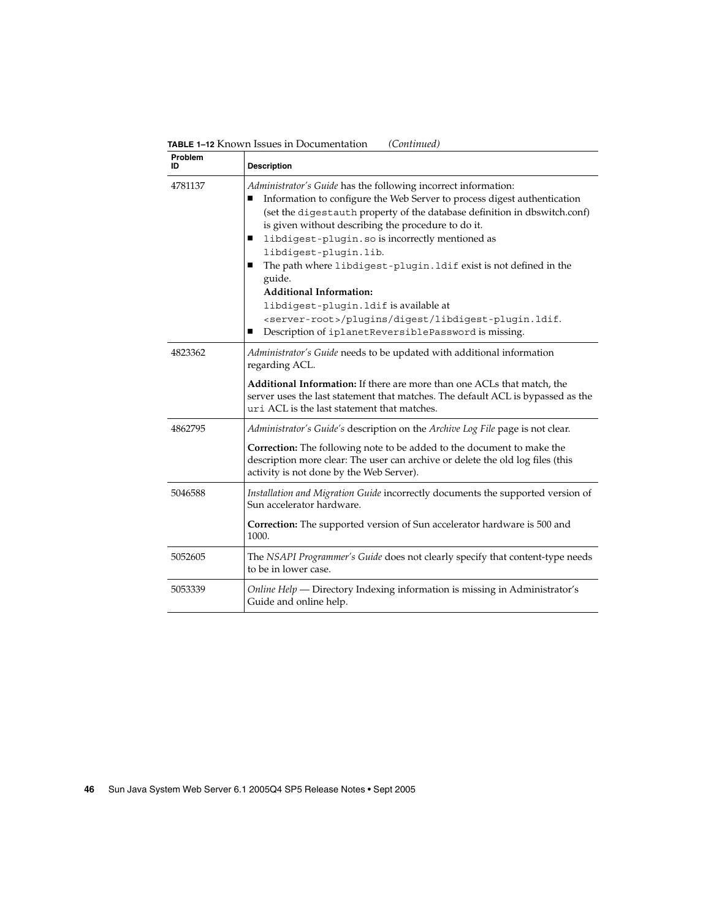**TABLE 1–12** Known Issues in Documentation *(Continued)*

| <b>Problem</b><br>ID | <b>Description</b>                                                                                                                                                                                                                                                                                                                                                                                                                                                                                                                                                                                                                                                       |
|----------------------|--------------------------------------------------------------------------------------------------------------------------------------------------------------------------------------------------------------------------------------------------------------------------------------------------------------------------------------------------------------------------------------------------------------------------------------------------------------------------------------------------------------------------------------------------------------------------------------------------------------------------------------------------------------------------|
| 4781137              | Administrator's Guide has the following incorrect information:<br>Information to configure the Web Server to process digest authentication<br>п<br>(set the digestauth property of the database definition in dbswitch.conf)<br>is given without describing the procedure to do it.<br>libdigest-plugin.so is incorrectly mentioned as<br>п<br>libdigest-plugin.lib.<br>The path where libdigest-plugin. Idif exist is not defined in the<br>ш<br>guide.<br><b>Additional Information:</b><br>libdigest-plugin. ldif is available at<br><server-root>/plugins/digest/libdigest-plugin.ldif.<br/>Description of iplanetReversiblePassword is missing.<br/>ш</server-root> |
| 4823362              | Administrator's Guide needs to be updated with additional information<br>regarding ACL.<br>Additional Information: If there are more than one ACLs that match, the                                                                                                                                                                                                                                                                                                                                                                                                                                                                                                       |
|                      | server uses the last statement that matches. The default ACL is bypassed as the<br>uri ACL is the last statement that matches.                                                                                                                                                                                                                                                                                                                                                                                                                                                                                                                                           |
| 4862795              | Administrator's Guide's description on the Archive Log File page is not clear.<br><b>Correction:</b> The following note to be added to the document to make the<br>description more clear: The user can archive or delete the old log files (this<br>activity is not done by the Web Server).                                                                                                                                                                                                                                                                                                                                                                            |
| 5046588              | Installation and Migration Guide incorrectly documents the supported version of<br>Sun accelerator hardware.                                                                                                                                                                                                                                                                                                                                                                                                                                                                                                                                                             |
|                      | Correction: The supported version of Sun accelerator hardware is 500 and<br>1000.                                                                                                                                                                                                                                                                                                                                                                                                                                                                                                                                                                                        |
| 5052605              | The NSAPI Programmer's Guide does not clearly specify that content-type needs<br>to be in lower case.                                                                                                                                                                                                                                                                                                                                                                                                                                                                                                                                                                    |
| 5053339              | Online Help — Directory Indexing information is missing in Administrator's<br>Guide and online help.                                                                                                                                                                                                                                                                                                                                                                                                                                                                                                                                                                     |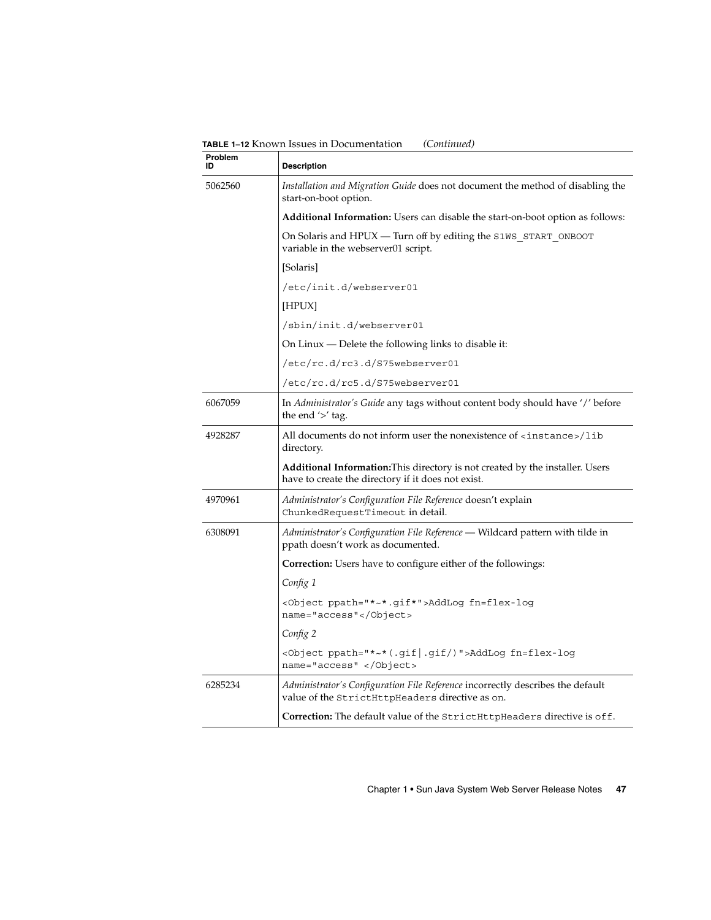**TABLE 1–12** Known Issues in Documentation *(Continued)*

| Problem<br>ID | <b>Description</b>                                                                                                                         |
|---------------|--------------------------------------------------------------------------------------------------------------------------------------------|
| 5062560       | Installation and Migration Guide does not document the method of disabling the<br>start-on-boot option.                                    |
|               | Additional Information: Users can disable the start-on-boot option as follows:                                                             |
|               | On Solaris and HPUX - Turn off by editing the S1WS_START_ONBOOT<br>variable in the webserver01 script.                                     |
|               | [Solaris]                                                                                                                                  |
|               | /etc/init.d/webserver01                                                                                                                    |
|               | [HPUX]                                                                                                                                     |
|               | /sbin/init.d/webserver01                                                                                                                   |
|               | On Linux — Delete the following links to disable it:                                                                                       |
|               | /etc/rc.d/rc3.d/S75webserver01                                                                                                             |
|               | /etc/rc.d/rc5.d/S75webserver01                                                                                                             |
| 6067059       | In Administrator's Guide any tags without content body should have '/' before<br>the end $\prime$ tag.                                     |
| 4928287       | All documents do not inform user the nonexistence of <instance>/lib<br/>directory.</instance>                                              |
|               | <b>Additional Information:</b> This directory is not created by the installer. Users<br>have to create the directory if it does not exist. |
| 4970961       | Administrator's Configuration File Reference doesn't explain<br>ChunkedRequestTimeout in detail.                                           |
| 6308091       | Administrator's Configuration File Reference - Wildcard pattern with tilde in<br>ppath doesn't work as documented.                         |
|               | Correction: Users have to configure either of the followings:                                                                              |
|               | Config 1                                                                                                                                   |
|               | <object ppath="*~*.gif*">AddLog fn=flex-log<br/>name="access"</object>                                                                     |
|               | Config 2                                                                                                                                   |
|               | <object ppath="*~*(.gif .gif/)">AddLog fn=flex-log<br/>name="access" </object>                                                             |
| 6285234       | Administrator's Configuration File Reference incorrectly describes the default<br>value of the StrictHttpHeaders directive as on.          |
|               | Correction: The default value of the StrictHttpHeaders directive is off.                                                                   |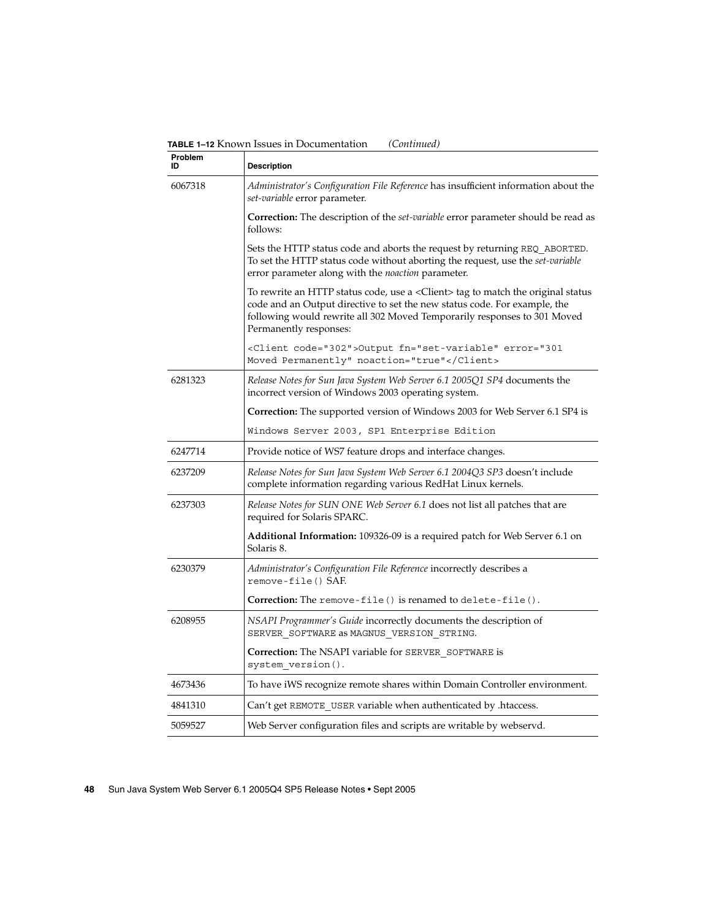**Problem ID Description** 6067318 *Administrator's Configuration File Reference* has insufficient information about the *set-variable* error parameter. **Correction:** The description of the *set-variable* error parameter should be read as follows: Sets the HTTP status code and aborts the request by returning REQ\_ABORTED. To set the HTTP status code without aborting the request, use the *set-variable* error parameter along with the *noaction* parameter. To rewrite an HTTP status code, use a <Client> tag to match the original status code and an Output directive to set the new status code. For example, the following would rewrite all 302 Moved Temporarily responses to 301 Moved Permanently responses: <Client code="302">Output fn="set-variable" error="301 Moved Permanently" noaction="true"</Client> 6281323 *Release Notes for Sun Java System Web Server 6.1 2005Q1 SP4* documents the incorrect version of Windows 2003 operating system. **Correction:** The supported version of Windows 2003 for Web Server 6.1 SP4 is Windows Server 2003, SP1 Enterprise Edition 6247714 Provide notice of WS7 feature drops and interface changes. 6237209 *Release Notes for Sun Java System Web Server 6.1 2004Q3 SP3* doesn't include complete information regarding various RedHat Linux kernels. 6237303 *Release Notes for SUN ONE Web Server 6.1* does not list all patches that are required for Solaris SPARC. **Additional Information:** 109326-09 is a required patch for Web Server 6.1 on Solaris 8. 6230379 *Administrator's Configuration File Reference* incorrectly describes a remove-file() SAF. **Correction:** The remove-file() is renamed to delete-file(). 6208955 *NSAPI Programmer's Guide* incorrectly documents the description of SERVER\_SOFTWARE as MAGNUS\_VERSION\_STRING. **Correction:** The NSAPI variable for SERVER\_SOFTWARE is system\_version(). 4673436 To have iWS recognize remote shares within Domain Controller environment. 4841310 Can't get REMOTE\_USER variable when authenticated by .htaccess. 5059527 Web Server configuration files and scripts are writable by webservd.

**TABLE 1–12** Known Issues in Documentation *(Continued)*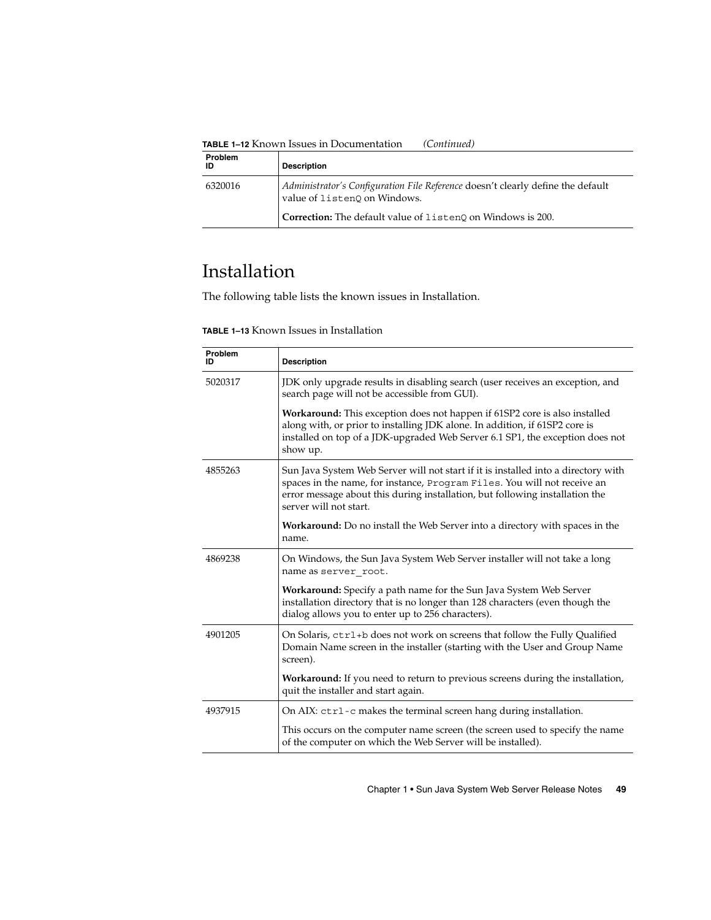<span id="page-48-0"></span>**TABLE 1–12** Known Issues in Documentation *(Continued)*

| <b>Problem</b><br>ID | <b>Description</b>                                                                                              |
|----------------------|-----------------------------------------------------------------------------------------------------------------|
| 6320016              | Administrator's Configuration File Reference doesn't clearly define the default<br>value of listenQ on Windows. |
|                      | <b>Correction:</b> The default value of listen0 on Windows is 200.                                              |

## Installation

The following table lists the known issues in Installation.

**TABLE 1–13** Known Issues in Installation

| Problem<br>חו | <b>Description</b>                                                                                                                                                                                                                                                       |
|---------------|--------------------------------------------------------------------------------------------------------------------------------------------------------------------------------------------------------------------------------------------------------------------------|
| 5020317       | JDK only upgrade results in disabling search (user receives an exception, and<br>search page will not be accessible from GUI).                                                                                                                                           |
|               | Workaround: This exception does not happen if 61SP2 core is also installed<br>along with, or prior to installing JDK alone. In addition, if 61SP2 core is<br>installed on top of a JDK-upgraded Web Server 6.1 SP1, the exception does not<br>show up.                   |
| 4855263       | Sun Java System Web Server will not start if it is installed into a directory with<br>spaces in the name, for instance, Program Files. You will not receive an<br>error message about this during installation, but following installation the<br>server will not start. |
|               | <b>Workaround:</b> Do no install the Web Server into a directory with spaces in the<br>name.                                                                                                                                                                             |
| 4869238       | On Windows, the Sun Java System Web Server installer will not take a long<br>name as server root.                                                                                                                                                                        |
|               | Workaround: Specify a path name for the Sun Java System Web Server<br>installation directory that is no longer than 128 characters (even though the<br>dialog allows you to enter up to 256 characters).                                                                 |
| 4901205       | On Solaris, ctrl+b does not work on screens that follow the Fully Qualified<br>Domain Name screen in the installer (starting with the User and Group Name<br>screen).                                                                                                    |
|               | Workaround: If you need to return to previous screens during the installation,<br>quit the installer and start again.                                                                                                                                                    |
| 4937915       | On AIX: ctrl - c makes the terminal screen hang during installation.                                                                                                                                                                                                     |
|               | This occurs on the computer name screen (the screen used to specify the name<br>of the computer on which the Web Server will be installed).                                                                                                                              |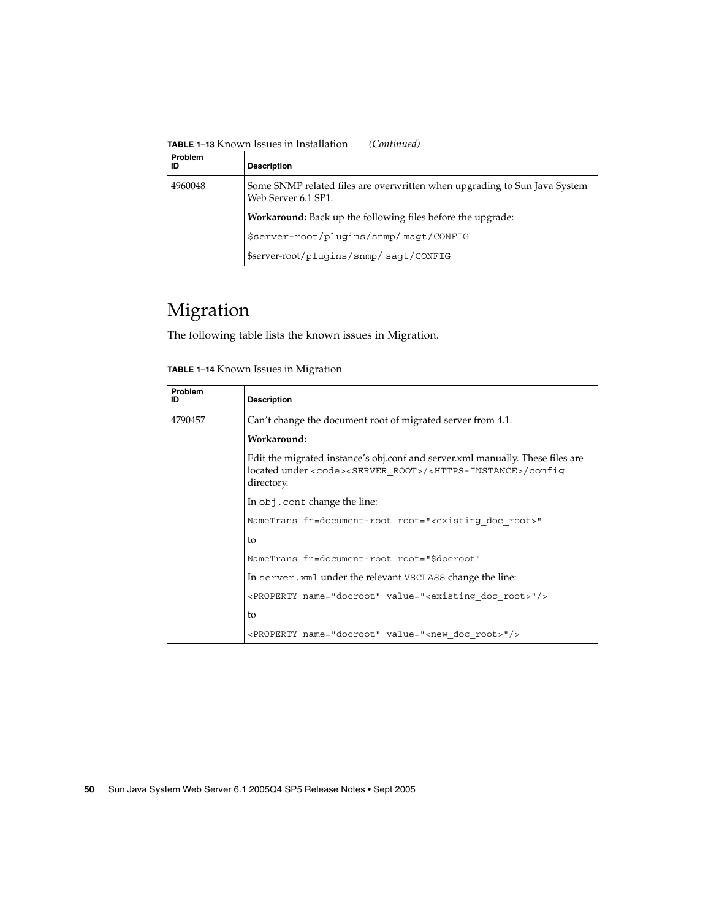<span id="page-49-0"></span>**TABLE 1–13** Known Issues in Installation *(Continued)*

| Problem<br>ID | <b>Description</b>                                                                               |
|---------------|--------------------------------------------------------------------------------------------------|
| 4960048       | Some SNMP related files are overwritten when upgrading to Sun Java System<br>Web Server 6.1 SP1. |
|               | Workaround: Back up the following files before the upgrade:                                      |
|               | \$server-root/plugins/snmp/magt/CONFIG                                                           |
|               | \$server-root/plugins/snmp/sagt/CONFIG                                                           |

## Migration

The following table lists the known issues in Migration.

| Problem<br>ID | <b>Description</b>                                                                                                                                                                             |
|---------------|------------------------------------------------------------------------------------------------------------------------------------------------------------------------------------------------|
| 4790457       | Can't change the document root of migrated server from 4.1.                                                                                                                                    |
|               | Workaround:                                                                                                                                                                                    |
|               | Edit the migrated instance's obj.conf and server.xml manually. These files are<br>located under <code><server root="">/<https-instance>/confiq<br/>directory.</https-instance></server></code> |
|               | In obj. conf change the line:                                                                                                                                                                  |
|               | NameTrans fn=document-root root=" <existing doc="" root="">"</existing>                                                                                                                        |
|               | to                                                                                                                                                                                             |
|               | NameTrans fn=document-root root="\$docroot"                                                                                                                                                    |
|               | In server, xml under the relevant VSCLASS change the line:                                                                                                                                     |
|               | <property name="docroot" value="&lt;existing doc root&gt;"></property>                                                                                                                         |
|               | to                                                                                                                                                                                             |
|               | <property name="docroot" value="&lt;new doc root&gt;"></property>                                                                                                                              |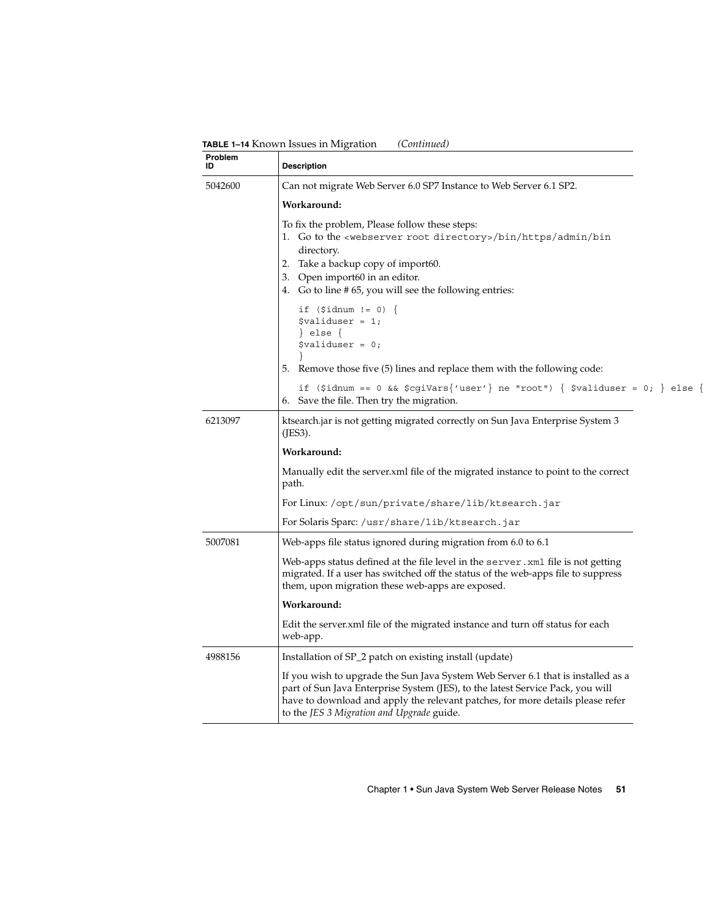**TABLE 1–14** Known Issues in Migration *(Continued)*

| Problem<br>ID | <b>Description</b>                                                                                                                                                                                                                                                                                |
|---------------|---------------------------------------------------------------------------------------------------------------------------------------------------------------------------------------------------------------------------------------------------------------------------------------------------|
| 5042600       | Can not migrate Web Server 6.0 SP7 Instance to Web Server 6.1 SP2.                                                                                                                                                                                                                                |
|               | Workaround:                                                                                                                                                                                                                                                                                       |
|               | To fix the problem, Please follow these steps:<br>1. Go to the <webserver directory="" root="">/bin/https/admin/bin<br/>directory.<br/>2. Take a backup copy of import60.<br/>3. Open import60 in an editor.<br/>4. Go to line #65, you will see the following entries:</webserver>               |
|               | if $(\text{sidnum} != 0)$ {<br>$$$ validuser = 1;<br>$\vert$ else $\vert$<br>$$$ validuser = 0;<br>5. Remove those five (5) lines and replace them with the following code:                                                                                                                       |
|               | if (\$idnum == 0 && \$cgiVars{'user'} ne "root") { \$validuser = 0; } else {<br>6. Save the file. Then try the migration.                                                                                                                                                                         |
| 6213097       | ktsearch.jar is not getting migrated correctly on Sun Java Enterprise System 3<br>(JES3).                                                                                                                                                                                                         |
|               | Workaround:                                                                                                                                                                                                                                                                                       |
|               | Manually edit the server xml file of the migrated instance to point to the correct<br>path.                                                                                                                                                                                                       |
|               | For Linux:/opt/sun/private/share/lib/ktsearch.jar                                                                                                                                                                                                                                                 |
|               | For Solaris Sparc: /usr/share/lib/ktsearch.jar                                                                                                                                                                                                                                                    |
| 5007081       | Web-apps file status ignored during migration from 6.0 to 6.1                                                                                                                                                                                                                                     |
|               | Web-apps status defined at the file level in the <code>server.xml</code> file is not getting<br>migrated. If a user has switched off the status of the web-apps file to suppress<br>them, upon migration these web-apps are exposed.                                                              |
|               | Workaround:                                                                                                                                                                                                                                                                                       |
|               | Edit the server.xml file of the migrated instance and turn off status for each<br>web-app.                                                                                                                                                                                                        |
| 4988156       | Installation of SP_2 patch on existing install (update)                                                                                                                                                                                                                                           |
|               | If you wish to upgrade the Sun Java System Web Server 6.1 that is installed as a<br>part of Sun Java Enterprise System (JES), to the latest Service Pack, you will<br>have to download and apply the relevant patches, for more details please refer<br>to the JES 3 Migration and Upgrade guide. |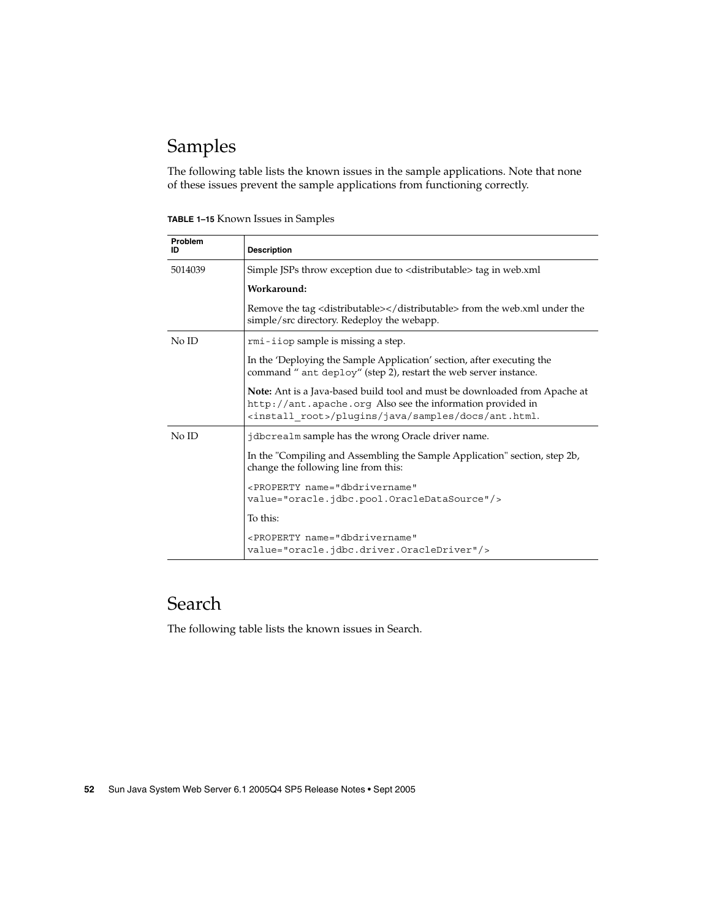## <span id="page-51-0"></span>Samples

The following table lists the known issues in the sample applications. Note that none of these issues prevent the sample applications from functioning correctly.

| <b>TABLE 1-15 Known Issues in Samples</b> |  |
|-------------------------------------------|--|
|-------------------------------------------|--|

| <b>Problem</b><br>ID | <b>Description</b>                                                                                                                                                                                           |
|----------------------|--------------------------------------------------------------------------------------------------------------------------------------------------------------------------------------------------------------|
| 5014039              | Simple JSPs throw exception due to <distributable> tag in web.xml</distributable>                                                                                                                            |
|                      | Workaround:                                                                                                                                                                                                  |
|                      | Remove the tag <distributable></distributable> from the web.xml under the<br>simple/src directory. Redeploy the webapp.                                                                                      |
| No ID                | rmi-iiop sample is missing a step.                                                                                                                                                                           |
|                      | In the 'Deploying the Sample Application' section, after executing the<br>command " ant deploy" (step 2), restart the web server instance.                                                                   |
|                      | Note: Ant is a Java-based build tool and must be downloaded from Apache at<br>http://ant.apache.org. Also see the information provided in<br><install root="">/plugins/java/samples/docs/ant.html.</install> |
| No ID                | jdbcrealm sample has the wrong Oracle driver name.                                                                                                                                                           |
|                      | In the "Compiling and Assembling the Sample Application" section, step 2b,<br>change the following line from this:                                                                                           |
|                      | <property <br="" name="dbdrivername">value="oracle.jdbc.pool.OracleDataSource"/&gt;</property>                                                                                                               |
|                      | To this:                                                                                                                                                                                                     |
|                      | <property <br="" name="dbdrivername">value="oracle.jdbc.driver.OracleDriver"/&gt;</property>                                                                                                                 |

## Search

The following table lists the known issues in Search.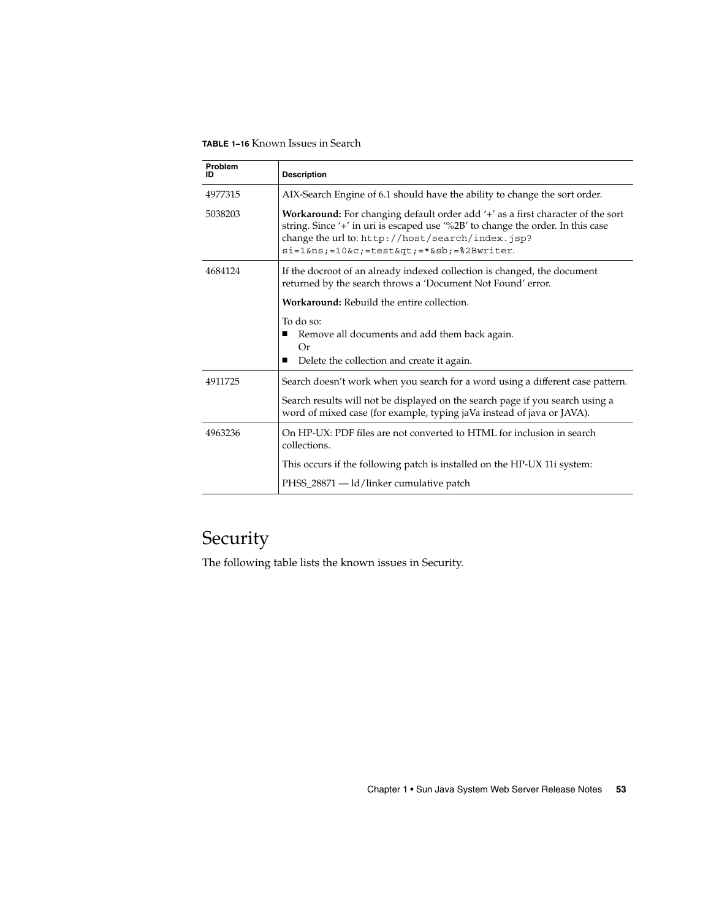<span id="page-52-0"></span>**TABLE 1–16** Known Issues in Search

| Problem<br>ID | <b>Description</b>                                                                                                                                                                                                                                                                |
|---------------|-----------------------------------------------------------------------------------------------------------------------------------------------------------------------------------------------------------------------------------------------------------------------------------|
| 4977315       | AIX-Search Engine of 6.1 should have the ability to change the sort order.                                                                                                                                                                                                        |
| 5038203       | Workaround: For changing default order add '+' as a first character of the sort<br>string. Since '+' in uri is escaped use '%2B' to change the order. In this case<br>change the url to: http://host/search/index.jsp?<br>$si=1$ &ns = $10$ &c = $test$ &qt = * &sb = * 2Bwriter. |
| 4684124       | If the docroot of an already indexed collection is changed, the document<br>returned by the search throws a 'Document Not Found' error.                                                                                                                                           |
|               | <b>Workaround:</b> Rebuild the entire collection.                                                                                                                                                                                                                                 |
|               | To do so:<br>Remove all documents and add them back again.<br>Or<br>Delete the collection and create it again.                                                                                                                                                                    |
| 4911725       | Search doesn't work when you search for a word using a different case pattern.                                                                                                                                                                                                    |
|               | Search results will not be displayed on the search page if you search using a<br>word of mixed case (for example, typing jaVa instead of java or JAVA).                                                                                                                           |
| 4963236       | On HP-UX: PDF files are not converted to HTML for inclusion in search<br>collections.                                                                                                                                                                                             |
|               | This occurs if the following patch is installed on the HP-UX 11i system:                                                                                                                                                                                                          |
|               | PHSS_28871 — ld/linker cumulative patch                                                                                                                                                                                                                                           |

## Security

The following table lists the known issues in Security.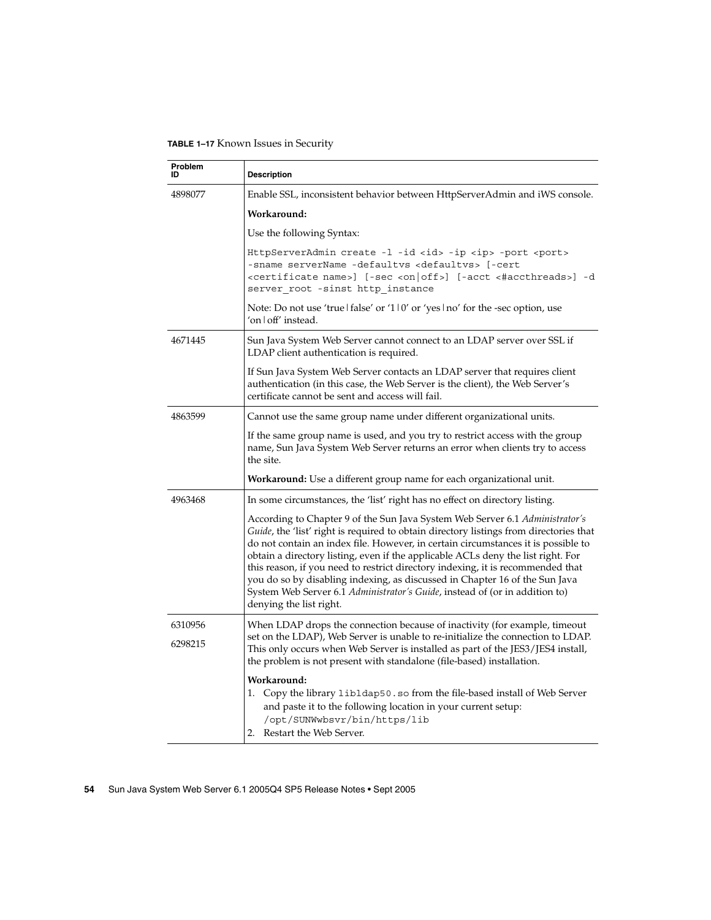**TABLE 1–17** Known Issues in Security

| Problem<br>ID | <b>Description</b>                                                                                                                                                                                                                                                                                                                                                                                                                                                                                                                                                                                                                          |
|---------------|---------------------------------------------------------------------------------------------------------------------------------------------------------------------------------------------------------------------------------------------------------------------------------------------------------------------------------------------------------------------------------------------------------------------------------------------------------------------------------------------------------------------------------------------------------------------------------------------------------------------------------------------|
| 4898077       | Enable SSL, inconsistent behavior between HttpServerAdmin and iWS console.                                                                                                                                                                                                                                                                                                                                                                                                                                                                                                                                                                  |
|               | Workaround:                                                                                                                                                                                                                                                                                                                                                                                                                                                                                                                                                                                                                                 |
|               | Use the following Syntax:                                                                                                                                                                                                                                                                                                                                                                                                                                                                                                                                                                                                                   |
|               | HttpServerAdmin create -1 -id <id> -ip <ip> -port <port><br/>-sname serverName -defaultvs <defaultvs> [-cert<br/>server root -sinst http instance</defaultvs></port></ip></id>                                                                                                                                                                                                                                                                                                                                                                                                                                                              |
|               | Note: Do not use 'true   false' or '1   0' or 'yes   no' for the -sec option, use<br>'on   off' instead.                                                                                                                                                                                                                                                                                                                                                                                                                                                                                                                                    |
| 4671445       | Sun Java System Web Server cannot connect to an LDAP server over SSL if<br>LDAP client authentication is required.                                                                                                                                                                                                                                                                                                                                                                                                                                                                                                                          |
|               | If Sun Java System Web Server contacts an LDAP server that requires client<br>authentication (in this case, the Web Server is the client), the Web Server's<br>certificate cannot be sent and access will fail.                                                                                                                                                                                                                                                                                                                                                                                                                             |
| 4863599       | Cannot use the same group name under different organizational units.                                                                                                                                                                                                                                                                                                                                                                                                                                                                                                                                                                        |
|               | If the same group name is used, and you try to restrict access with the group<br>name, Sun Java System Web Server returns an error when clients try to access<br>the site.                                                                                                                                                                                                                                                                                                                                                                                                                                                                  |
|               | <b>Workaround:</b> Use a different group name for each organizational unit.                                                                                                                                                                                                                                                                                                                                                                                                                                                                                                                                                                 |
| 4963468       | In some circumstances, the 'list' right has no effect on directory listing.                                                                                                                                                                                                                                                                                                                                                                                                                                                                                                                                                                 |
|               | According to Chapter 9 of the Sun Java System Web Server 6.1 Administrator's<br><i>Guide</i> , the 'list' right is required to obtain directory listings from directories that<br>do not contain an index file. However, in certain circumstances it is possible to<br>obtain a directory listing, even if the applicable ACLs deny the list right. For<br>this reason, if you need to restrict directory indexing, it is recommended that<br>you do so by disabling indexing, as discussed in Chapter 16 of the Sun Java<br>System Web Server 6.1 <i>Administrator's Guide</i> , instead of (or in addition to)<br>denying the list right. |
| 6310956       | When LDAP drops the connection because of inactivity (for example, timeout                                                                                                                                                                                                                                                                                                                                                                                                                                                                                                                                                                  |
| 6298215       | set on the LDAP), Web Server is unable to re-initialize the connection to LDAP.<br>This only occurs when Web Server is installed as part of the JES3/JES4 install,<br>the problem is not present with standalone (file-based) installation.                                                                                                                                                                                                                                                                                                                                                                                                 |
|               | Workaround:<br>1. Copy the library libldap50.so from the file-based install of Web Server<br>and paste it to the following location in your current setup:<br>/opt/SUNWwbsvr/bin/https/lib<br>2. Restart the Web Server.                                                                                                                                                                                                                                                                                                                                                                                                                    |

**<sup>54</sup>** Sun Java System Web Server 6.1 2005Q4 SP5 Release Notes • Sept 2005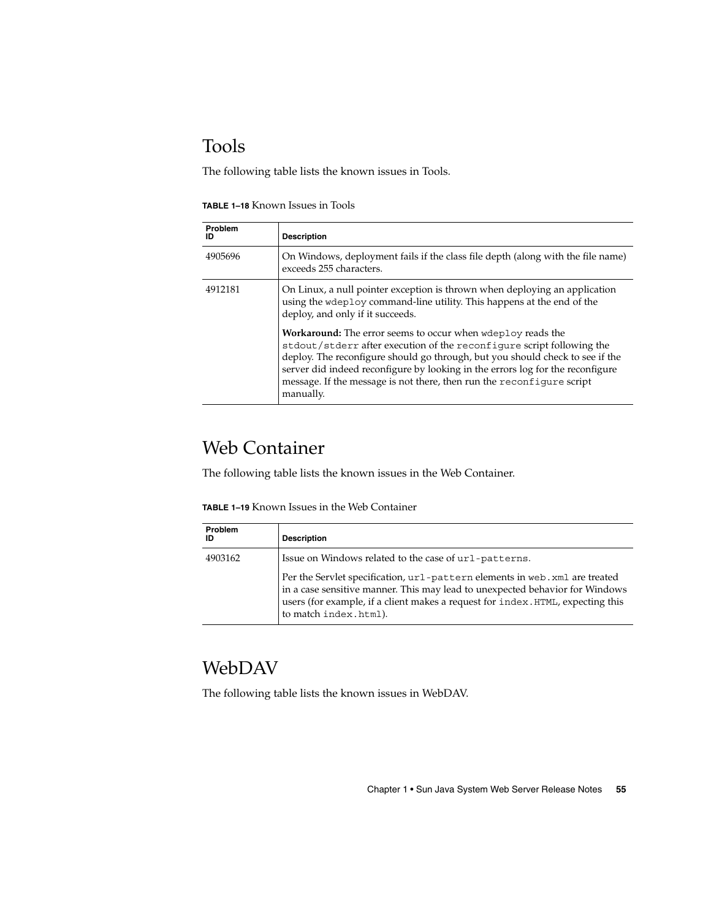## <span id="page-54-0"></span>Tools

The following table lists the known issues in Tools.

| <b>TABLE 1-18 Known Issues in Tools</b> |  |  |  |
|-----------------------------------------|--|--|--|
|-----------------------------------------|--|--|--|

| Problem<br>ID | <b>Description</b>                                                                                                                                                                                                                                                                                                                                                                                     |
|---------------|--------------------------------------------------------------------------------------------------------------------------------------------------------------------------------------------------------------------------------------------------------------------------------------------------------------------------------------------------------------------------------------------------------|
| 4905696       | On Windows, deployment fails if the class file depth (along with the file name)<br>exceeds 255 characters.                                                                                                                                                                                                                                                                                             |
| 4912181       | On Linux, a null pointer exception is thrown when deploying an application<br>using the wdeploy command-line utility. This happens at the end of the<br>deploy, and only if it succeeds.                                                                                                                                                                                                               |
|               | <b>Workaround:</b> The error seems to occur when wdeploy reads the<br>st dout/st derr after execution of the reconfigure script following the<br>deploy. The reconfigure should go through, but you should check to see if the<br>server did indeed reconfigure by looking in the errors log for the reconfigure<br>message. If the message is not there, then run the reconfigure script<br>manually. |

## Web Container

The following table lists the known issues in the Web Container.

| <b>TABLE 1-19</b> Known Issues in the Web Container |  |  |
|-----------------------------------------------------|--|--|
|-----------------------------------------------------|--|--|

| Problem<br>ID | <b>Description</b>                                                                                                                                                                                                                                                      |
|---------------|-------------------------------------------------------------------------------------------------------------------------------------------------------------------------------------------------------------------------------------------------------------------------|
| 4903162       | Issue on Windows related to the case of url-patterns.                                                                                                                                                                                                                   |
|               | Per the Servlet specification, url-pattern elements in web. xml are treated<br>in a case sensitive manner. This may lead to unexpected behavior for Windows<br>users (for example, if a client makes a request for index. HTML, expecting this<br>to match index.html). |

## WebDAV

The following table lists the known issues in WebDAV.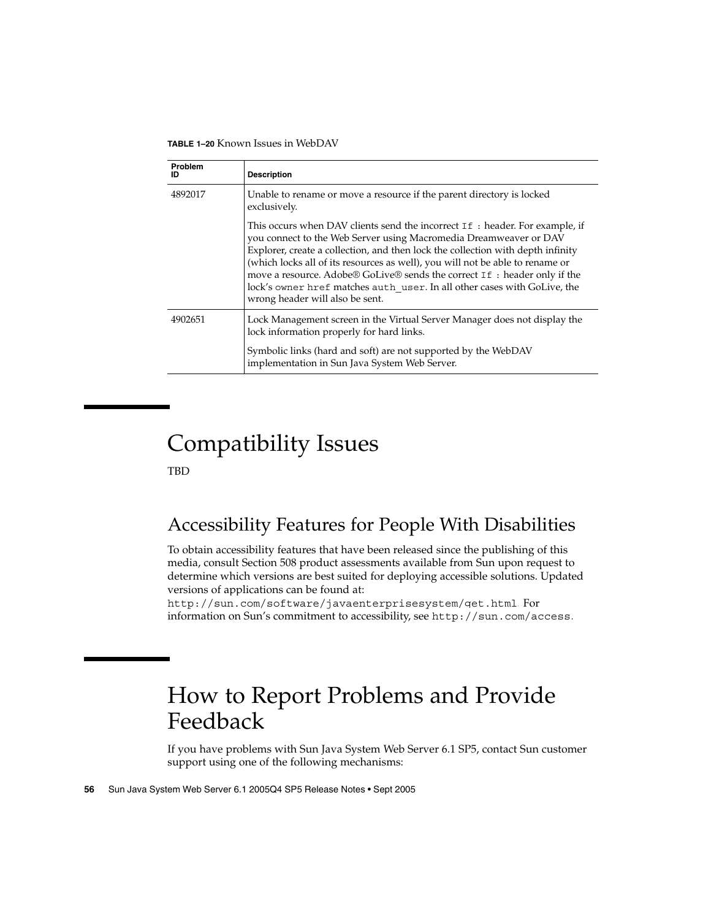<span id="page-55-0"></span>**TABLE 1–20** Known Issues in WebDAV

| Problem<br>ID | <b>Description</b>                                                                                                                                                                                                                                                                                                                                                                                                                                                                                               |
|---------------|------------------------------------------------------------------------------------------------------------------------------------------------------------------------------------------------------------------------------------------------------------------------------------------------------------------------------------------------------------------------------------------------------------------------------------------------------------------------------------------------------------------|
| 4892017       | Unable to rename or move a resource if the parent directory is locked<br>exclusively.                                                                                                                                                                                                                                                                                                                                                                                                                            |
|               | This occurs when DAV clients send the incorrect If : header. For example, if<br>you connect to the Web Server using Macromedia Dreamweaver or DAV<br>Explorer, create a collection, and then lock the collection with depth infinity<br>(which locks all of its resources as well), you will not be able to rename or<br>move a resource. Adobe® GoLive® sends the correct If: header only if the<br>lock's owner href matches auth user. In all other cases with GoLive, the<br>wrong header will also be sent. |
| 4902651       | Lock Management screen in the Virtual Server Manager does not display the<br>lock information properly for hard links.                                                                                                                                                                                                                                                                                                                                                                                           |
|               | Symbolic links (hard and soft) are not supported by the WebDAV<br>implementation in Sun Java System Web Server.                                                                                                                                                                                                                                                                                                                                                                                                  |

# Compatibility Issues

TBD

## Accessibility Features for People With Disabilities

To obtain accessibility features that have been released since the publishing of this media, consult Section 508 product assessments available from Sun upon request to determine which versions are best suited for deploying accessible solutions. Updated versions of applications can be found at:

<http://sun.com/software/javaenterprisesystem/get.html>. For information on Sun's commitment to accessibility, see <http://sun.com/access>.

## How to Report Problems and Provide Feedback

If you have problems with Sun Java System Web Server 6.1 SP5, contact Sun customer support using one of the following mechanisms: